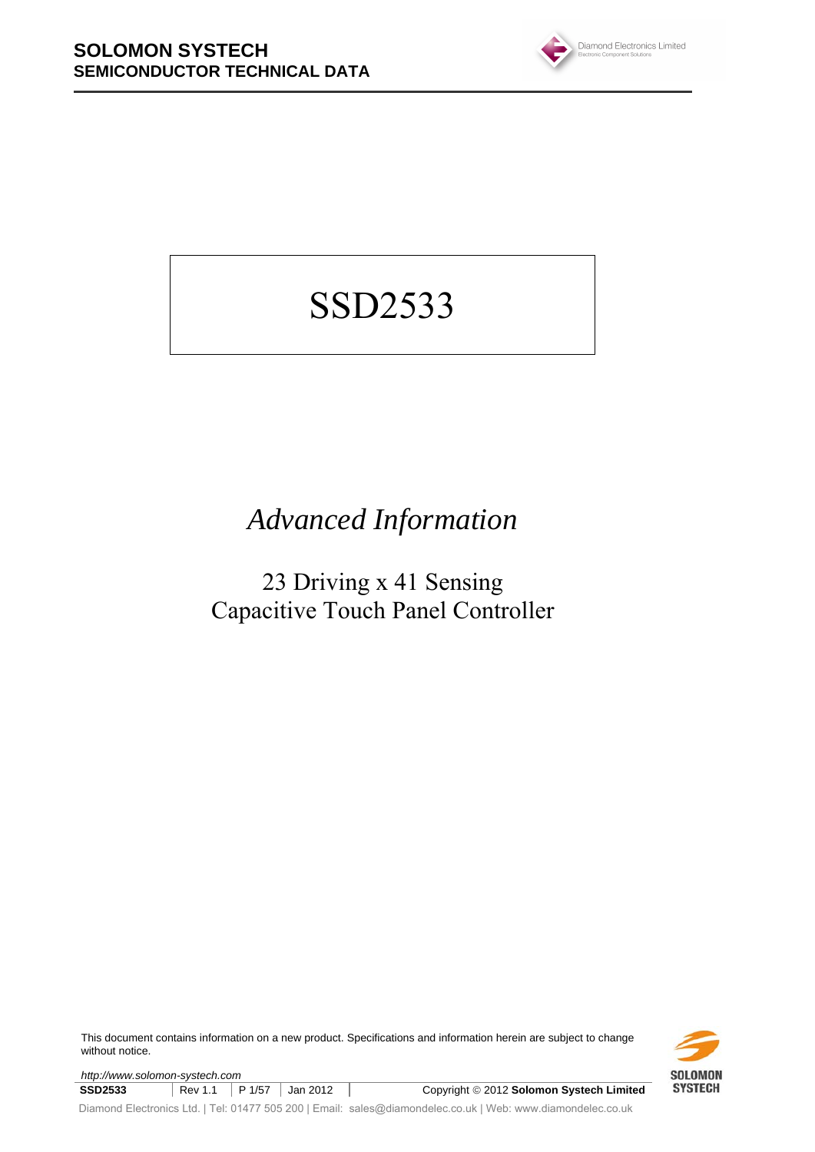

# SSD2533

# *Advanced Information*

# 23 Driving x 41 Sensing Capacitive Touch Panel Controller

This document contains information on a new product. Specifications and information herein are subject to change without notice.

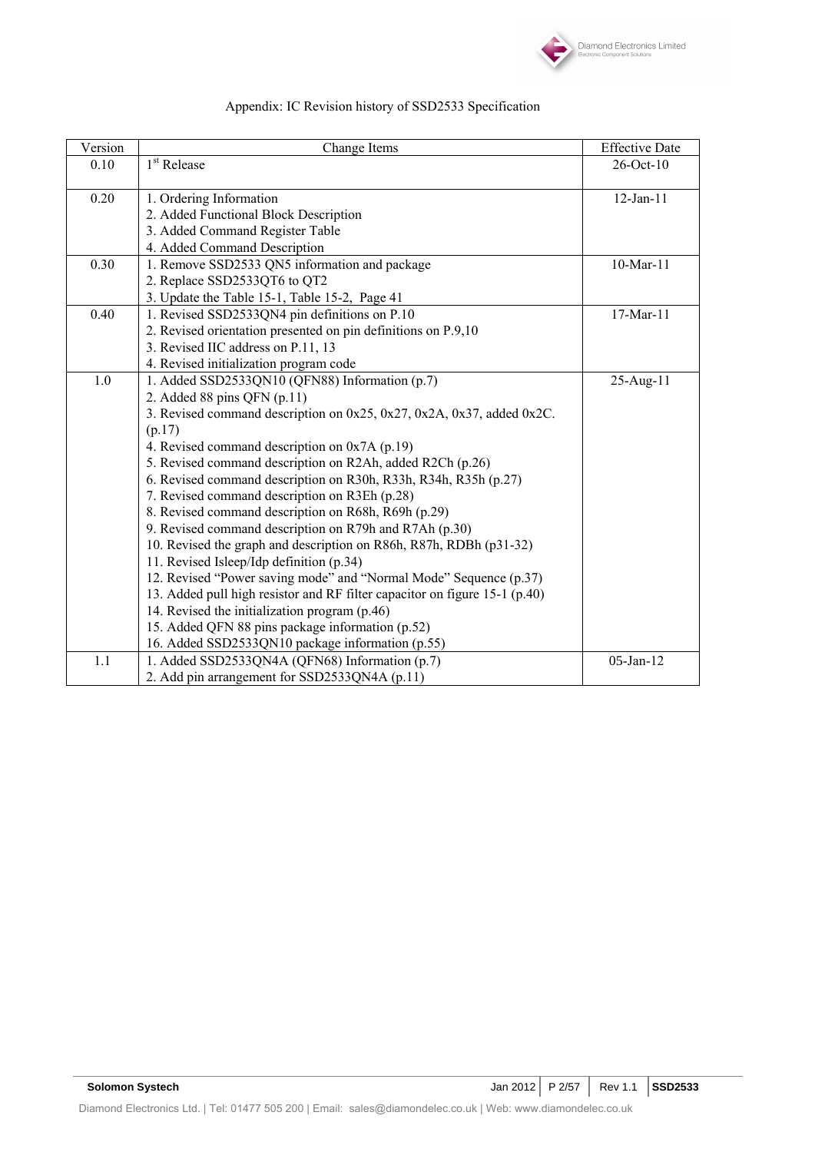

| Version | Change Items                                                               | <b>Effective Date</b> |
|---------|----------------------------------------------------------------------------|-----------------------|
| 0.10    | 1 <sup>st</sup> Release                                                    | 26-Oct-10             |
|         |                                                                            |                       |
| 0.20    | 1. Ordering Information                                                    | $12$ -Jan- $11$       |
|         | 2. Added Functional Block Description                                      |                       |
|         | 3. Added Command Register Table                                            |                       |
|         | 4. Added Command Description                                               |                       |
| 0.30    | 1. Remove SSD2533 QN5 information and package                              | 10-Mar-11             |
|         | 2. Replace SSD2533QT6 to QT2                                               |                       |
|         | 3. Update the Table 15-1, Table 15-2, Page 41                              |                       |
| 0.40    | 1. Revised SSD2533QN4 pin definitions on P.10                              | 17-Mar-11             |
|         | 2. Revised orientation presented on pin definitions on P.9,10              |                       |
|         | 3. Revised IIC address on P.11, 13                                         |                       |
|         | 4. Revised initialization program code                                     |                       |
| 1.0     | 1. Added SSD2533QN10 (QFN88) Information (p.7)                             | 25-Aug-11             |
|         | 2. Added 88 pins QFN $(p.11)$                                              |                       |
|         | 3. Revised command description on 0x25, 0x27, 0x2A, 0x37, added 0x2C.      |                       |
|         | (p.17)                                                                     |                       |
|         | 4. Revised command description on 0x7A (p.19)                              |                       |
|         | 5. Revised command description on R2Ah, added R2Ch (p.26)                  |                       |
|         | 6. Revised command description on R30h, R33h, R34h, R35h (p.27)            |                       |
|         | 7. Revised command description on R3Eh (p.28)                              |                       |
|         | 8. Revised command description on R68h, R69h (p.29)                        |                       |
|         | 9. Revised command description on R79h and R7Ah (p.30)                     |                       |
|         | 10. Revised the graph and description on R86h, R87h, RDBh (p31-32)         |                       |
|         | 11. Revised Isleep/Idp definition (p.34)                                   |                       |
|         | 12. Revised "Power saving mode" and "Normal Mode" Sequence (p.37)          |                       |
|         | 13. Added pull high resistor and RF filter capacitor on figure 15-1 (p.40) |                       |
|         | 14. Revised the initialization program (p.46)                              |                       |
|         | 15. Added QFN 88 pins package information (p.52)                           |                       |
|         | 16. Added SSD2533QN10 package information (p.55)                           |                       |
| 1.1     | 1. Added SSD2533QN4A (QFN68) Information (p.7)                             | $05$ -Jan-12          |
|         | 2. Add pin arrangement for SSD2533QN4A (p.11)                              |                       |

# Appendix: IC Revision history of SSD2533 Specification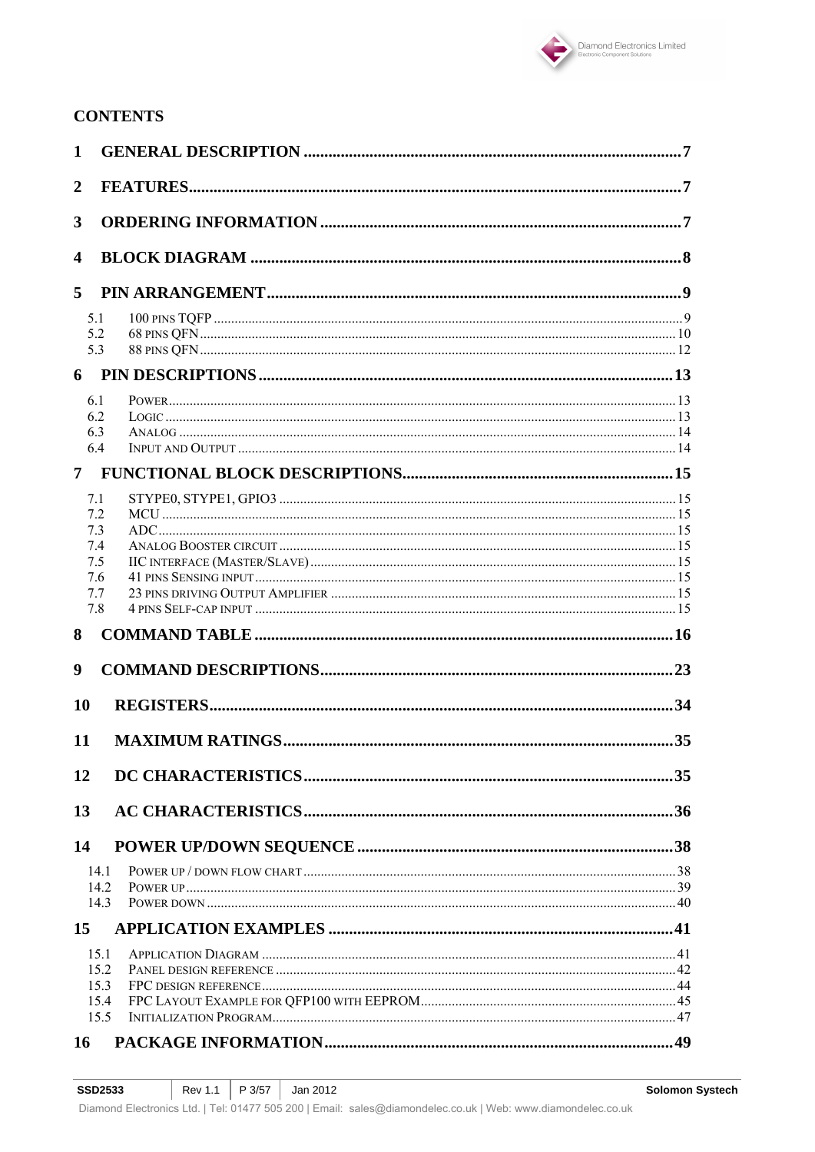

# **CONTENTS**

| $\mathbf{1}$   |              |  |
|----------------|--------------|--|
| $\overline{2}$ |              |  |
|                |              |  |
| 3              |              |  |
| 4              |              |  |
| 5              |              |  |
|                | 5.1          |  |
|                | 5.2          |  |
|                | 5.3          |  |
| 6              |              |  |
|                | 6.1          |  |
|                | 6.2          |  |
|                | 6.3<br>6.4   |  |
|                |              |  |
| 7 <sup>7</sup> |              |  |
|                | 7.1          |  |
|                | 7.2<br>7.3   |  |
|                | 7.4          |  |
|                | 7.5          |  |
|                | 7.6          |  |
|                | 7.7          |  |
|                | 7.8          |  |
| 8              |              |  |
| 9              |              |  |
| 10             |              |  |
| 11             |              |  |
| 12             |              |  |
| 13             |              |  |
| 14             |              |  |
|                | 14.1         |  |
|                | 14.2         |  |
|                | 14.3         |  |
| 15             |              |  |
|                | 15.1         |  |
|                | 15.2         |  |
|                | 15.3<br>15.4 |  |
|                | 15.5         |  |
|                |              |  |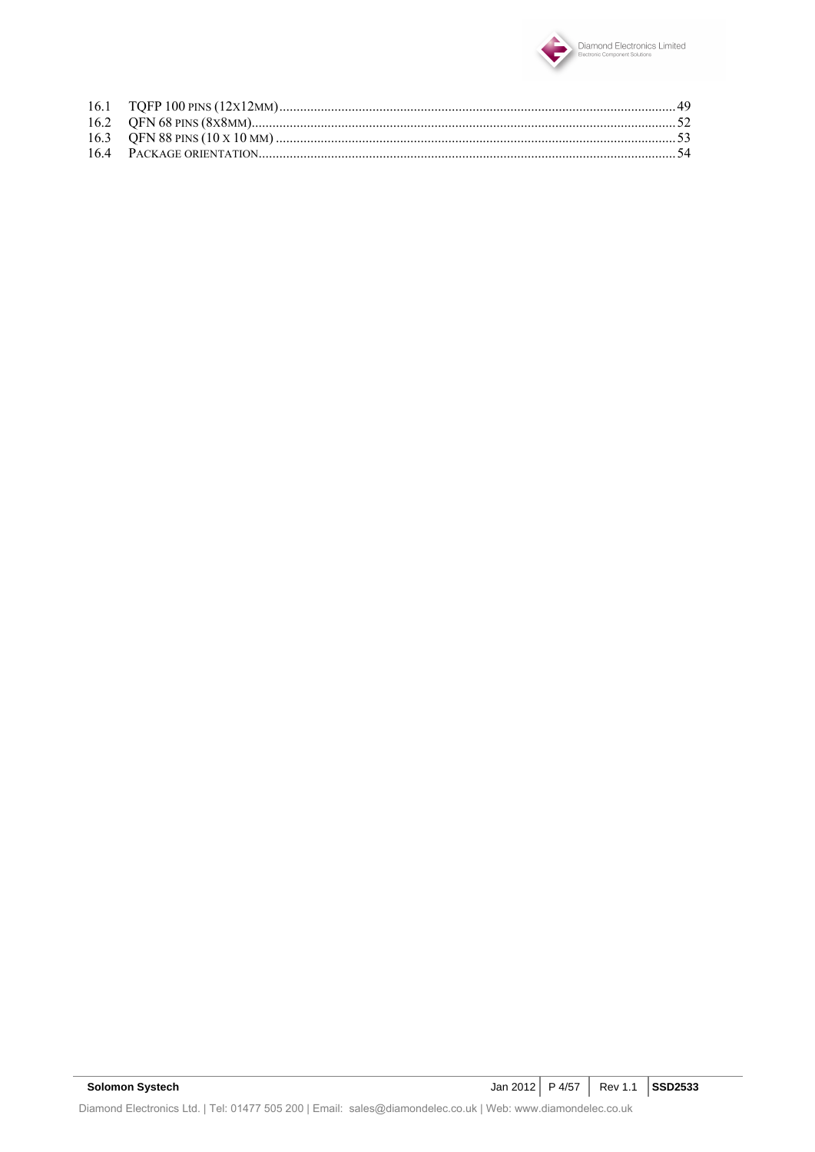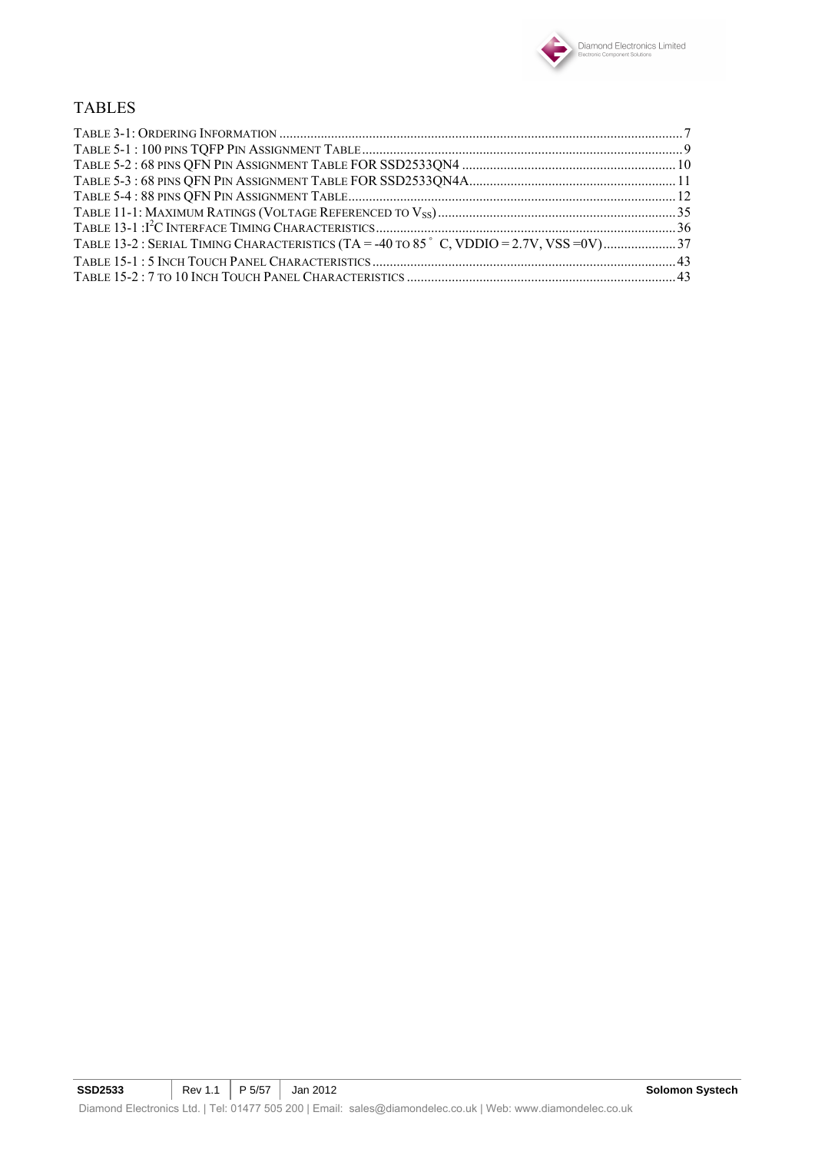

### TABLES

| TABLE 13-2: SERIAL TIMING CHARACTERISTICS (TA = -40 TO 85°C, VDDIO = 2.7V, VSS = 0V) 37 |  |
|-----------------------------------------------------------------------------------------|--|
|                                                                                         |  |
|                                                                                         |  |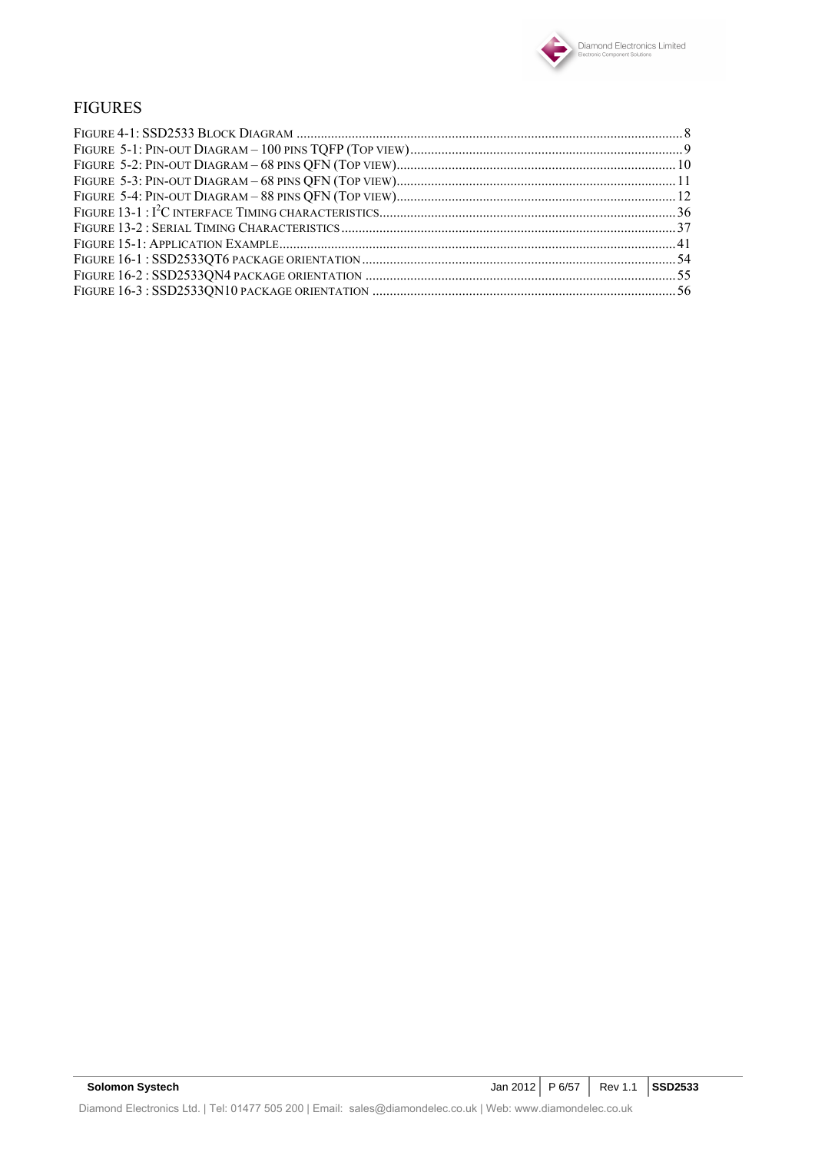

### FIGURES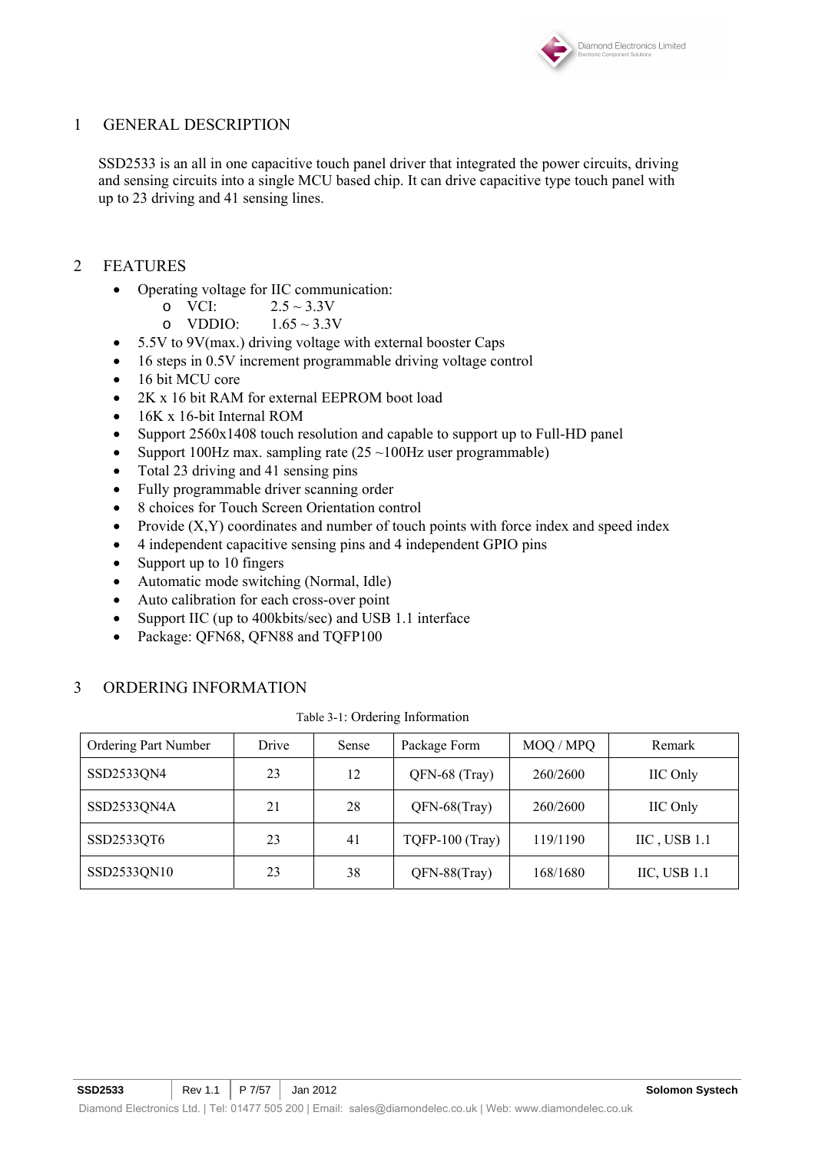

### 1 GENERAL DESCRIPTION

SSD2533 is an all in one capacitive touch panel driver that integrated the power circuits, driving and sensing circuits into a single MCU based chip. It can drive capacitive type touch panel with up to 23 driving and 41 sensing lines.

- 2 FEATURES
	- Operating voltage for IIC communication:
		- o VCI:  $2.5 \sim 3.3$ V<br>
		o VDDIO:  $1.65 \sim 3.3$ V
		- o VDDIO:
	- 5.5V to 9V(max.) driving voltage with external booster Caps
	- 16 steps in 0.5V increment programmable driving voltage control
	- 16 bit MCU core
	- 2K x 16 bit RAM for external EEPROM boot load
	- 16K x 16-bit Internal ROM
	- Support 2560x1408 touch resolution and capable to support up to Full-HD panel
	- Support 100Hz max. sampling rate  $(25 \sim 100$ Hz user programmable)
	- Total 23 driving and 41 sensing pins
	- Fully programmable driver scanning order
	- 8 choices for Touch Screen Orientation control
	- Provide  $(X, Y)$  coordinates and number of touch points with force index and speed index
	- 4 independent capacitive sensing pins and 4 independent GPIO pins
	- Support up to 10 fingers
	- Automatic mode switching (Normal, Idle)
	- Auto calibration for each cross-over point
	- Support IIC (up to 400kbits/sec) and USB 1.1 interface
	- Package: QFN68, QFN88 and TQFP100

### 3 ORDERING INFORMATION

| Ordering Part Number | Drive | Sense | Package Form    | MOQ / MPQ | Remark                       |
|----------------------|-------|-------|-----------------|-----------|------------------------------|
| SSD2533QN4           | 23    | 12    | QFN-68 (Tray)   | 260/2600  | <b>IIC</b> Only              |
| SSD2533QN4A          | 21    | 28    | QFN-68(Tray)    | 260/2600  | <b>IIC</b> Only              |
| SSD2533QT6           | 23    | 41    | TQFP-100 (Tray) | 119/1190  | $\text{HC}$ , USB 1.1        |
| SSD2533QN10          | 23    | 38    | QFN-88(Tray)    | 168/1680  | $\text{IIC}, \text{USB}$ 1.1 |

Table 3-1: Ordering Information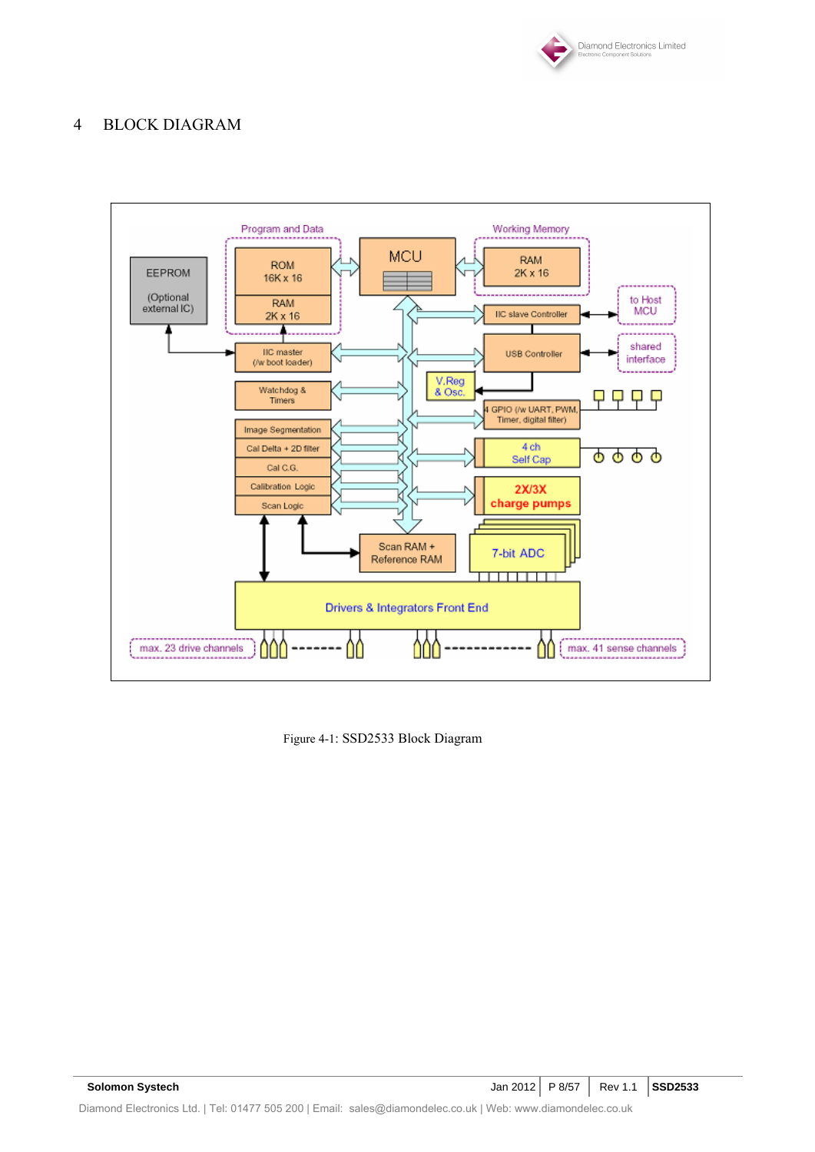

# 4 BLOCK DIAGRAM



Figure 4-1: SSD2533 Block Diagram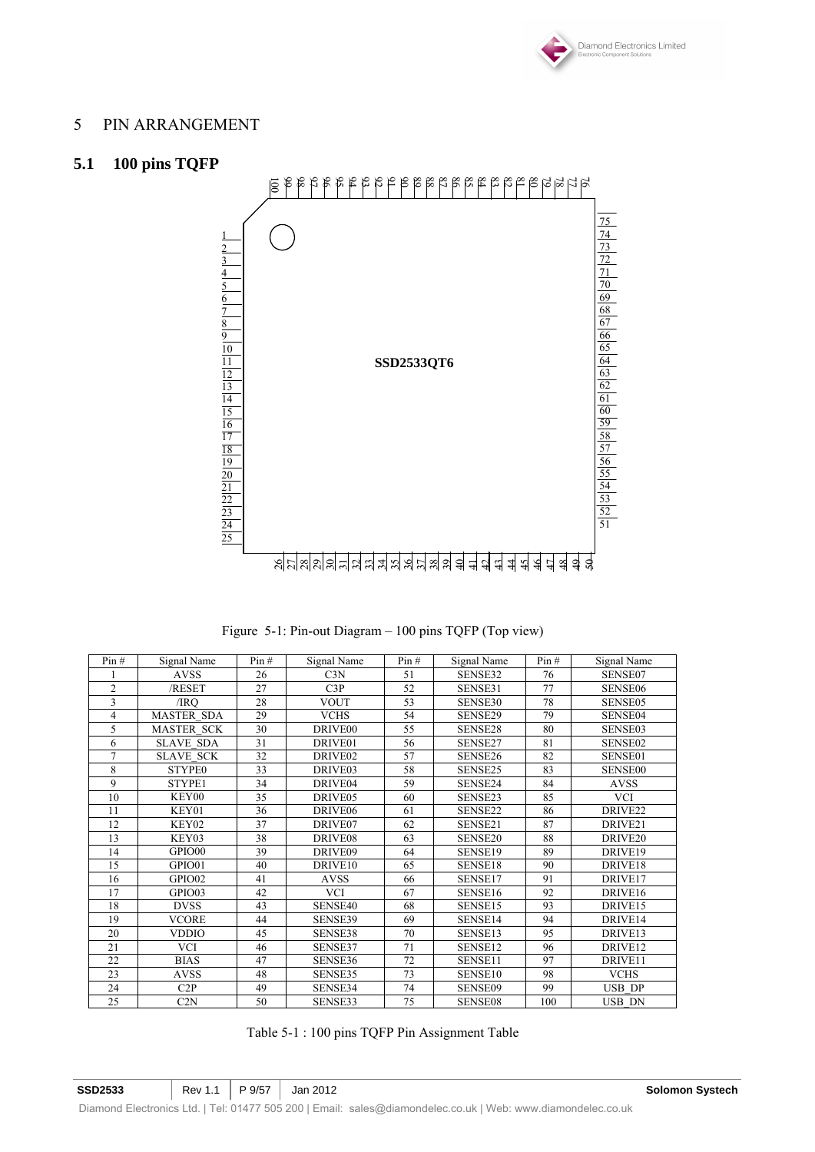

### PIN ARRANGEMENT

# **5.1 100 pins TQFP**



Figure 5-1: Pin-out Diagram – 100 pins TQFP (Top view)

| Pin#           | Signal Name       | Pin# | Signal Name         | Pin# | Signal Name         | Pin# | Signal Name         |
|----------------|-------------------|------|---------------------|------|---------------------|------|---------------------|
|                | <b>AVSS</b>       | 26   | C3N                 | 51   | SENSE32             | 76   | SENSE07             |
| $\overline{2}$ | /RESET            | 27   | C3P                 | 52   | SENSE31             | 77   | SENSE06             |
| $\overline{3}$ | /IRO              | 28   | <b>VOUT</b>         | 53   | SENSE30             | 78   | SENSE05             |
| 4              | <b>MASTER SDA</b> | 29   | <b>VCHS</b>         | 54   | SENSE29             | 79   | SENSE04             |
| 5              | <b>MASTER SCK</b> | 30   | DRIVE <sub>00</sub> | 55   | SENSE28             | 80   | SENSE03             |
| 6              | <b>SLAVE SDA</b>  | 31   | DRIVE <sub>01</sub> | 56   | SENSE27             | 81   | SENSE02             |
| $\overline{7}$ | <b>SLAVE SCK</b>  | 32   | DRIVE02             | 57   | SENSE26             | 82   | SENSE01             |
| 8              | <b>STYPE0</b>     | 33   | DRIVE03             | 58   | SENSE25             | 83   | <b>SENSE00</b>      |
| 9              | STYPE1            | 34   | DRIVE04             | 59   | SENSE24             | 84   | <b>AVSS</b>         |
| 10             | KEY00             | 35   | DRIVE <sub>05</sub> | 60   | SENSE23             | 85   | <b>VCI</b>          |
| 11             | KEY01             | 36   | DRIVE <sub>06</sub> | 61   | SENSE22             | 86   | DRIVE <sub>22</sub> |
| 12             | KEY02             | 37   | DRIVE07             | 62   | SENSE21             | 87   | DRIVE <sub>21</sub> |
| 13             | KEY03             | 38   | DRIVE08             | 63   | SENSE <sub>20</sub> | 88   | DRIVE <sub>20</sub> |
| 14             | GPIO00            | 39   | DRIVE09             | 64   | SENSE19             | 89   | DRIVE19             |
| 15             | GPIO01            | 40   | DRIVE10             | 65   | SENSE18             | 90   | DRIVE18             |
| 16             | GPIO02            | 41   | <b>AVSS</b>         | 66   | SENSE17             | 91   | DRIVE17             |
| 17             | GPIO03            | 42   | <b>VCI</b>          | 67   | SENSE16             | 92   | DRIVE16             |
| 18             | <b>DVSS</b>       | 43   | SENSE40             | 68   | SENSE15             | 93   | DRIVE15             |
| 19             | <b>VCORE</b>      | 44   | SENSE39             | 69   | SENSE14             | 94   | DRIVE14             |
| 20             | <b>VDDIO</b>      | 45   | SENSE38             | 70   | SENSE13             | 95   | DRIVE13             |
| 21             | <b>VCI</b>        | 46   | SENSE37             | 71   | SENSE12             | 96   | DRIVE12             |
| 22             | <b>BIAS</b>       | 47   | SENSE36             | 72   | SENSE11             | 97   | DRIVE11             |
| 23             | <b>AVSS</b>       | 48   | SENSE35             | 73   | SENSE10             | 98   | <b>VCHS</b>         |
| 24             | C2P               | 49   | SENSE34             | 74   | SENSE09             | 99   | USB DP              |
| 25             | C2N               | 50   | SENSE33             | 75   | SENSE08             | 100  | USB DN              |

Table 5-1 : 100 pins TQFP Pin Assignment Table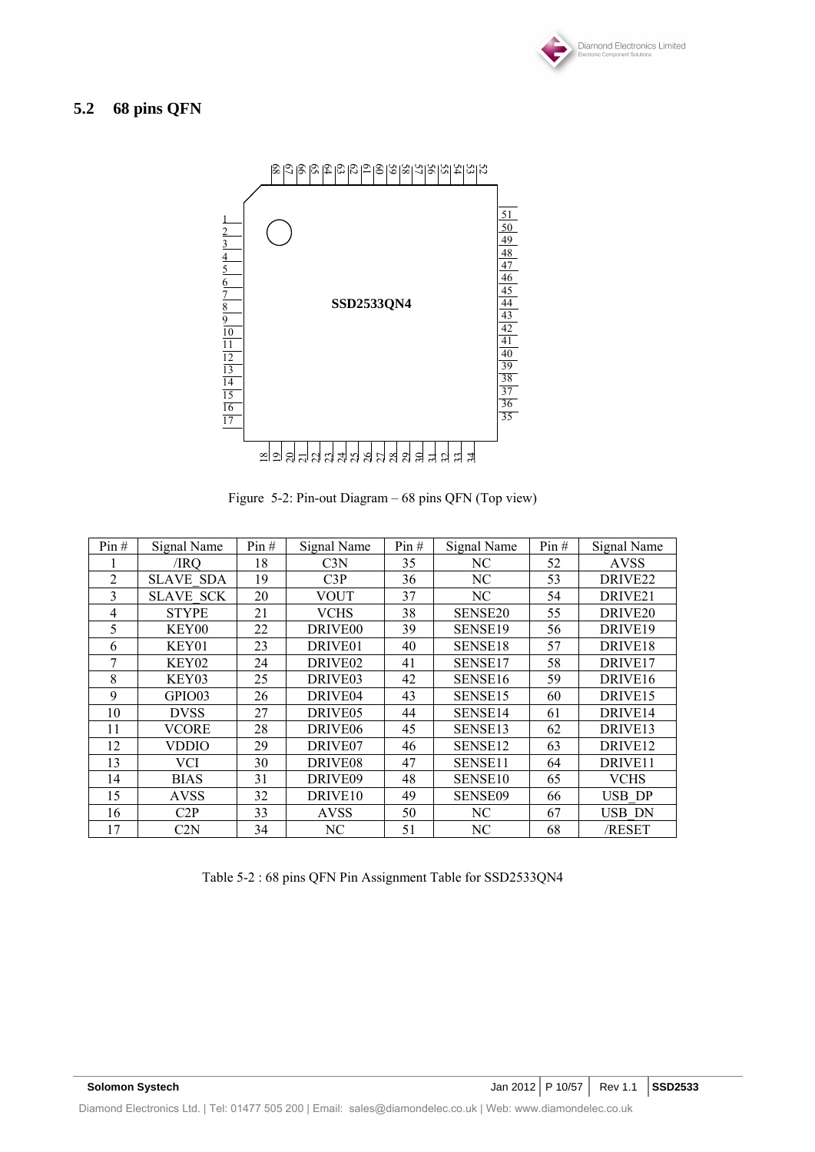

# **5.2 68 pins QFN**



Figure 5-2: Pin-out Diagram – 68 pins QFN (Top view)

| Pin# | Signal Name      | Pin# | Signal Name         | Pin# | Signal Name         | Pin# | Signal Name         |
|------|------------------|------|---------------------|------|---------------------|------|---------------------|
|      | /IRO             | 18   | C <sub>3N</sub>     | 35   | NС                  | 52   | <b>AVSS</b>         |
| 2    | <b>SLAVE SDA</b> | 19   | C3P                 | 36   | NC                  | 53   | DRIVE <sub>22</sub> |
| 3    | <b>SLAVE SCK</b> | 20   | <b>VOUT</b>         | 37   | NC                  | 54   | DRIVE <sub>21</sub> |
| 4    | <b>STYPE</b>     | 21   | <b>VCHS</b>         | 38   | SENSE <sub>20</sub> | 55   | DRIVE <sub>20</sub> |
| 5    | KEY00            | 22   | DRIVE <sub>00</sub> | 39   | SENSE19             | 56   | DRIVE19             |
| 6    | KEY01            | 23   | DRIVE01             | 40   | SENSE18             | 57   | DRIVE18             |
| 7    | KEY02            | 24   | DRIVE <sub>02</sub> | 41   | SENSE17             | 58   | DRIVE <sub>17</sub> |
| 8    | KEY03            | 25   | DRIVE <sub>03</sub> | 42   | SENSE <sub>16</sub> | 59   | DRIVE <sub>16</sub> |
| 9    | GPIO03           | 26   | DRIVE <sub>04</sub> | 43   | SENSE <sub>15</sub> | 60   | DRIVE <sub>15</sub> |
| 10   | <b>DVSS</b>      | 27   | DRIVE <sub>05</sub> | 44   | SENSE14             | 61   | DRIVE <sub>14</sub> |
| 11   | <b>VCORE</b>     | 28   | DRIVE <sub>06</sub> | 45   | SENSE13             | 62   | DRIVE <sub>13</sub> |
| 12   | VDDIO            | 29   | DRIVE <sub>07</sub> | 46   | SENSE12             | 63   | DRIVE <sub>12</sub> |
| 13   | VCI              | 30   | DRIVE <sub>08</sub> | 47   | SENSE11             | 64   | DRIVE11             |
| 14   | <b>BIAS</b>      | 31   | DRIVE09             | 48   | SENSE <sub>10</sub> | 65   | <b>VCHS</b>         |
| 15   | <b>AVSS</b>      | 32   | DRIVE <sub>10</sub> | 49   | SENSE09             | 66   | <b>USB DP</b>       |
| 16   | C2P              | 33   | <b>AVSS</b>         | 50   | NC                  | 67   | USB DN              |
| 17   | C2N              | 34   | NC                  | 51   | NC                  | 68   | /RESET              |

Table 5-2 : 68 pins QFN Pin Assignment Table for SSD2533QN4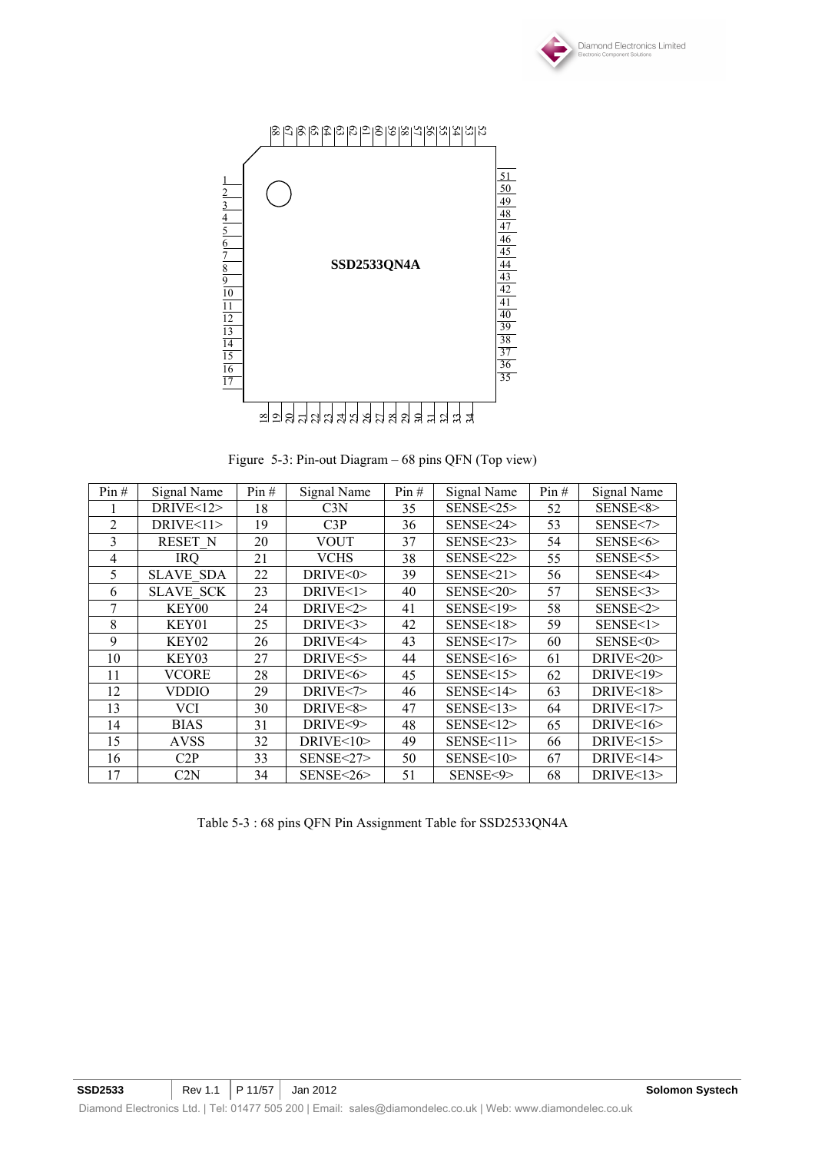



Figure 5-3: Pin-out Diagram – 68 pins QFN (Top view)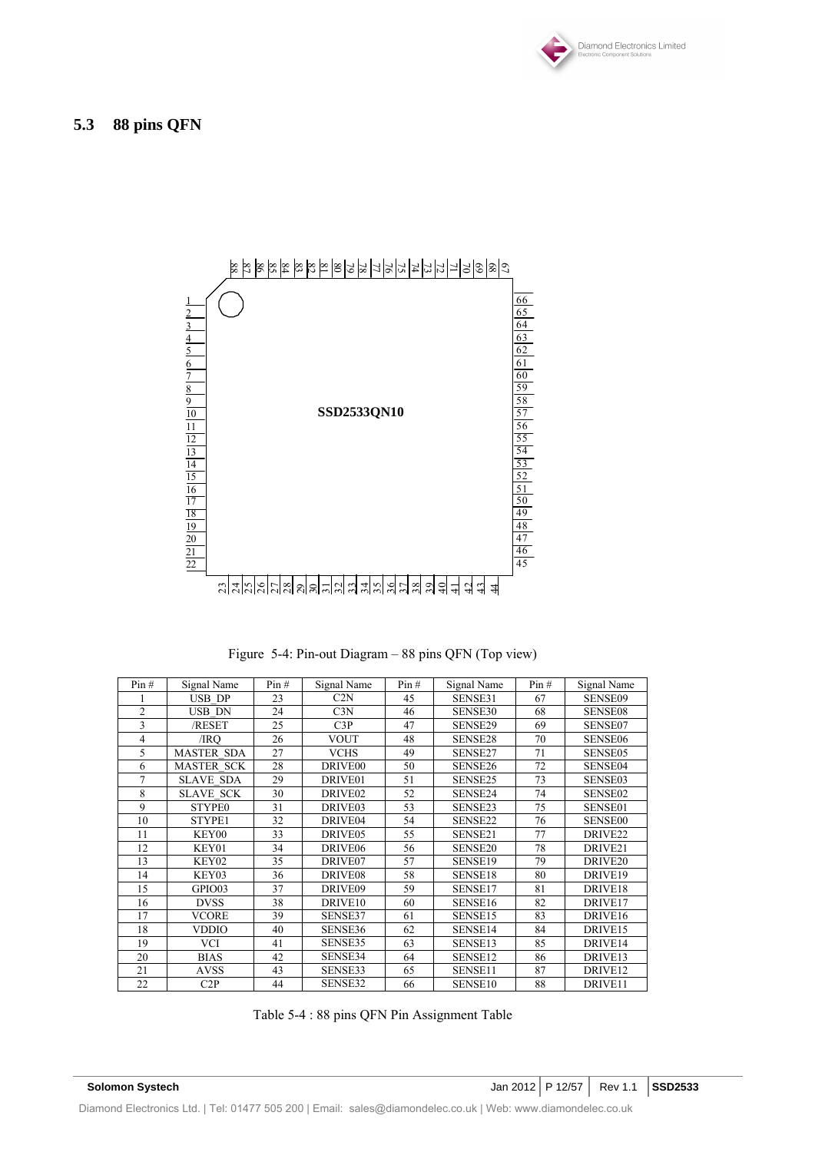



Figure 5-4: Pin-out Diagram – 88 pins QFN (Top view)

| Pin#           | Signal Name       | Pin# | Signal Name         | Pin# | Signal Name         | Pin# | Signal Name         |
|----------------|-------------------|------|---------------------|------|---------------------|------|---------------------|
|                | <b>USB DP</b>     | 23   | C2N                 | 45   | SENSE31             | 67   | <b>SENSE09</b>      |
| $\overline{2}$ | <b>USB DN</b>     | 24   | C3N                 | 46   | SENSE30             | 68   | <b>SENSE08</b>      |
| 3              | /RESET            | 25   | C3P                 | 47   | SENSE29             | 69   | SENSE07             |
| 4              | /IRO              | 26   | <b>VOUT</b>         | 48   | SENSE28             | 70   | SENSE06             |
| 5              | <b>MASTER SDA</b> | 27   | <b>VCHS</b>         | 49   | SENSE27             | 71   | SENSE05             |
| 6              | <b>MASTER SCK</b> | 28   | DRIVE <sub>00</sub> | 50   | SENSE26             | 72   | SENSE04             |
| 7              | <b>SLAVE SDA</b>  | 29   | DRIVE01             | 51   | SENSE25             | 73   | SENSE03             |
| 8              | <b>SLAVE SCK</b>  | 30   | DRIVE02             | 52   | SENSE24             | 74   | SENSE02             |
| 9              | <b>STYPE0</b>     | 31   | DRIVE03             | 53   | SENSE23             | 75   | SENSE01             |
| 10             | STYPE1            | 32   | DRIVE04             | 54   | SENSE22             | 76   | <b>SENSE00</b>      |
| 11             | KEY00             | 33   | DRIVE05             | 55   | SENSE21             | 77   | DRIVE <sub>22</sub> |
| 12             | KEY01             | 34   | DRIVE <sub>06</sub> | 56   | SENSE <sub>20</sub> | 78   | DRIVE <sub>21</sub> |
| 13             | KEY02             | 35   | DRIVE07             | 57   | SENSE19             | 79   | DRIVE <sub>20</sub> |
| 14             | KEY03             | 36   | DRIVE08             | 58   | SENSE18             | 80   | DRIVE19             |
| 15             | GPIO03            | 37   | DRIVE09             | 59   | SENSE17             | 81   | DRIVE18             |
| 16             | <b>DVSS</b>       | 38   | DRIVE <sub>10</sub> | 60   | SENSE16             | 82   | DRIVE17             |
| 17             | <b>VCORE</b>      | 39   | SENSE37             | 61   | SENSE15             | 83   | DRIVE16             |
| 18             | <b>VDDIO</b>      | 40   | SENSE36             | 62   | SENSE14             | 84   | DRIVE15             |
| 19             | VCI               | 41   | SENSE35             | 63   | SENSE13             | 85   | DRIVE14             |
| 20             | <b>BIAS</b>       | 42   | SENSE34             | 64   | SENSE12             | 86   | DRIVE13             |
| 21             | <b>AVSS</b>       | 43   | SENSE33             | 65   | SENSE11             | 87   | DRIVE12             |
| 22             | C2P               | 44   | SENSE32             | 66   | SENSE <sub>10</sub> | 88   | DRIVE11             |

Table 5-4 : 88 pins QFN Pin Assignment Table

| <b>Solomon Systech</b> |  |
|------------------------|--|
|                        |  |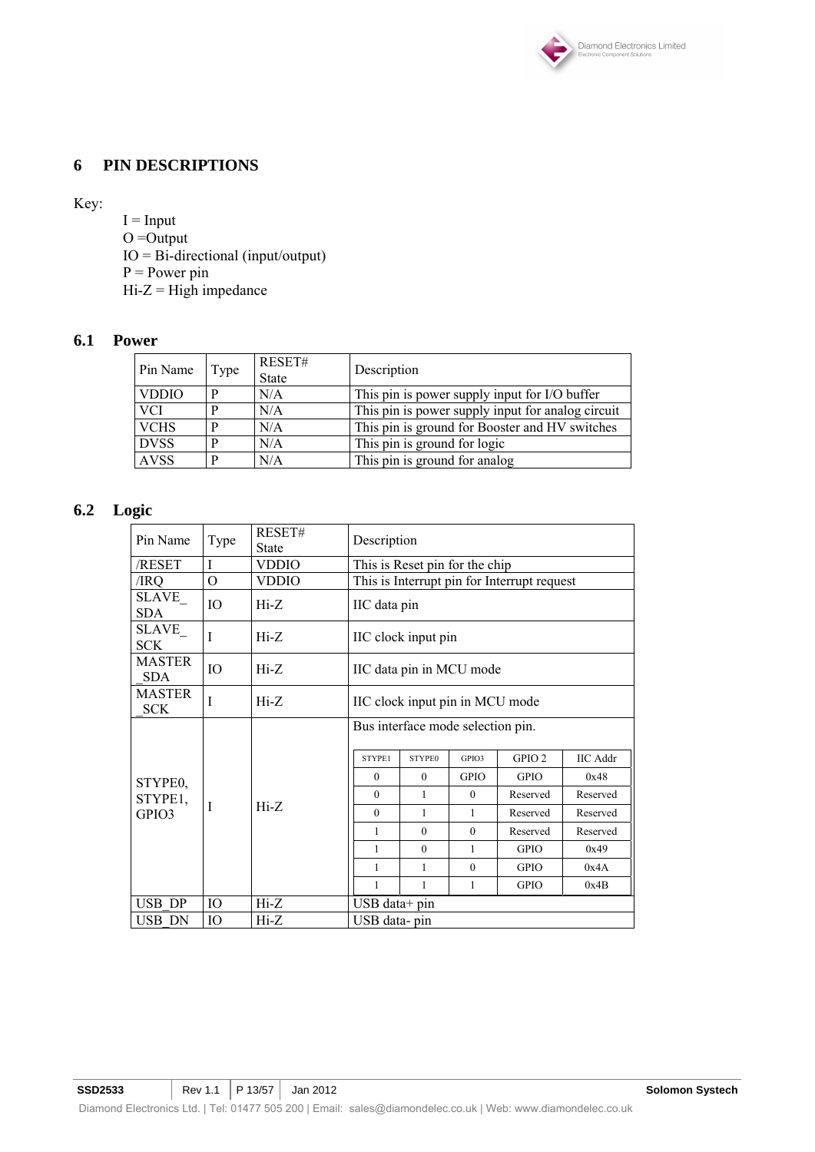

### **6 PIN DESCRIPTIONS**

Key:

 $I = Input$  $O =$ Output IO = Bi-directional (input/output)  $P = Power$  pin  $Hi-Z = High impedance$ 

### **6.1 Power**

| Pin Name     | Type | RESET#<br><b>State</b> | Description                                       |
|--------------|------|------------------------|---------------------------------------------------|
| <b>VDDIO</b> | D    | N/A                    | This pin is power supply input for I/O buffer     |
| <b>VCI</b>   | D    | N/A                    | This pin is power supply input for analog circuit |
| <b>VCHS</b>  | D    | N/A                    | This pin is ground for Booster and HV switches    |
| <b>DVSS</b>  | D    | N/A                    | This pin is ground for logic                      |
| <b>AVSS</b>  | D    | N/A                    | This pin is ground for analog                     |

# **6.2 Logic**

| Pin Name                    | Type     | RESET#<br>State | Description                     |                                   |             |                                             |                 |  |
|-----------------------------|----------|-----------------|---------------------------------|-----------------------------------|-------------|---------------------------------------------|-----------------|--|
| /RESET                      | I        | VDDIO           |                                 | This is Reset pin for the chip    |             |                                             |                 |  |
| /IRQ                        | $\Omega$ | <b>VDDIO</b>    |                                 |                                   |             | This is Interrupt pin for Interrupt request |                 |  |
| SLAVE_<br><b>SDA</b>        | IO       | $Hi-Z$          | IIC data pin                    |                                   |             |                                             |                 |  |
| SLAVE_<br><b>SCK</b>        | I        | $Hi-Z$          |                                 | IIC clock input pin               |             |                                             |                 |  |
| <b>MASTER</b><br><b>SDA</b> | IO       | $Hi-Z$          | IIC data pin in MCU mode        |                                   |             |                                             |                 |  |
| <b>MASTER</b><br><b>SCK</b> | I        | $Hi-Z$          | IIC clock input pin in MCU mode |                                   |             |                                             |                 |  |
|                             |          |                 |                                 | Bus interface mode selection pin. |             |                                             |                 |  |
|                             |          |                 | STYPE1                          | <b>STYPE0</b>                     | GPIO3       | GPIO <sub>2</sub>                           | <b>IIC</b> Addr |  |
| STYPE0,                     |          |                 | $\theta$                        | $\Omega$                          | <b>GPIO</b> | <b>GPIO</b>                                 | 0x48            |  |
| STYPE1,                     |          |                 | $\theta$                        | 1                                 | $\theta$    | Reserved                                    | Reserved        |  |
| GPIO3                       |          | $Hi-Z$          | $\theta$                        | 1                                 | 1           | Reserved                                    | Reserved        |  |
|                             |          |                 | $\mathbf{1}$                    | $\theta$                          | $\theta$    | Reserved                                    | Reserved        |  |
|                             |          |                 | $\mathbf{1}$                    | $\theta$                          | 1           | <b>GPIO</b>                                 | 0x49            |  |
|                             |          |                 | 1                               | 1                                 | $\theta$    | <b>GPIO</b>                                 | 0x4A            |  |
|                             |          |                 | $\mathbf{1}$                    | 1                                 | 1           | <b>GPIO</b>                                 | 0x4B            |  |
| USB DP                      | IO       | $Hi-Z$          |                                 | $\text{USB}$ data+ pin            |             |                                             |                 |  |
| USB DN                      | IO       | Hi-Z            | USB data-pin                    |                                   |             |                                             |                 |  |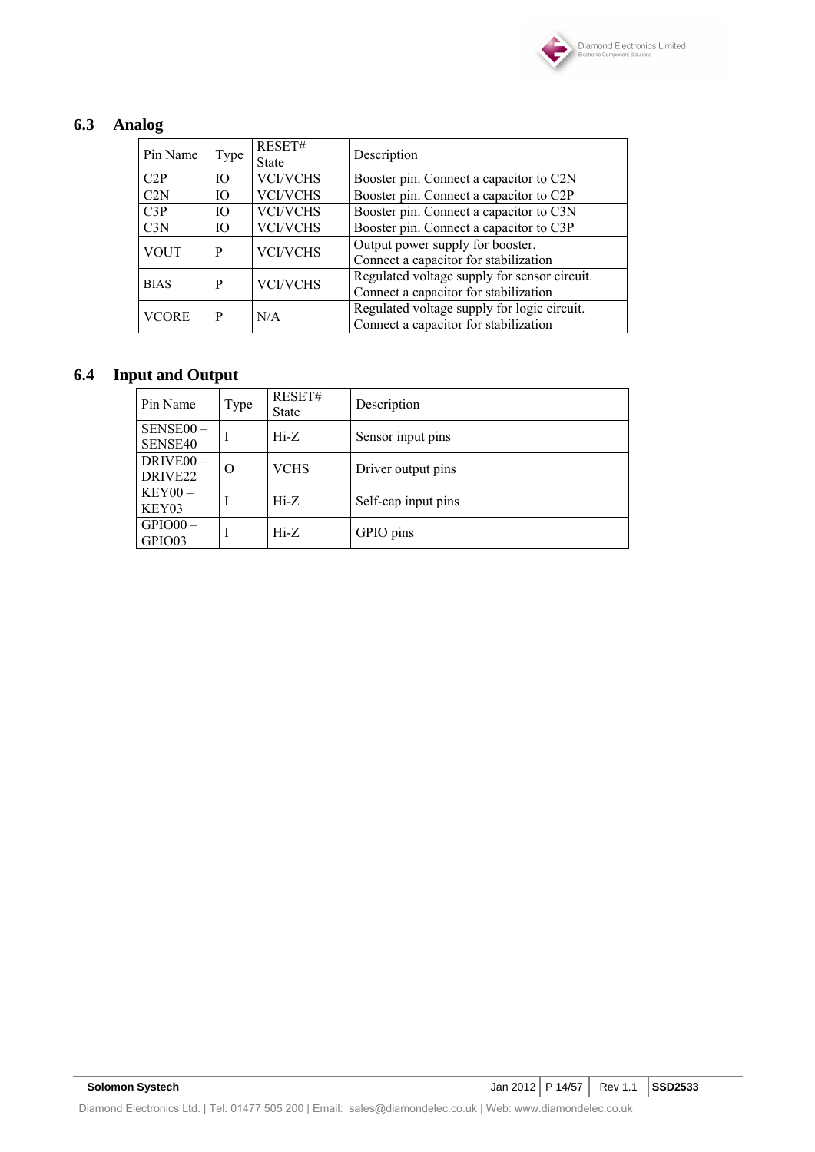

# **6.3 Analog**

| Pin Name        | Type | RESET#<br><b>State</b> | Description                                                                           |
|-----------------|------|------------------------|---------------------------------------------------------------------------------------|
| C2P             | IO.  | <b>VCI/VCHS</b>        | Booster pin. Connect a capacitor to C2N                                               |
| C2N             | IO   | <b>VCI/VCHS</b>        | Booster pin. Connect a capacitor to C2P                                               |
| C3P             | IO   | <b>VCI/VCHS</b>        | Booster pin. Connect a capacitor to C3N                                               |
| C <sub>3N</sub> | IO   | <b>VCI/VCHS</b>        | Booster pin. Connect a capacitor to C3P                                               |
| <b>VOUT</b>     | P    | <b>VCI/VCHS</b>        | Output power supply for booster.<br>Connect a capacitor for stabilization             |
| <b>BIAS</b>     | P    | <b>VCI/VCHS</b>        | Regulated voltage supply for sensor circuit.<br>Connect a capacitor for stabilization |
| <b>VCORE</b>    | P    | N/A                    | Regulated voltage supply for logic circuit.<br>Connect a capacitor for stabilization  |

# **6.4 Input and Output**

| Pin Name                                     | Type | RESET#<br><b>State</b> | Description         |
|----------------------------------------------|------|------------------------|---------------------|
| SENSE00-<br>SENSE40                          | I    | $Hi-Z$                 | Sensor input pins   |
| DRIVE <sub>00</sub> -<br>DRIVE <sub>22</sub> | O    | <b>VCHS</b>            | Driver output pins  |
| $KEY00-$<br>KEY03                            |      | $Hi-Z$                 | Self-cap input pins |
| $GPIO00 -$<br>GPIO03                         |      | $Hi-Z$                 | GPIO pins           |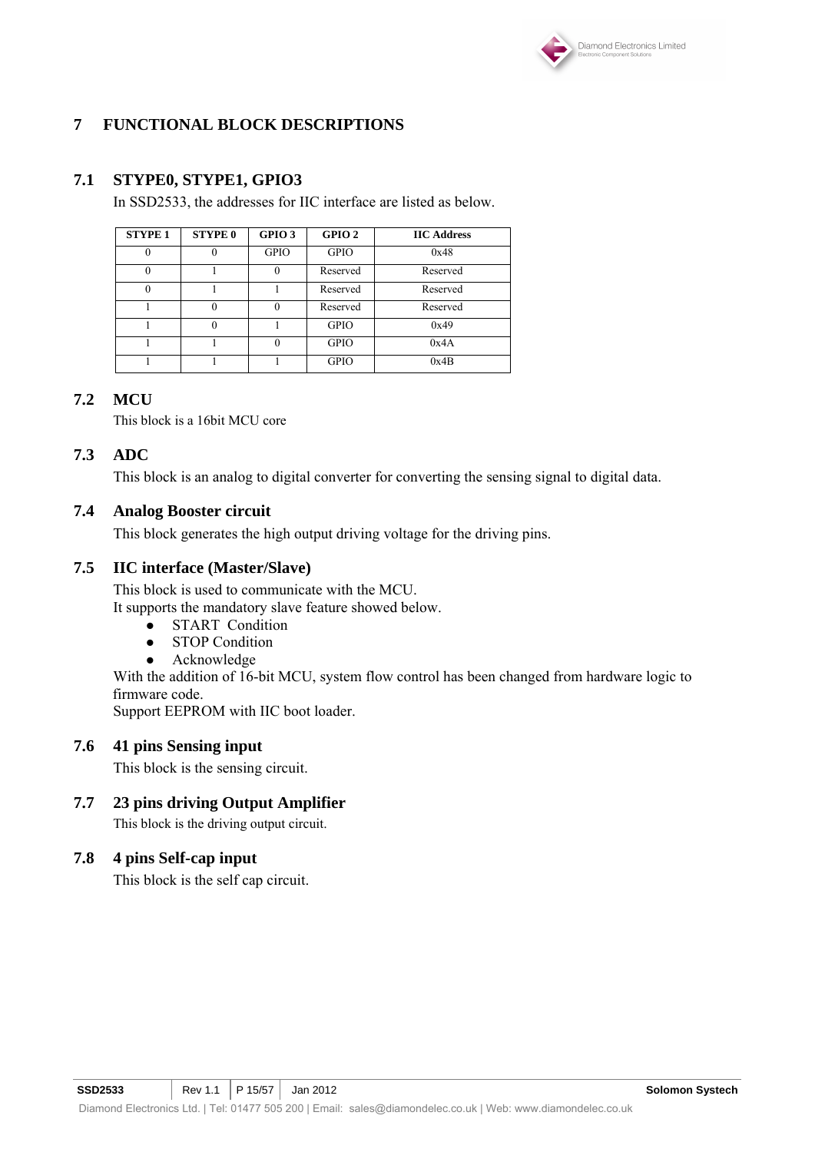

# **7 FUNCTIONAL BLOCK DESCRIPTIONS**

### **7.1 STYPE0, STYPE1, GPIO3**

In SSD2533, the addresses for IIC interface are listed as below.

| <b>STYPE 1</b> | <b>STYPE 0</b> | GPIO <sub>3</sub> | GPIO <sub>2</sub> | <b>IIC Address</b> |
|----------------|----------------|-------------------|-------------------|--------------------|
|                |                | <b>GPIO</b>       | <b>GPIO</b>       | 0x48               |
|                |                |                   | Reserved          | Reserved           |
| 0              |                |                   | Reserved          | Reserved           |
|                |                |                   | Reserved          | Reserved           |
|                |                |                   | <b>GPIO</b>       | 0x49               |
|                |                |                   | <b>GPIO</b>       | 0x4A               |
|                |                |                   | <b>GPIO</b>       | 0x4B               |

### **7.2 MCU**

This block is a 16bit MCU core

### **7.3 ADC**

This block is an analog to digital converter for converting the sensing signal to digital data.

### **7.4 Analog Booster circuit**

This block generates the high output driving voltage for the driving pins.

### **7.5 IIC interface (Master/Slave)**

This block is used to communicate with the MCU. It supports the mandatory slave feature showed below.

- START Condition
- STOP Condition
- Acknowledge

With the addition of 16-bit MCU, system flow control has been changed from hardware logic to firmware code.

Support EEPROM with IIC boot loader.

### **7.6 41 pins Sensing input**

This block is the sensing circuit.

# **7.7 23 pins driving Output Amplifier**

This block is the driving output circuit.

### **7.8 4 pins Self-cap input**

This block is the self cap circuit.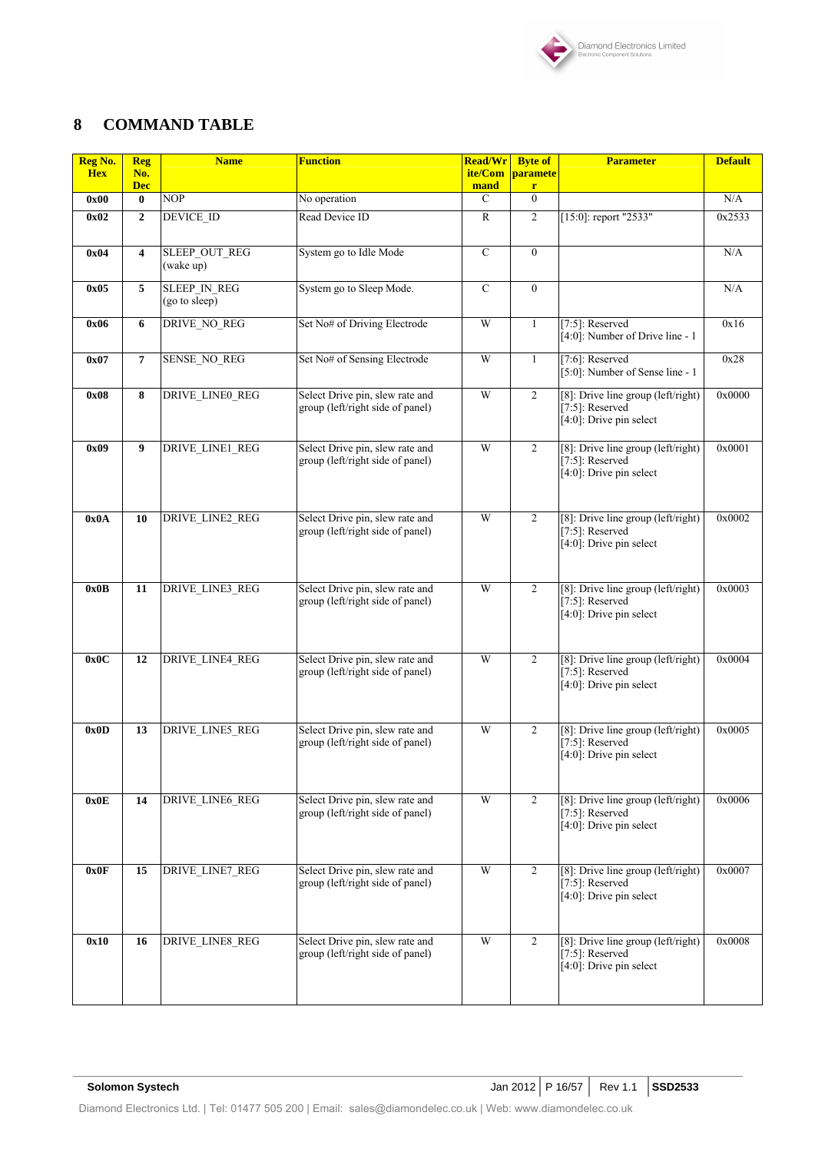

# **8 COMMAND TABLE**

| Reg No.<br><b>Hex</b> | <b>Reg</b><br>No. | <b>Name</b>                          | <b>Function</b>                                                                                                                                            | <b>Read/Wr</b><br>ite/Com                                                                                                | <b>Byte of</b><br>paramete         | <b>Parameter</b>                                                                        | <b>Default</b> |
|-----------------------|-------------------|--------------------------------------|------------------------------------------------------------------------------------------------------------------------------------------------------------|--------------------------------------------------------------------------------------------------------------------------|------------------------------------|-----------------------------------------------------------------------------------------|----------------|
|                       | <b>Dec</b>        |                                      |                                                                                                                                                            | mand                                                                                                                     | r                                  |                                                                                         |                |
| 0x00                  | $\bf{0}$          | <b>NOP</b>                           | No operation                                                                                                                                               | $\mathcal{C}$                                                                                                            | $\theta$                           |                                                                                         | N/A            |
| 0x02                  | $\mathbf{2}$      | DEVICE_ID                            | Read Device ID                                                                                                                                             | $\mathbb{R}$                                                                                                             | $\overline{2}$                     | [15:0]: report "2533"                                                                   | 0x2533         |
| 0x04                  | 4                 | SLEEP_OUT_REG<br>(wake up)           | System go to Idle Mode                                                                                                                                     | $\mathbf C$                                                                                                              | $\mathbf{0}$                       |                                                                                         | N/A            |
| 0x05                  | 5                 | <b>SLEEP IN REG</b><br>(go to sleep) | System go to Sleep Mode.                                                                                                                                   | $\overline{C}$                                                                                                           | $\overline{0}$                     |                                                                                         | N/A            |
| 0x06                  | 6                 | DRIVE_NO_REG                         | Set No# of Driving Electrode                                                                                                                               | W                                                                                                                        | $\mathbf{1}$                       | $[7:5]$ : Reserved<br>[4:0]: Number of Drive line - 1                                   | 0x16           |
| 0x07                  | 7                 | SENSE_NO_REG                         | Set No# of Sensing Electrode                                                                                                                               | W                                                                                                                        | 1                                  | $[7:6]$ : Reserved<br>[5:0]: Number of Sense line - 1                                   | 0x28           |
| 0x08                  | 8                 | DRIVE_LINE0_REG                      | Select Drive pin, slew rate and<br>group (left/right side of panel)                                                                                        | W<br>$\overline{2}$<br>[8]: Drive line group (left/right)<br>$[7:5]$ : Reserved<br>$\overline{[4:0]}$ : Drive pin select |                                    | 0x0000                                                                                  |                |
| 0x09                  | 9                 | DRIVE_LINE1_REG                      | Select Drive pin, slew rate and<br>group (left/right side of panel)                                                                                        | W<br>2<br>[8]: Drive line group (left/right)<br>$[7:5]$ : Reserved<br>[4:0]: Drive pin select                            |                                    | 0x0001                                                                                  |                |
| 0x0A                  | 10                | <b>DRIVE LINE2 REG</b>               | W<br>$\overline{2}$<br>Select Drive pin, slew rate and<br>$[7:5]$ : Reserved<br>group (left/right side of panel)<br>[4:0]: Drive pin select                |                                                                                                                          | [8]: Drive line group (left/right) | 0x0002                                                                                  |                |
| 0x0B                  | 11                | DRIVE_LINE3_REG                      | Select Drive pin, slew rate and<br>W<br>$\overline{2}$<br>$[7:5]$ : Reserved<br>group (left/right side of panel)<br>$[4:0]$ : Drive pin select             |                                                                                                                          | [8]: Drive line group (left/right) | 0x0003                                                                                  |                |
| 0x0C                  | 12                | DRIVE_LINE4_REG                      | Select Drive pin, slew rate and<br>group (left/right side of panel)                                                                                        | W                                                                                                                        | 2                                  | [8]: Drive line group (left/right)<br>$[7:5]$ : Reserved<br>[4:0]: Drive pin select     | 0x0004         |
| 0x0D                  | 13                | DRIVE_LINE5_REG                      | Select Drive pin, slew rate and<br>group (left/right side of panel)                                                                                        | W                                                                                                                        | $\overline{2}$                     | [8]: Drive line group (left/right)<br>$[7:5]$ : Reserved<br>$[4:0]$ : Drive pin select  | 0x0005         |
| 0x0E                  | 14                | DRIVE_LINE6_REG                      | W<br>Select Drive pin, slew rate and<br>$\overline{c}$<br>group (left/right side of panel)<br>[ $7:5$ ]: Reserved<br>$\overline{[4:0]}$ : Drive pin select |                                                                                                                          | [8]: Drive line group (left/right) | 0x0006                                                                                  |                |
| 0x0F                  | 15                | DRIVE_LINE7_REG                      | Select Drive pin, slew rate and<br>group (left/right side of panel)                                                                                        | W<br>$\overline{2}$<br>$[7:5]$ : Reserved<br>$[4:0]$ : Drive pin select                                                  |                                    | $[8]$ : Drive line group (left/right)                                                   | 0x0007         |
| 0x10                  | 16                | DRIVE_LINE8_REG                      | Select Drive pin, slew rate and<br>group (left/right side of panel)                                                                                        | W                                                                                                                        | $\overline{2}$                     | [8]: Drive line group (left/right)<br>[ $7:5$ ]: Reserved<br>$[4:0]$ : Drive pin select | 0x0008         |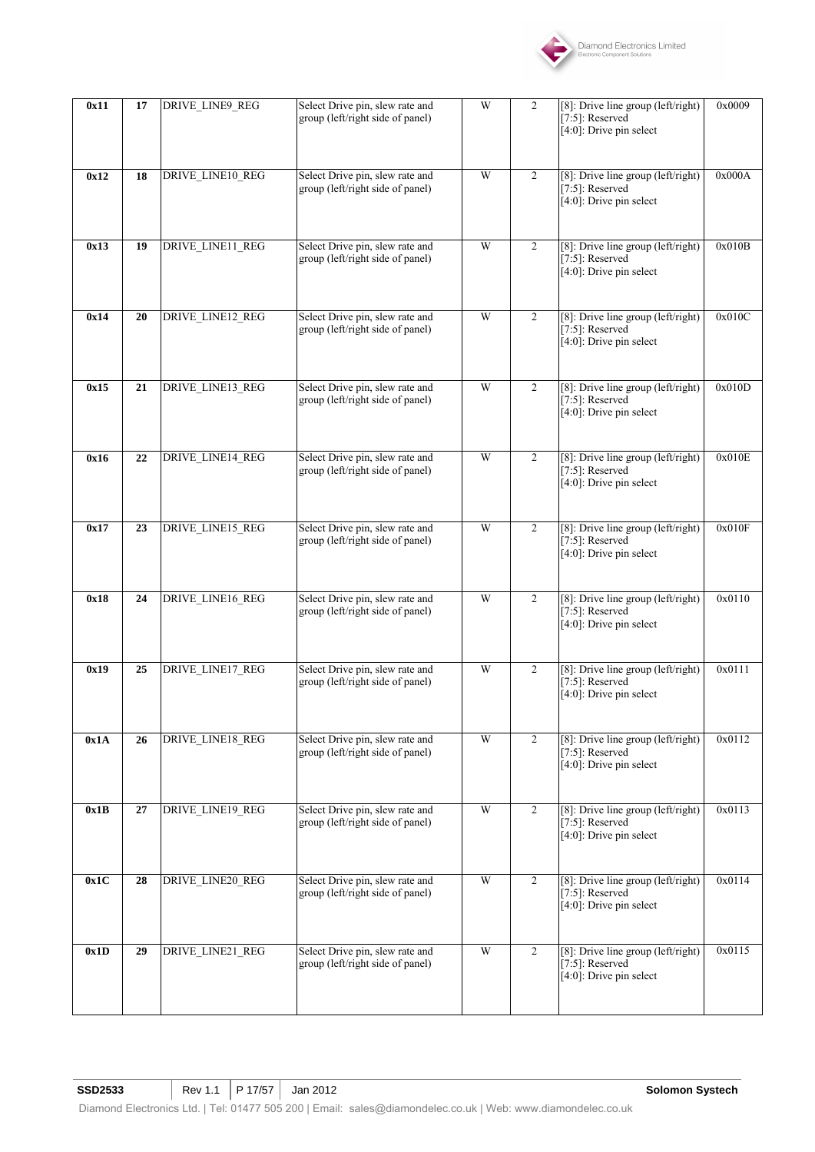

| 0x11 | 17 | DRIVE_LINE9_REG  | Select Drive pin, slew rate and<br>group (left/right side of panel) | W                                                                                                                        | 2                                                                                        | [8]: Drive line group (left/right)<br>$[7:5]$ : Reserved<br>[4:0]: Drive pin select               | 0x0009 |
|------|----|------------------|---------------------------------------------------------------------|--------------------------------------------------------------------------------------------------------------------------|------------------------------------------------------------------------------------------|---------------------------------------------------------------------------------------------------|--------|
| 0x12 | 18 | DRIVE_LINE10_REG | Select Drive pin, slew rate and<br>group (left/right side of panel) | W                                                                                                                        | $\overline{2}$                                                                           | [8]: Drive line group (left/right)<br>[ $7:5$ ]: Reserved<br>[4:0]: Drive pin select              | 0x000A |
| 0x13 | 19 | DRIVE_LINE11_REG | Select Drive pin, slew rate and<br>group (left/right side of panel) | W                                                                                                                        | $\overline{2}$                                                                           | [8]: Drive line group (left/right)<br>[7:5]: Reserved<br>$[4:0]$ : Drive pin select               | 0x010B |
| 0x14 | 20 | DRIVE_LINE12_REG | Select Drive pin, slew rate and<br>group (left/right side of panel) | W                                                                                                                        | $\overline{2}$                                                                           | [8]: Drive line group (left/right)<br>[ $7:5$ ]: Reserved<br>[4:0]: Drive pin select              | 0x010C |
| 0x15 | 21 | DRIVE_LINE13_REG | Select Drive pin, slew rate and<br>group (left/right side of panel) | W<br>$\overline{2}$<br>[8]: Drive line group (left/right)<br>$[7:5]$ : Reserved<br>$\overline{[4:0]}$ : Drive pin select |                                                                                          | 0x010D                                                                                            |        |
| 0x16 | 22 | DRIVE_LINE14_REG | Select Drive pin, slew rate and<br>group (left/right side of panel) | W                                                                                                                        | [8]: Drive line group (left/right)<br>2<br>$[7:5]$ : Reserved<br>[4:0]: Drive pin select |                                                                                                   | 0x010E |
| 0x17 | 23 | DRIVE_LINE15_REG | Select Drive pin, slew rate and<br>group (left/right side of panel) | W                                                                                                                        | $\overline{2}$                                                                           | [8]: Drive line group (left/right)<br>$[7:5]$ : Reserved<br>[4:0]: Drive pin select               | 0x010F |
| 0x18 | 24 | DRIVE_LINE16_REG | Select Drive pin, slew rate and<br>group (left/right side of panel) | W                                                                                                                        | $\overline{2}$                                                                           | [8]: Drive line group (left/right)<br>[7:5]: Reserved<br>$[4:0]$ : Drive pin select               | 0x0110 |
| 0x19 | 25 | DRIVE_LINE17_REG | Select Drive pin, slew rate and<br>group (left/right side of panel) | W                                                                                                                        | $\overline{2}$                                                                           | [8]: Drive line group (left/right)<br>$[7:5]$ : Reserved<br>[4:0]: Drive pin select               | 0x0111 |
| 0x1A | 26 | DRIVE_LINE18_REG | Select Drive pin, slew rate and<br>group (left/right side of panel) | W                                                                                                                        | $\overline{2}$                                                                           | [8]: Drive line group (left/right)<br>$[7:5]$ : Reserved<br>$\overline{[4:0]}$ : Drive pin select | 0x0112 |
| 0x1B | 27 | DRIVE_LINE19_REG | Select Drive pin, slew rate and<br>group (left/right side of panel) | W                                                                                                                        | $\overline{2}$                                                                           | [8]: Drive line group (left/right)<br>$[7:5]$ : Reserved<br>[4:0]: Drive pin select               | 0x0113 |
| 0x1C | 28 | DRIVE_LINE20_REG | Select Drive pin, slew rate and<br>group (left/right side of panel) | W                                                                                                                        | $\overline{2}$                                                                           | [8]: Drive line group (left/right)<br>[ $7:5$ ]: Reserved<br>[4:0]: Drive pin select              | 0x0114 |
| 0x1D | 29 | DRIVE_LINE21_REG | Select Drive pin, slew rate and<br>group (left/right side of panel) | W                                                                                                                        | $\overline{2}$                                                                           | [8]: Drive line group (left/right)<br>$[7:5]$ : Reserved<br>$[4:0]$ : Drive pin select            | 0x0115 |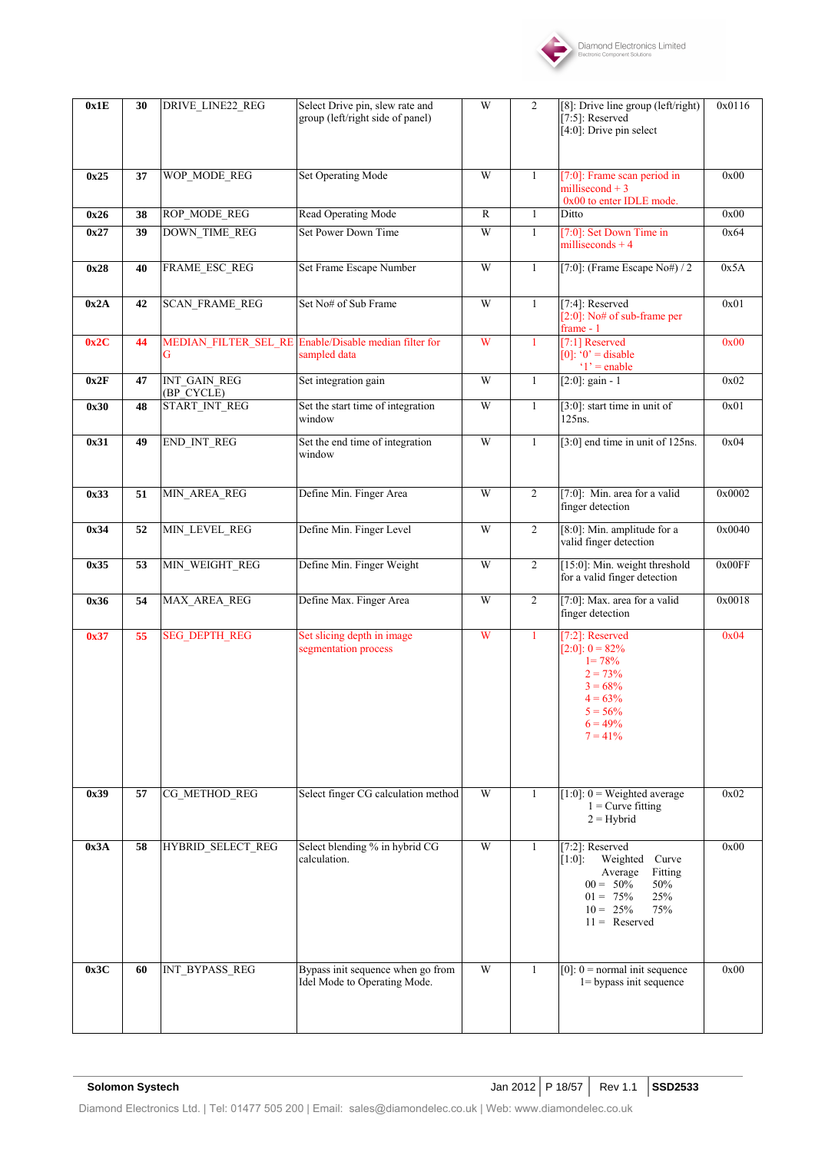

| 0x1E | 30 | <b>DRIVE LINE22 REG</b>    | Select Drive pin, slew rate and<br>group (left/right side of panel) | W                                                                                                                                                                                 | 2                                                                               | [8]: Drive line group (left/right)<br>$[7:5]$ : Reserved<br>[4:0]: Drive pin select                                                 | 0x0116 |
|------|----|----------------------------|---------------------------------------------------------------------|-----------------------------------------------------------------------------------------------------------------------------------------------------------------------------------|---------------------------------------------------------------------------------|-------------------------------------------------------------------------------------------------------------------------------------|--------|
| 0x25 | 37 | WOP MODE REG               | <b>Set Operating Mode</b>                                           | W                                                                                                                                                                                 | $\mathbf{1}$                                                                    | $[7:0]$ : Frame scan period in<br>millisecond $+3$<br>0x00 to enter IDLE mode.                                                      | 0x00   |
| 0x26 | 38 | ROP_MODE_REG               | Read Operating Mode                                                 | $\mathbb{R}$                                                                                                                                                                      | 1                                                                               | Ditto                                                                                                                               | 0x00   |
| 0x27 | 39 | <b>DOWN TIME REG</b>       | Set Power Down Time                                                 | W                                                                                                                                                                                 | $\mathbf{1}$                                                                    | [7:0]: Set Down Time in<br>milliseconds $+4$                                                                                        | 0x64   |
| 0x28 | 40 | FRAME_ESC_REG              | Set Frame Escape Number                                             | W                                                                                                                                                                                 | $\mathbf{1}$                                                                    | [7:0]: (Frame Escape No#) / 2                                                                                                       | 0x5A   |
| 0x2A | 42 | <b>SCAN_FRAME_REG</b>      | Set No# of Sub Frame                                                | W<br>$[7:4]$ : Reserved<br>1<br>[ $2:0$ ]: No# of sub-frame per<br>frame - 1                                                                                                      |                                                                                 | 0x01                                                                                                                                |        |
| 0x2C | 44 | MEDIAN FILTER SEL RE<br>G  | Enable/Disable median filter for<br>sampled data                    | W<br>[7:1] Reserved<br>1<br>$[0]$ : '0' = disable<br>$'1'$ = enable                                                                                                               |                                                                                 | 0x00                                                                                                                                |        |
| 0x2F | 47 | INT_GAIN_REG<br>(BP_CYCLE) | Set integration gain                                                | W                                                                                                                                                                                 | 1                                                                               | $[2:0]$ : gain - 1                                                                                                                  | 0x02   |
| 0x30 | 48 | START_INT_REG              | Set the start time of integration<br>window                         | W                                                                                                                                                                                 | $\mathbf{1}$                                                                    | $[3:0]$ : start time in unit of<br>125ns.                                                                                           | 0x01   |
| 0x31 | 49 | END_INT_REG                | Set the end time of integration<br>window                           | W<br>[3:0] end time in unit of 125ns.<br>$\mathbf{1}$                                                                                                                             |                                                                                 | 0x04                                                                                                                                |        |
| 0x33 | 51 | MIN_AREA_REG               | Define Min. Finger Area                                             | W                                                                                                                                                                                 | $\overline{2}$<br>[7:0]: Min. area for a valid<br>finger detection              |                                                                                                                                     | 0x0002 |
| 0x34 | 52 | MIN_LEVEL_REG              | Define Min. Finger Level                                            | W                                                                                                                                                                                 | $\overline{c}$                                                                  | [8:0]: Min. amplitude for a<br>valid finger detection                                                                               | 0x0040 |
| 0x35 | 53 | MIN_WEIGHT_REG             | Define Min. Finger Weight                                           | W                                                                                                                                                                                 | [15:0]: Min. weight threshold<br>$\overline{2}$<br>for a valid finger detection |                                                                                                                                     | 0x00FF |
| 0x36 | 54 | MAX_AREA_REG               | Define Max. Finger Area                                             | W                                                                                                                                                                                 | $\overline{2}$                                                                  | [7:0]: Max. area for a valid<br>finger detection                                                                                    | 0x0018 |
| 0x37 | 55 | <b>SEG DEPTH REG</b>       | Set slicing depth in image<br>segmentation process                  | W                                                                                                                                                                                 | 1                                                                               | $[7:2]$ : Reserved<br>$[2:0]: 0 = 82\%$<br>$1 = 78%$<br>$2 = 73%$<br>$3 = 68%$<br>$4 = 63%$<br>$5 = 56\%$<br>$6 = 49%$<br>$7 = 41%$ | 0x04   |
| 0x39 | 57 | CG_METHOD_REG              | Select finger CG calculation method                                 | W                                                                                                                                                                                 | $\mathbf{1}$                                                                    | [1:0]: $0 = Weighted average$<br>$1 =$ Curve fitting<br>$2 =$ Hybrid                                                                | 0x02   |
| 0x3A | 58 | HYBRID_SELECT_REG          | Select blending % in hybrid CG<br>calculation.                      | W<br>$\mathbf{1}$<br>$[7:2]$ : Reserved<br>$[1:0]$ :<br>Weighted Curve<br>Average<br>Fitting<br>$00 = 50\%$<br>50%<br>$01 = 75\%$<br>25%<br>$10 = 25\%$<br>75%<br>$11 =$ Reserved |                                                                                 | 0x00                                                                                                                                |        |
| 0x3C | 60 | INT_BYPASS_REG             | Bypass init sequence when go from<br>Idel Mode to Operating Mode.   | W                                                                                                                                                                                 | 1                                                                               | $[0]$ : $0$ = normal init sequence<br>$1 =$ bypass init sequence                                                                    | 0x00   |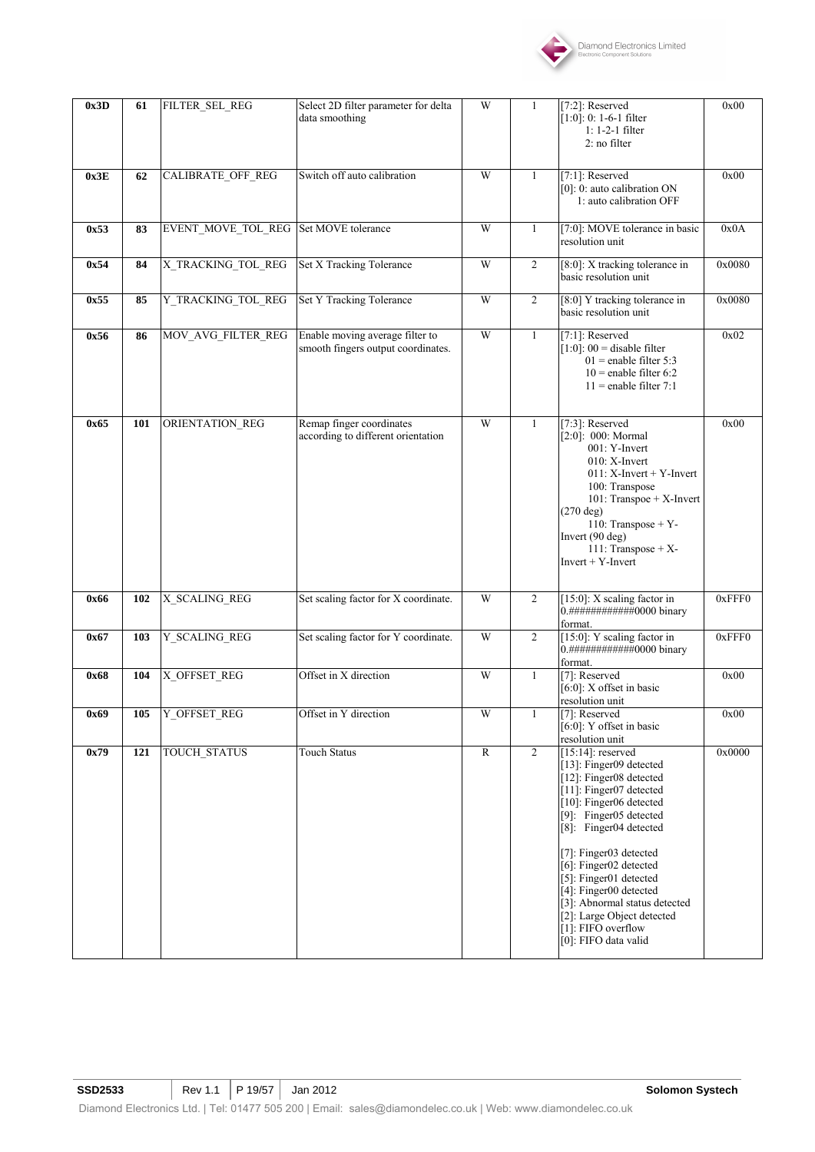

| 0x3D | 61  | FILTER_SEL_REG                        | Select 2D filter parameter for delta<br>data smoothing                                                                                                                                                                                                                             | W              | 1                                                                            | [7:2]: Reserved<br>$[1:0]: 0: 1-6-1$ filter<br>$1: 1-2-1$ filter<br>2: no filter                                                                                                                                                                                                                                                                                                                          | 0x00   |
|------|-----|---------------------------------------|------------------------------------------------------------------------------------------------------------------------------------------------------------------------------------------------------------------------------------------------------------------------------------|----------------|------------------------------------------------------------------------------|-----------------------------------------------------------------------------------------------------------------------------------------------------------------------------------------------------------------------------------------------------------------------------------------------------------------------------------------------------------------------------------------------------------|--------|
| 0x3E | 62  | CALIBRATE_OFF_REG                     | Switch off auto calibration                                                                                                                                                                                                                                                        | W              | $\mathbf{1}$                                                                 | $[7:1]$ : Reserved<br>[0]: 0: auto calibration ON<br>1: auto calibration OFF                                                                                                                                                                                                                                                                                                                              | 0x00   |
| 0x53 | 83  | EVENT_MOVE_TOL_REG Set MOVE tolerance |                                                                                                                                                                                                                                                                                    | W              | 1                                                                            | [7:0]: MOVE tolerance in basic<br>resolution unit                                                                                                                                                                                                                                                                                                                                                         | 0x0A   |
| 0x54 | 84  | X_TRACKING_TOL_REG                    | Set X Tracking Tolerance                                                                                                                                                                                                                                                           | W              | $\overline{2}$                                                               | [8:0]: X tracking tolerance in<br>basic resolution unit                                                                                                                                                                                                                                                                                                                                                   | 0x0080 |
| 0x55 | 85  | Y_TRACKING_TOL_REG                    | <b>Set Y Tracking Tolerance</b>                                                                                                                                                                                                                                                    | W              | $\overline{2}$                                                               | [8:0] Y tracking tolerance in<br>basic resolution unit                                                                                                                                                                                                                                                                                                                                                    | 0x0080 |
| 0x56 | 86  | MOV_AVG_FILTER_REG                    | Enable moving average filter to<br>smooth fingers output coordinates.                                                                                                                                                                                                              | W              | 1                                                                            | $[7:1]$ : Reserved<br>$[1:0]$ : 00 = disable filter<br>$01$ = enable filter 5:3<br>$10$ = enable filter 6:2<br>$11$ = enable filter 7:1                                                                                                                                                                                                                                                                   | 0x02   |
| 0x65 | 101 | ORIENTATION_REG                       | W<br>Remap finger coordinates<br>$\mathbf{1}$<br>according to different orientation<br>[2:0]: 000: Mormal<br>001: Y-Invert<br>$010$ : X-Invert<br>100: Transpose<br>$(270 \text{ deg})$<br>110: Transpose + Y-<br>Invert (90 deg)<br>111: Transpose + $X$ -<br>$Invert + Y-Invert$ |                | $[7:3]$ : Reserved<br>$011: X-ensure + Y-Invert$<br>101: Transpoe + X-Invert | 0x00                                                                                                                                                                                                                                                                                                                                                                                                      |        |
| 0x66 | 102 | X_SCALING_REG                         | Set scaling factor for X coordinate.                                                                                                                                                                                                                                               | W              | $\overline{c}$                                                               | [15:0]: X scaling factor in<br>format.                                                                                                                                                                                                                                                                                                                                                                    | 0xFFF0 |
| 0x67 | 103 | <b>Y SCALING REG</b>                  | Set scaling factor for Y coordinate.                                                                                                                                                                                                                                               | W              | $\overline{c}$                                                               | [15:0]: Y scaling factor in<br>0.#############0000 binary<br>format.                                                                                                                                                                                                                                                                                                                                      | 0xFFF0 |
| 0x68 | 104 | X_OFFSET_REG                          | Offset in X direction                                                                                                                                                                                                                                                              | W              | 1                                                                            | [7]: Reserved<br>$[6:0]$ : X offset in basic<br>resolution unit                                                                                                                                                                                                                                                                                                                                           | 0x00   |
| 0x69 | 105 | Y_OFFSET_REG                          | Offset in Y direction                                                                                                                                                                                                                                                              | W              | 1                                                                            | [7]: Reserved<br>$[6:0]$ : Y offset in basic<br>resolution unit                                                                                                                                                                                                                                                                                                                                           | 0x00   |
| 0x79 | 121 | TOUCH_STATUS                          | <b>Touch Status</b>                                                                                                                                                                                                                                                                | $\overline{R}$ | $\overline{2}$                                                               | $[15:14]$ : reserved<br>[13]: Finger09 detected<br>[12]: Finger08 detected<br>[11]: Finger07 detected<br>[10]: Finger06 detected<br>[9]: Finger05 detected<br>[8]: Finger04 detected<br>[7]: Finger03 detected<br>[6]: Finger02 detected<br>[5]: Finger01 detected<br>[4]: Finger00 detected<br>[3]: Abnormal status detected<br>[2]: Large Object detected<br>[1]: FIFO overflow<br>[0]: FIFO data valid | 0x0000 |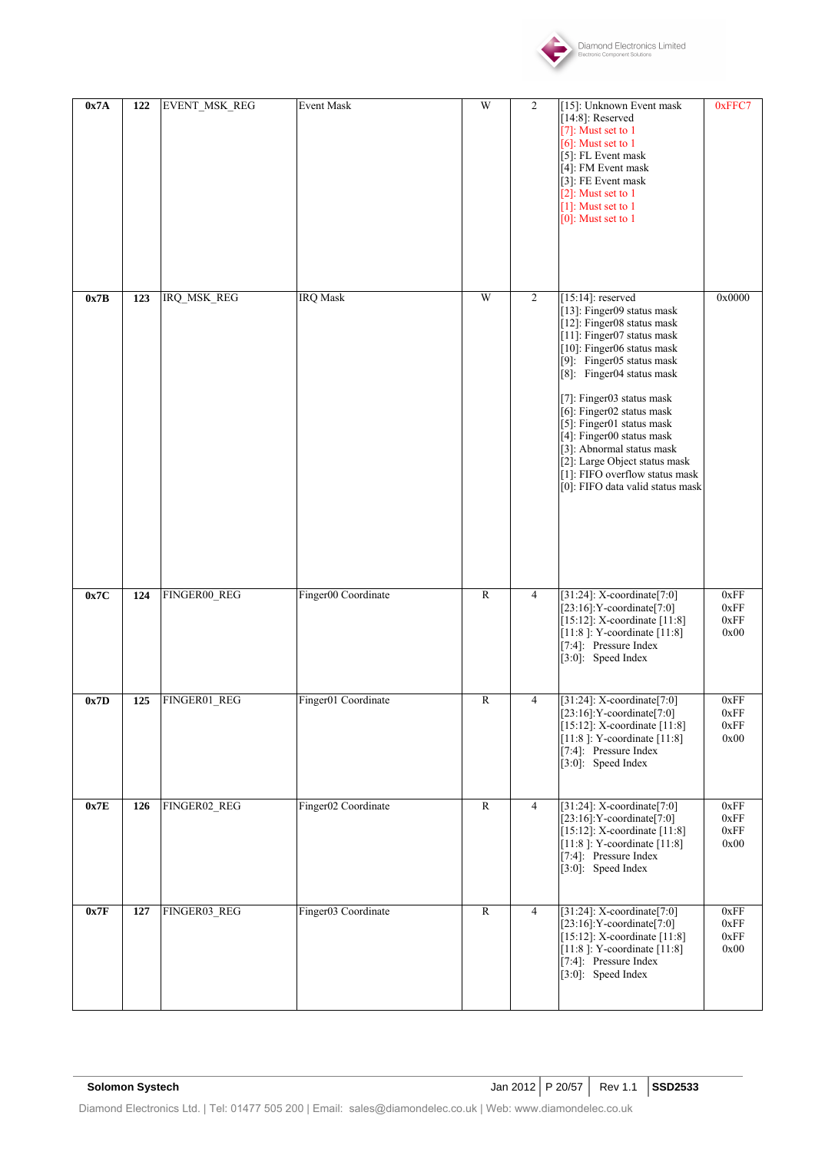

| 0x7A | 122 | EVENT_MSK_REG      | Event Mask          | W              | $\overline{c}$ | [15]: Unknown Event mask<br>$[14:8]$ : Reserved<br>[7]: Must set to $1$<br>$[6]$ : Must set to 1<br>[5]: FL Event mask<br>[4]: FM Event mask<br>[3]: FE Event mask<br>[2]: Must set to $1$<br>[1]: Must set to $1$<br>$[0]$ : Must set to 1                                                                                                                                                                                                                    | 0xFFC7                       |
|------|-----|--------------------|---------------------|----------------|----------------|----------------------------------------------------------------------------------------------------------------------------------------------------------------------------------------------------------------------------------------------------------------------------------------------------------------------------------------------------------------------------------------------------------------------------------------------------------------|------------------------------|
| 0x7B | 123 | <b>IRQ_MSK_REG</b> | <b>IRQ</b> Mask     | W              | $\overline{2}$ | $[15:14]$ : reserved<br>[13]: Finger09 status mask<br>[12]: Finger08 status mask<br>[11]: Finger07 status mask<br>[10]: Finger06 status mask<br>[9]: Finger05 status mask<br>[8]: Finger04 status mask<br>[7]: Finger03 status mask<br>[6]: Finger02 status mask<br>[5]: Finger01 status mask<br>[4]: Finger00 status mask<br>[3]: Abnormal status mask<br>[2]: Large Object status mask<br>[1]: FIFO overflow status mask<br>[0]: FIFO data valid status mask | 0x0000                       |
| 0x7C | 124 | FINGER00_REG       | Finger00 Coordinate | $\overline{R}$ | $\overline{4}$ | [31:24]: X-coordinate[7:0]<br>$[23:16]$ : Y-coordinate $[7:0]$<br>$[15:12]$ : X-coordinate $[11:8]$<br>[11:8]: Y-coordinate [11:8]<br>[7:4]: Pressure Index<br>$\overline{[3:0]}$ : Speed Index                                                                                                                                                                                                                                                                | 0xFF<br>0xFF<br>0xFF<br>0x00 |
| 0x7D | 125 | FINGER01_REG       | Finger01 Coordinate | $\mathbb{R}$   | $\overline{4}$ | [31:24]: X-coordinate[7:0]<br>$[23:16]$ : Y-coordinate $[7:0]$<br>$[15:12]$ : X-coordinate $[11:8]$<br>[11:8]: Y-coordinate [11:8]<br>[7:4]: Pressure Index<br>[3:0]: Speed Index                                                                                                                                                                                                                                                                              | 0xFF<br>0xFF<br>0xFF<br>0x00 |
| 0x7E | 126 | FINGER02_REG       | Finger02 Coordinate | $\mathbb{R}$   | $\overline{4}$ | [31:24]: X-coordinate[7:0]<br>$[23:16]:Y$ -coordinate $[7:0]$<br>[15:12]: X-coordinate [11:8]<br>[11:8]: Y-coordinate $[11:8]$<br>[7:4]: Pressure Index<br>[3:0]: Speed Index                                                                                                                                                                                                                                                                                  | 0xFF<br>0xFF<br>0xFF<br>0x00 |
| 0x7F | 127 | FINGER03_REG       | Finger03 Coordinate | $\mathbb{R}$   | 4              | [31:24]: X-coordinate[7:0]<br>$[23:16]$ : Y-coordinate $[7:0]$<br>[15:12]: X-coordinate [11:8]<br>[11:8]: Y-coordinate $[11:8]$<br>[7:4]: Pressure Index<br>$\overline{[3:0]}$ : Speed Index                                                                                                                                                                                                                                                                   | 0xFF<br>0xFF<br>0xFF<br>0x00 |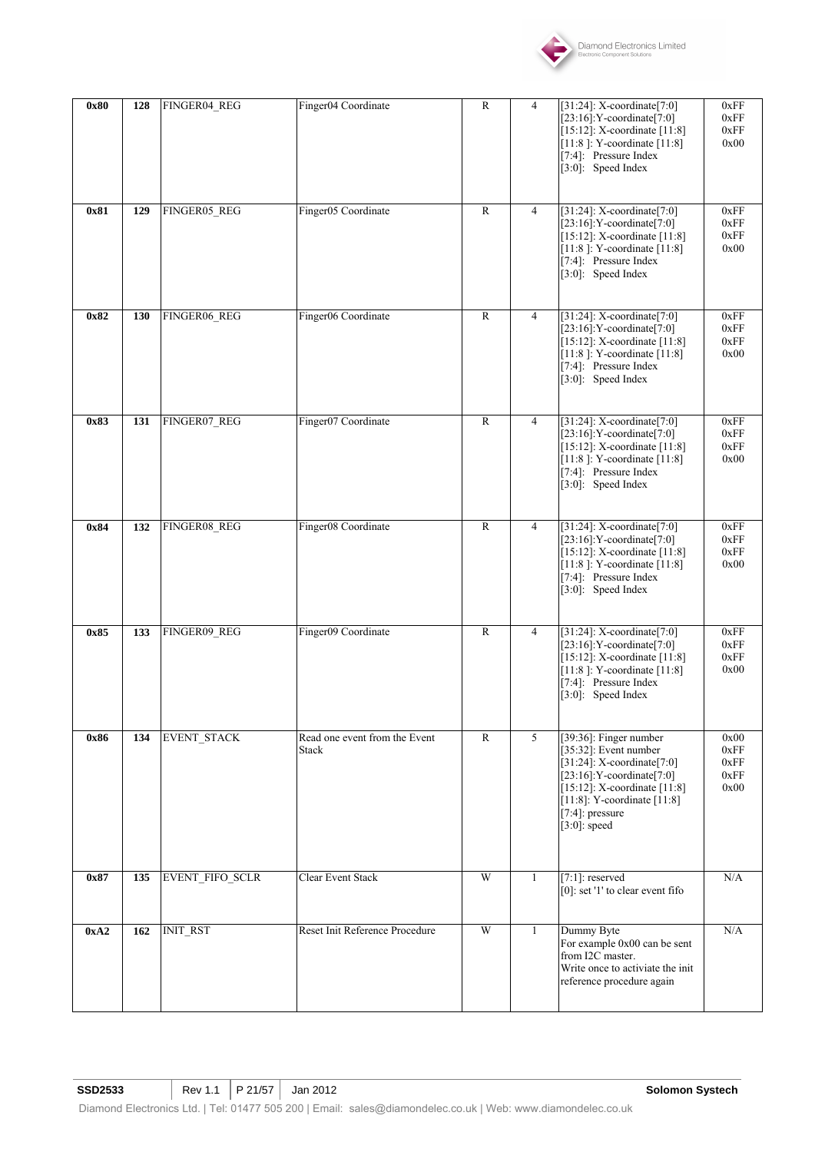

| 0x80 | 128 | FINGER04_REG       | Finger04 Coordinate                           | $\mathbb{R}$ | 4              | [31:24]: X-coordinate[7:0]<br>$[23:16]$ : Y-coordinate $[7:0]$<br>[15:12]: X-coordinate [11:8]<br>[11:8]: Y-coordinate [11:8]<br>[7:4]: Pressure Index<br>[3:0]: Speed Index                                                          | 0xFF<br>0xFF<br>0xFF<br>0x00         |
|------|-----|--------------------|-----------------------------------------------|--------------|----------------|---------------------------------------------------------------------------------------------------------------------------------------------------------------------------------------------------------------------------------------|--------------------------------------|
| 0x81 | 129 | FINGER05_REG       | Finger05 Coordinate                           | $\mathbb{R}$ | $\overline{4}$ | [31:24]: X-coordinate[7:0]<br>$[23:16]$ : Y-coordinate $[7:0]$<br>$[15:12]$ : X-coordinate $[11:8]$<br>[11:8]: Y-coordinate [11:8]<br>[7:4]: Pressure Index<br>[3:0]: Speed Index                                                     | 0xFF<br>0xFF<br>0xFF<br>0x00         |
| 0x82 | 130 | FINGER06_REG       | Finger06 Coordinate                           | $\mathbb{R}$ | $\overline{4}$ | [31:24]: X-coordinate[7:0]<br>$[23:16]:$ Y-coordinate $[7:0]$<br>$[15:12]$ : X-coordinate $[11:8]$<br>[11:8]: Y-coordinate [11:8]<br>[7:4]: Pressure Index<br>$[3:0]$ : Speed Index                                                   | 0xFF<br>0xFF<br>0xFF<br>0x00         |
| 0x83 | 131 | FINGER07_REG       | Finger07 Coordinate                           | $\mathbb{R}$ | $\overline{4}$ | [31:24]: X-coordinate[7:0]<br>$[23:16]:Y-coordinate [7:0]$<br>[15:12]: X-coordinate [11:8]<br>[11:8]: Y-coordinate $\overline{[11:8]}$<br>[7:4]: Pressure Index<br>[3:0]: Speed Index                                                 | 0xFF<br>0xFF<br>0xFF<br>0x00         |
| 0x84 | 132 | FINGER08_REG       | Finger08 Coordinate                           | $\mathbb{R}$ | $\overline{4}$ | [31:24]: X-coordinate[7:0]<br>$[23:16]$ : Y-coordinate $[7:0]$<br>[15:12]: X-coordinate [11:8]<br>[11:8]: Y-coordinate [11:8]<br>[7:4]: Pressure Index<br>[3:0]: Speed Index                                                          | 0xFF<br>0xFF<br>0xFF<br>0x00         |
| 0x85 | 133 | FINGER09_REG       | Finger09 Coordinate                           | $\mathbb{R}$ | $\overline{4}$ | [31:24]: X-coordinate[7:0]<br>$[23:16]$ : Y-coordinate $[7:0]$<br>$[15:12]$ : X-coordinate $[11:8]$<br>[11:8]: Y-coordinate [11:8]<br>[7:4]: Pressure Index<br>[3:0]: Speed Index                                                     | 0xFF<br>0xFF<br>0xFF<br>0x00         |
| 0x86 | 134 | <b>EVENT STACK</b> | Read one event from the Event<br><b>Stack</b> | $\mathbb{R}$ | 5              | [39:36]: Finger number<br>$[35:32]$ : Event number<br>$[31:24]$ : X-coordinate $[7:0]$<br>$[23:16]:Y-coordinate [7:0]$<br>$[15:12]$ : X-coordinate $[11:8]$<br>[11:8]: Y-coordinate $[11:8]$<br>$[7:4]$ : pressure<br>$[3:0]$ : speed | 0x00<br>0xFF<br>0xFF<br>0xFF<br>0x00 |
| 0x87 | 135 | EVENT_FIFO_SCLR    | Clear Event Stack                             | W            | 1              | $[7:1]$ : reserved<br>[0]: set '1' to clear event fifo                                                                                                                                                                                | N/A                                  |
| 0xA2 | 162 | <b>INIT_RST</b>    | Reset Init Reference Procedure                | W            | $\mathbf{1}$   | Dummy Byte<br>For example 0x00 can be sent<br>from I2C master.<br>Write once to activiate the init<br>reference procedure again                                                                                                       | N/A                                  |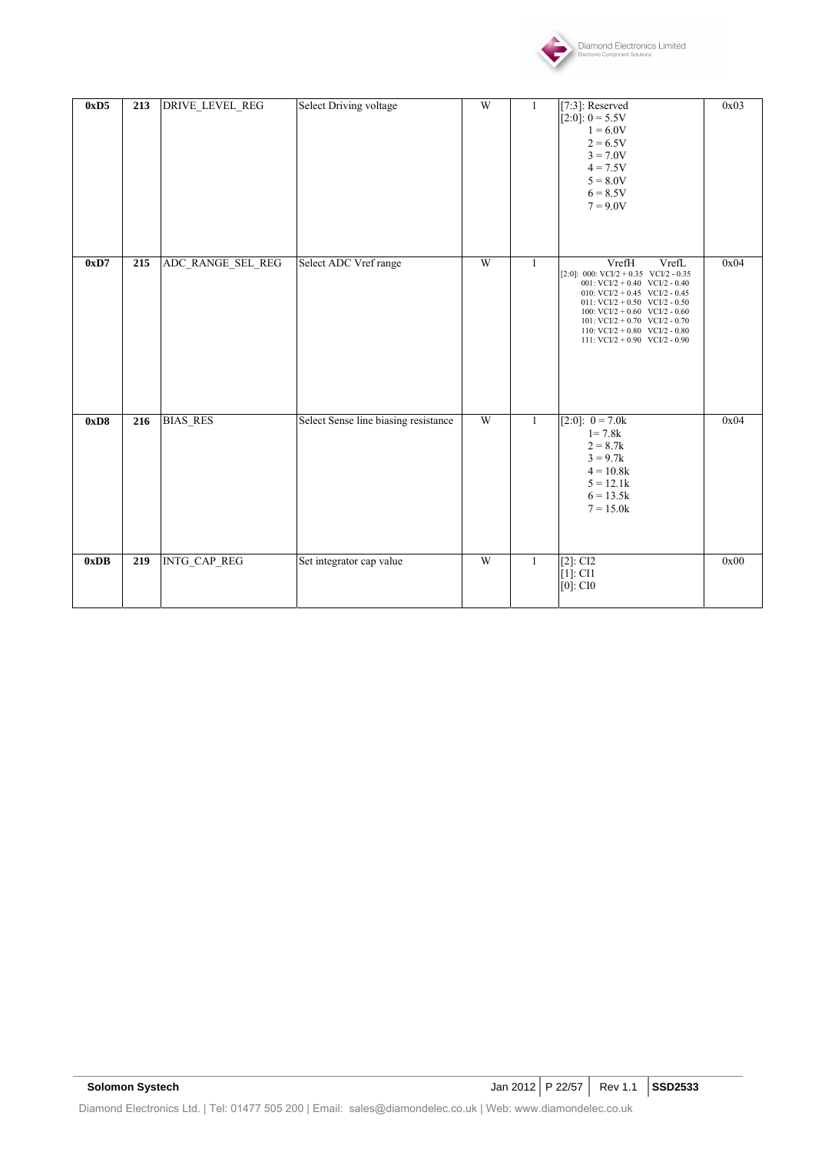

| 0xD5 | 213 | DRIVE_LEVEL_REG   | <b>Select Driving voltage</b>        | W | 1            | $[7:3]$ : Reserved<br>$[2:0]: 0 = 5.5V$<br>$1 = 6.0V$<br>$2 = 6.5V$<br>$3 = 7.0V$<br>$4 = 7.5V$<br>$5 = 8.0V$<br>$6 = 8.5V$<br>$7 = 9.0V$                                                                                                                                                                                     | 0x03 |
|------|-----|-------------------|--------------------------------------|---|--------------|-------------------------------------------------------------------------------------------------------------------------------------------------------------------------------------------------------------------------------------------------------------------------------------------------------------------------------|------|
| 0xD7 | 215 | ADC_RANGE_SEL_REG | Select ADC Vref range                | W | $\mathbf{1}$ | VrefL<br>VrefH<br>[2:0]: 000: $VCI/2 + 0.35$ $VCI/2 - 0.35$<br>001: VCI/2 + 0.40 VCI/2 - 0.40<br>010: $VCI/2 + 0.45$ $VCI/2 - 0.45$<br>011: $VCI/2 + 0.50$ $VCI/2 - 0.50$<br>100: VCI/2 + 0.60 VCI/2 - 0.60<br>101: $VCI/2 + 0.70$ $VCI/2 - 0.70$<br>110: $VCI/2 + 0.80$ $VCI/2 - 0.80$<br>111: $VCI/2 + 0.90$ $VCI/2 - 0.90$ | 0x04 |
| 0xD8 | 216 | <b>BIAS RES</b>   | Select Sense line biasing resistance | W | $\mathbf{1}$ | $[2:0]: 0 = 7.0k$<br>$1 = 7.8k$<br>$2 = 8.7k$<br>$3 = 9.7k$<br>$4 = 10.8k$<br>$5 = 12.1k$<br>$6 = 13.5k$<br>$7 = 15.0k$                                                                                                                                                                                                       | 0x04 |
| 0xDB | 219 | INTG_CAP_REG      | Set integrator cap value             | W | 1            | $[2]$ : CI2<br>$[1]$ : CI1<br>$[0]$ : CIO                                                                                                                                                                                                                                                                                     | 0x00 |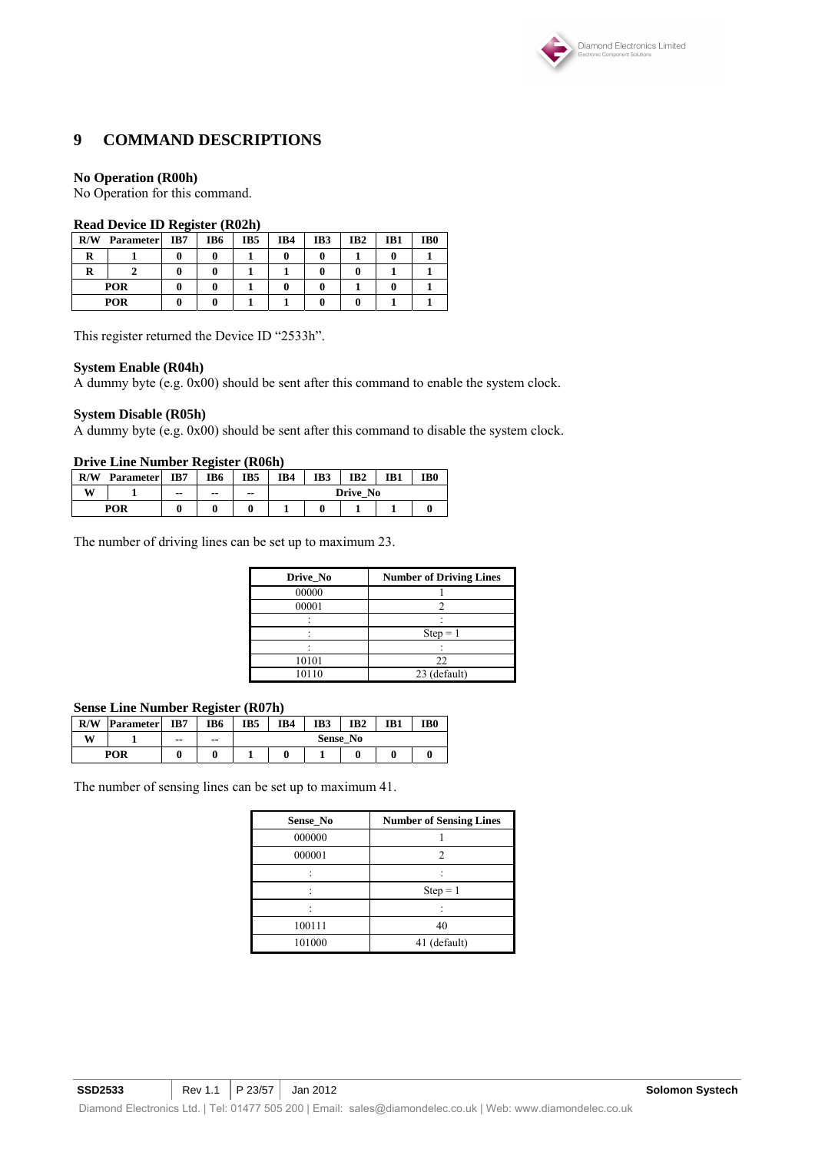

### **9 COMMAND DESCRIPTIONS**

#### **No Operation (R00h)**

No Operation for this command.

#### **Read Device ID Register (R02h)**

|     | .<br>-           |     |     |     |     |     |                 |     |                 |  |  |
|-----|------------------|-----|-----|-----|-----|-----|-----------------|-----|-----------------|--|--|
| R/W | <b>Parameter</b> | IB7 | IB6 | IB5 | IB4 | IB3 | IB <sub>2</sub> | IB1 | IB <sub>0</sub> |  |  |
|     |                  |     |     |     |     |     |                 |     |                 |  |  |
|     |                  |     |     |     |     |     |                 |     |                 |  |  |
|     | <b>POR</b>       |     |     |     |     |     |                 |     |                 |  |  |
|     | <b>POR</b>       |     |     |     |     |     |                 |     |                 |  |  |

This register returned the Device ID "2533h".

#### **System Enable (R04h)**

A dummy byte (e.g. 0x00) should be sent after this command to enable the system clock.

#### **System Disable (R05h)**

A dummy byte (e.g. 0x00) should be sent after this command to disable the system clock.

#### **Drive Line Number Register (R06h)**

| R/W | <b>Parameter</b> | IB7   | IB6   | IB5   | IB4 | IB3 | IB <sub>2</sub> | IB1 | IB <sub>0</sub> |
|-----|------------------|-------|-------|-------|-----|-----|-----------------|-----|-----------------|
| W   |                  | $- -$ | $- -$ | $- -$ |     |     | Drive No        |     |                 |
| POR |                  |       |       |       |     |     |                 |     |                 |

The number of driving lines can be set up to maximum 23.

| Drive_No | <b>Number of Driving Lines</b> |
|----------|--------------------------------|
| 00000    |                                |
| 00001    |                                |
|          |                                |
|          | $Step = 1$                     |
|          |                                |
| 10101    | 22                             |
| 10110    | 23 (default)                   |

#### **Sense Line Number Register (R07h)**

| R/W        | <b>Parameter</b> | IB7   | IB <sub>6</sub> | IB5 | IB4 | IB3 | IB <sub>2</sub> | IB1 | IB <sub>0</sub> |
|------------|------------------|-------|-----------------|-----|-----|-----|-----------------|-----|-----------------|
| W          |                  | $- -$ | $- -$           |     |     |     | <b>Sense No</b> |     |                 |
| <b>POR</b> |                  |       |                 |     |     |     |                 |     |                 |

The number of sensing lines can be set up to maximum 41.

| Sense No | <b>Number of Sensing Lines</b> |
|----------|--------------------------------|
| 000000   |                                |
| 000001   |                                |
|          |                                |
|          | $Step = 1$                     |
|          |                                |
| 100111   | 40                             |
| 101000   | 41 (default)                   |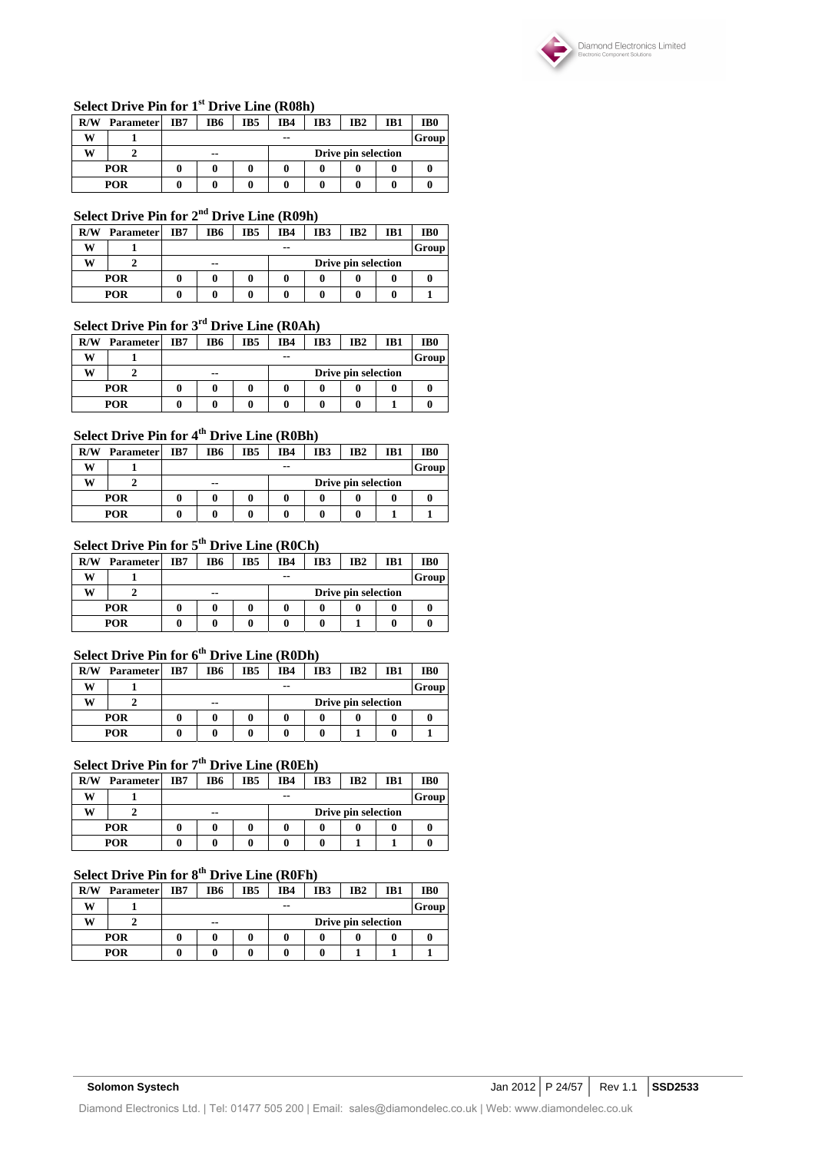

### **Select Drive Pin for 1st Drive Line (R08h)**

| R/W | <b>Parameter</b> | IB7 | IB6 | IB5 | IB4   | IB3 | IB <sub>2</sub>     | IB1 | IB <sub>0</sub> |
|-----|------------------|-----|-----|-----|-------|-----|---------------------|-----|-----------------|
| w   |                  |     |     |     | $- -$ |     | Group               |     |                 |
| w   |                  |     | --  |     |       |     | Drive pin selection |     |                 |
|     | POR<br>0<br>O    |     |     |     |       |     |                     |     |                 |
| POR |                  |     |     | 0   |       |     |                     |     |                 |

# **Select Drive Pin for 2nd Drive Line (R09h)**

| R/W | <b>Parameter</b> | IB7 | IB6            | IB5 | IB4 | IB3 | IB <sub>2</sub>     | IB1 | IB <sub>0</sub> |
|-----|------------------|-----|----------------|-----|-----|-----|---------------------|-----|-----------------|
| w   |                  |     | Group<br>$- -$ |     |     |     |                     |     |                 |
| w   |                  |     | $- -$          |     |     |     | Drive pin selection |     |                 |
|     | POR              |     |                |     |     |     |                     |     |                 |
|     | POR              |     |                |     |     |     |                     |     |                 |

# **Select Drive Pin for 3rd Drive Line (R0Ah)**

| R/W | <b>Parameter</b> | IB7 | IB6   | IB5 | IB4 | IB3 | IB <sub>2</sub>     | IB1 | IB <sub>0</sub> |
|-----|------------------|-----|-------|-----|-----|-----|---------------------|-----|-----------------|
| w   |                  |     | $- -$ |     |     |     |                     |     | Group           |
| w   |                  |     | --    |     |     |     | Drive pin selection |     |                 |
|     | <b>POR</b>       |     |       |     |     |     |                     |     |                 |
|     | POR              |     |       |     |     |     |                     |     |                 |

# **Select Drive Pin for 4th Drive Line (R0Bh)**

| R/W | <b>Parameter</b> | IB7 | IB6   | IB5 | IB4 | IB3 | IB <sub>2</sub>     | IB1 | IB <sub>0</sub> |
|-----|------------------|-----|-------|-----|-----|-----|---------------------|-----|-----------------|
| W   |                  |     | $- -$ |     |     |     |                     |     |                 |
| w   |                  |     | --    |     |     |     | Drive pin selection |     |                 |
|     | POR              |     |       |     |     |     |                     |     |                 |
| POR |                  |     |       |     |     |     |                     |     |                 |

# **Select Drive Pin for 5th Drive Line (R0Ch)**

| R/W        | <b>Parameter</b> | IB7 | IB6           | IB5 | IB4 | IB <sub>3</sub> | IB <sub>2</sub>     | IB1 | IB <sub>0</sub> |
|------------|------------------|-----|---------------|-----|-----|-----------------|---------------------|-----|-----------------|
| w          |                  |     | $- -$         |     |     |                 |                     |     | Group           |
| w          |                  |     | $\sim$ $\sim$ |     |     |                 | Drive pin selection |     |                 |
|            | POR              |     |               |     |     |                 |                     |     |                 |
| <b>POR</b> |                  |     |               |     |     |                 |                     |     |                 |

# **Select Drive Pin for 6th Drive Line (R0Dh)**

| R/W | <b>Parameter</b> | IB7 | IB6                          | IB5 | IB4 | IB3 | IB <sub>2</sub> | IB1 | IB <sub>0</sub> |
|-----|------------------|-----|------------------------------|-----|-----|-----|-----------------|-----|-----------------|
| w   |                  |     |                              |     | --  |     | Group           |     |                 |
| w   |                  |     | Drive pin selection<br>$- -$ |     |     |     |                 |     |                 |
|     | <b>POR</b>       |     |                              |     |     |     |                 |     |                 |
| POR |                  |     |                              |     |     |     |                 | u   |                 |

# **Select Drive Pin for 7th Drive Line (R0Eh)**

| R/W | <b>Parameter</b> | IB7 | IB6         | IB5 | IB4 | IB3 | IB <sub>2</sub>     | IB1 | IB <sub>0</sub> |
|-----|------------------|-----|-------------|-----|-----|-----|---------------------|-----|-----------------|
| w   |                  |     | Group<br>-- |     |     |     |                     |     |                 |
| w   |                  |     | $- -$       |     |     |     | Drive pin selection |     |                 |
|     | <b>POR</b>       |     |             |     |     |     |                     |     |                 |
|     | <b>POR</b>       |     |             |     |     |     |                     |     |                 |

# **Select Drive Pin for 8th Drive Line (R0Fh)**

| R/W | <b>Parameter</b> | IB7 | IB6   | IB5 | IB4 | IB3 | IB <sub>2</sub>     | IB1 | IB <sub>0</sub> |
|-----|------------------|-----|-------|-----|-----|-----|---------------------|-----|-----------------|
| w   |                  |     | $- -$ |     |     |     |                     |     | <b>Group</b>    |
| w   |                  |     | --    |     |     |     | Drive pin selection |     |                 |
|     | POR              |     |       |     |     |     |                     |     |                 |
| POR |                  |     |       |     |     |     |                     |     |                 |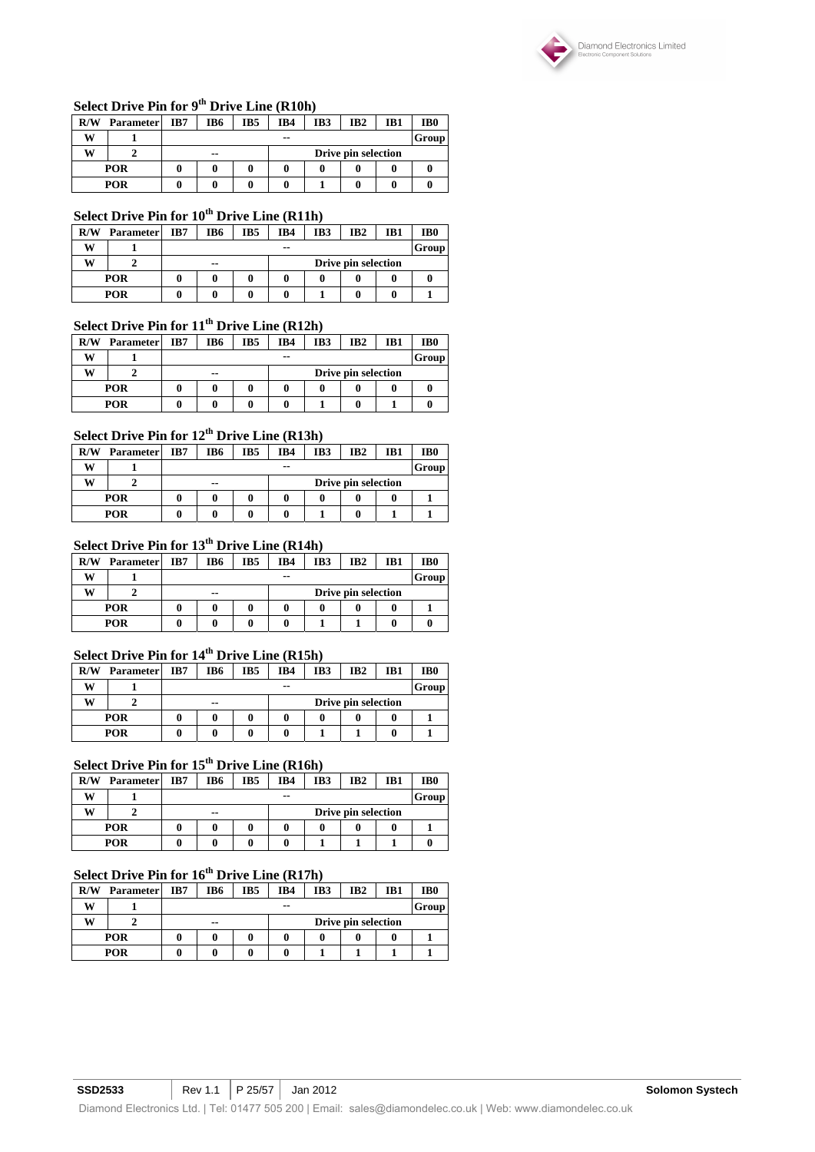

## **Select Drive Pin for 9th Drive Line (R10h)**

| R/W        | <b>Parameter</b> | IB7 | IB <sub>2</sub><br>IB6<br>IB5<br>IB4<br>IB3<br>IB1 |  |       |  |  |  |       |
|------------|------------------|-----|----------------------------------------------------|--|-------|--|--|--|-------|
| w          |                  |     |                                                    |  | $- -$ |  |  |  | Group |
| w          |                  |     | Drive pin selection<br>--                          |  |       |  |  |  |       |
| <b>POR</b> |                  |     |                                                    |  |       |  |  |  |       |
|            | POR              |     |                                                    |  |       |  |  |  |       |

# **Select Drive Pin for 10th Drive Line (R11h)**

| R/W        | <b>Parameter</b> | IB7 | IB <sub>5</sub><br>IB3<br>IB4<br>IB <sub>2</sub><br>IB6 |  |  |       |                     |  | IB0 |
|------------|------------------|-----|---------------------------------------------------------|--|--|-------|---------------------|--|-----|
| w          |                  |     |                                                         |  |  | Group |                     |  |     |
| w          |                  |     | --                                                      |  |  |       | Drive pin selection |  |     |
| POR        |                  |     |                                                         |  |  |       |                     |  | u   |
| <b>POR</b> |                  |     |                                                         |  |  |       |                     |  |     |

# **Select Drive Pin for 11th Drive Line (R12h)**

| R/W | <b>Parameter</b> | IB7 | IB6   | IB5 | IB4 | IB3 | IB <sub>2</sub>     | IB1 | IB <sub>0</sub> |
|-----|------------------|-----|-------|-----|-----|-----|---------------------|-----|-----------------|
| w   |                  |     | $- -$ |     |     |     |                     |     |                 |
| w   |                  |     | --    |     |     |     | Drive pin selection |     |                 |
|     | <b>POR</b>       | 0   |       |     |     |     |                     |     |                 |
| POR |                  |     |       |     |     |     |                     |     |                 |

### **Select Drive Pin for 12th Drive Line (R13h)**

| R/W | <b>Parameter</b> | IB7 | IB6                          | IB5 | IB4   | IB3   | IB <sub>2</sub> | IB1 | IB <sub>0</sub> |  |
|-----|------------------|-----|------------------------------|-----|-------|-------|-----------------|-----|-----------------|--|
| w   |                  |     |                              |     | $- -$ | Group |                 |     |                 |  |
| w   |                  |     | Drive pin selection<br>$- -$ |     |       |       |                 |     |                 |  |
|     | <b>POR</b>       |     |                              |     |       |       |                 |     |                 |  |
|     | POR              |     |                              |     |       |       |                 |     |                 |  |

# **Select Drive Pin for 13th Drive Line (R14h)**

| R/W        | <b>Parameter</b> | IB7 | IB6 | IB5 | IB4   | IB3   | IB <sub>2</sub>     | IB1 | IB <sub>0</sub> |
|------------|------------------|-----|-----|-----|-------|-------|---------------------|-----|-----------------|
| w          |                  |     |     |     | $- -$ | Group |                     |     |                 |
| w          |                  |     | --  |     |       |       | Drive pin selection |     |                 |
|            | POR              |     |     |     |       |       |                     |     |                 |
| <b>POR</b> |                  |     |     |     |       |       |                     |     |                 |

# **Select Drive Pin for 14th Drive Line (R15h)**

| R/W | <b>Parameter</b> | IB7 | IB6                       | IB5 | IB4   | IB3 | IB <sub>2</sub> | IB1 | IB <sub>0</sub> |  |
|-----|------------------|-----|---------------------------|-----|-------|-----|-----------------|-----|-----------------|--|
| w   |                  |     |                           |     | $- -$ |     |                 |     | Group           |  |
| w   |                  |     | Drive pin selection<br>-- |     |       |     |                 |     |                 |  |
|     | <b>POR</b>       |     |                           |     |       | 0   |                 |     |                 |  |
|     | POR              |     |                           |     |       |     |                 |     |                 |  |

# **Select Drive Pin for 15th Drive Line (R16h)**

| R/W | <b>Parameter</b> | IB7 | IB3<br>IB <sub>2</sub><br>IB1<br>IB5<br>IB4<br>IB6 |  |       |  |                     |  |  |
|-----|------------------|-----|----------------------------------------------------|--|-------|--|---------------------|--|--|
| w   |                  |     |                                                    |  | Group |  |                     |  |  |
| w   |                  |     | $- -$                                              |  |       |  | Drive pin selection |  |  |
| POR |                  |     |                                                    |  |       |  |                     |  |  |
|     | POR              |     |                                                    |  |       |  |                     |  |  |

# **Select Drive Pin for 16th Drive Line (R17h)**

| R/W | <b>Parameter</b> | IB7 | IB4<br>IB3<br>IB <sub>2</sub><br>IB6<br>IB5 |   |       |  |                     |  | IB <sub>0</sub> |
|-----|------------------|-----|---------------------------------------------|---|-------|--|---------------------|--|-----------------|
| w   |                  |     |                                             |   | $- -$ |  |                     |  | Group           |
| w   |                  |     | $- -$                                       |   |       |  | Drive pin selection |  |                 |
|     | <b>POR</b>       |     | O                                           | 0 |       |  |                     |  |                 |
|     | POR<br>0<br>U    |     |                                             |   |       |  |                     |  |                 |

### **SSD2533** Rev 1.1 P 25/57 Jan 2012 Rev 1.1 P 25/57 Jan 2012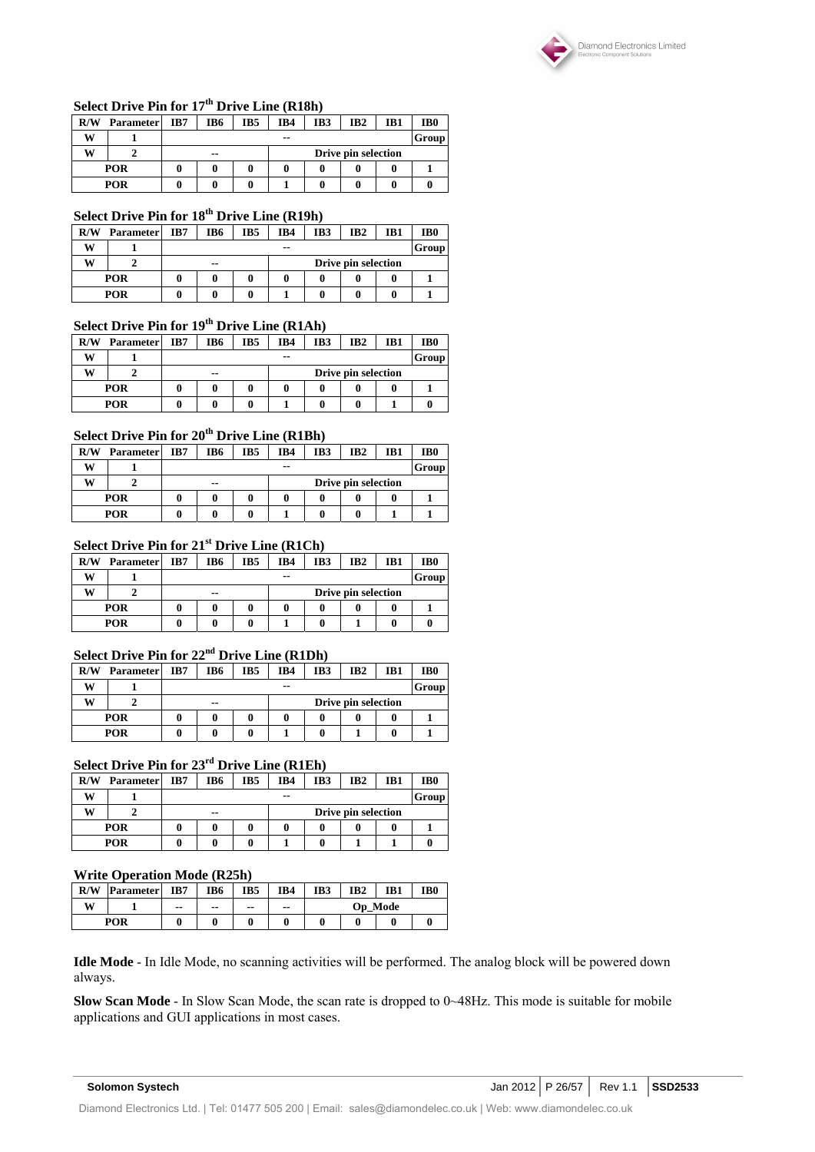

### **Select Drive Pin for 17th Drive Line (R18h)**

| R/W        | <b>Parameter</b> | IB7 | IB6           | IB5 | IB4 | IB3 | IB <sub>2</sub>     | IB1 | IB <sub>0</sub> |
|------------|------------------|-----|---------------|-----|-----|-----|---------------------|-----|-----------------|
| w          |                  |     |               |     | --  |     |                     |     | Group           |
| w          |                  |     | $\sim$ $\sim$ |     |     |     | Drive pin selection |     |                 |
|            | <b>POR</b>       |     |               |     |     |     |                     |     |                 |
| <b>POR</b> |                  |     |               |     |     |     |                     |     |                 |

### **Select Drive Pin for 18th Drive Line (R19h)**

| R/W | <b>Parameter</b> | IB7 | IB6   | IB <sub>5</sub> | IB4 | IB3 | IB <sub>2</sub>     | IB1 | IB0 |  |
|-----|------------------|-----|-------|-----------------|-----|-----|---------------------|-----|-----|--|
| w   |                  |     | $- -$ |                 |     |     |                     |     |     |  |
| w   |                  |     | $- -$ |                 |     |     | Drive pin selection |     |     |  |
|     | <b>POR</b>       |     |       |                 |     |     |                     |     |     |  |
|     | POR              |     |       |                 |     |     |                     |     |     |  |

### **Select Drive Pin for 19th Drive Line (R1Ah)**

| R/W | <b>Parameter</b> | IB7 | IB6   | IB <sub>5</sub> | IB4 | IB3 | IB <sub>2</sub>     | IB1 | IB <sub>0</sub> |
|-----|------------------|-----|-------|-----------------|-----|-----|---------------------|-----|-----------------|
| w   |                  |     |       |                 |     |     | Group               |     |                 |
| w   |                  |     | $- -$ |                 |     |     | Drive pin selection |     |                 |
|     | <b>POR</b>       |     |       |                 |     |     |                     |     |                 |
|     | POR              |     |       |                 |     |     |                     |     |                 |

### **Select Drive Pin for 20th Drive Line (R1Bh)**

| R/W        | <b>Parameter</b> | IB7 | IB6                          | IB5 | IB4 | IB <sub>3</sub> | IB <sub>2</sub> | IB1 | IB <sub>0</sub> |  |
|------------|------------------|-----|------------------------------|-----|-----|-----------------|-----------------|-----|-----------------|--|
| w          |                  |     |                              |     | --  |                 |                 |     | Group           |  |
| w          |                  |     | Drive pin selection<br>$- -$ |     |     |                 |                 |     |                 |  |
| <b>POR</b> |                  |     |                              |     |     |                 |                 |     |                 |  |
|            | <b>POR</b>       |     |                              |     |     |                 |                 |     |                 |  |

#### **Select Drive Pin for 21st Drive Line (R1Ch)**

| R/W | <b>Parameter</b> | IB7 | IB6                       | IB5 | IB4 | IB3 | IB <sub>2</sub> | IB1 | IB <sub>0</sub> |  |
|-----|------------------|-----|---------------------------|-----|-----|-----|-----------------|-----|-----------------|--|
| w   |                  |     | Group<br>--               |     |     |     |                 |     |                 |  |
| w   |                  |     | Drive pin selection<br>-- |     |     |     |                 |     |                 |  |
|     | <b>POR</b>       |     |                           |     |     |     |                 | 0   |                 |  |
|     | POR              |     |                           |     |     |     |                 | 0   |                 |  |

# **Select Drive Pin for 22nd Drive Line (R1Dh)**

| R/W | <b>Parameter</b> | IB7 | IB6                       | IB5 | IB4 | IB3 | IB <sub>2</sub> | IB1 | IB <sub>0</sub> |  |  |
|-----|------------------|-----|---------------------------|-----|-----|-----|-----------------|-----|-----------------|--|--|
| w   |                  |     | Group<br>$- -$            |     |     |     |                 |     |                 |  |  |
| W   |                  |     | Drive pin selection<br>-- |     |     |     |                 |     |                 |  |  |
|     | <b>POR</b>       |     |                           |     |     |     |                 |     |                 |  |  |
|     | <b>POR</b>       |     |                           |     |     |     |                 |     |                 |  |  |

### **Select Drive Pin for 23rd Drive Line (R1Eh)**

| R/W | <b>Parameter</b> | IB7 | IB <sub>2</sub><br>IB6<br>IB5<br>IB4<br>IB3<br>IB1 |  |  |  |  |  |  |  |  |
|-----|------------------|-----|----------------------------------------------------|--|--|--|--|--|--|--|--|
| w   |                  |     | Group<br>--                                        |  |  |  |  |  |  |  |  |
| w   |                  |     | Drive pin selection<br>$- -$                       |  |  |  |  |  |  |  |  |
|     | <b>POR</b>       |     |                                                    |  |  |  |  |  |  |  |  |
|     | <b>POR</b>       |     |                                                    |  |  |  |  |  |  |  |  |

#### **Write Operation Mode (R25h)**

| R/W | <b>Parameter</b> | IB7   | IB6   | IB5   | IB4           | IB3            | IB <sub>2</sub> | IB <sub>1</sub> | IB <sub>0</sub> |
|-----|------------------|-------|-------|-------|---------------|----------------|-----------------|-----------------|-----------------|
| W   |                  | $- -$ | $- -$ | $- -$ | $\sim$ $\sim$ | <b>Op</b> Mode |                 |                 |                 |
|     | POR              |       |       |       |               |                |                 |                 |                 |

**Idle Mode** - In Idle Mode, no scanning activities will be performed. The analog block will be powered down always.

**Slow Scan Mode** - In Slow Scan Mode, the scan rate is dropped to 0~48Hz. This mode is suitable for mobile applications and GUI applications in most cases.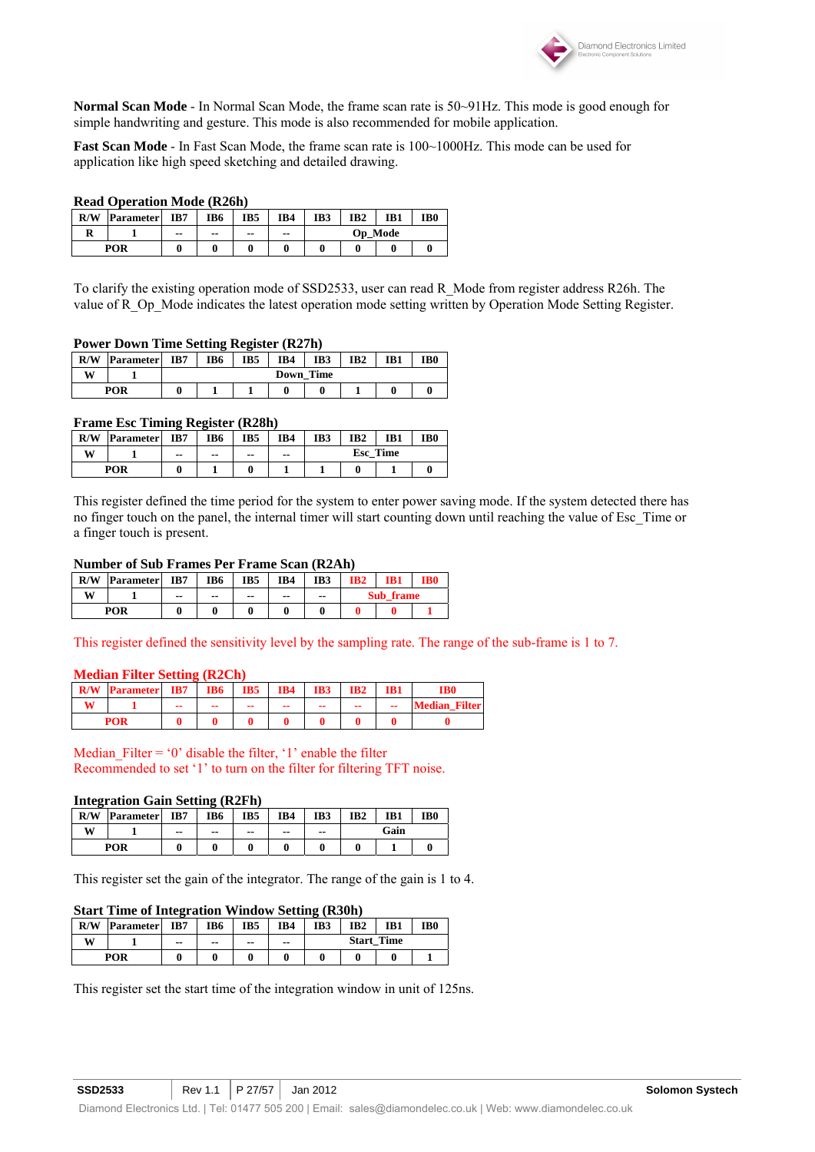

**Normal Scan Mode** - In Normal Scan Mode, the frame scan rate is 50~91Hz. This mode is good enough for simple handwriting and gesture. This mode is also recommended for mobile application.

**Fast Scan Mode** - In Fast Scan Mode, the frame scan rate is 100~1000Hz. This mode can be used for application like high speed sketching and detailed drawing.

#### **Read Operation Mode (R26h)**

| R/W | <b>Parameter</b> | IB7   | IB6 | IB5 | IB4 | IB <sub>0</sub><br>IB <sub>2</sub><br>IB3<br>IB1 |  |  |  |  |  |
|-----|------------------|-------|-----|-----|-----|--------------------------------------------------|--|--|--|--|--|
|     |                  | $- -$ | --  | --  | --  | <b>Op</b> Mode                                   |  |  |  |  |  |
|     | POR              |       |     |     |     |                                                  |  |  |  |  |  |

To clarify the existing operation mode of SSD2533, user can read R\_Mode from register address R26h. The value of R\_Op\_Mode indicates the latest operation mode setting written by Operation Mode Setting Register.

#### **Power Down Time Setting Register (R27h)**

| R/W | <b>Parameter</b> | IB7 | IB6              | IB5 | IB4 | IB3 | IB <sub>2</sub> | IB <sub>1</sub> | TB0 |  |  |  |
|-----|------------------|-----|------------------|-----|-----|-----|-----------------|-----------------|-----|--|--|--|
| W   |                  |     | <b>Down Time</b> |     |     |     |                 |                 |     |  |  |  |
|     | POR              |     |                  |     |     |     |                 |                 |     |  |  |  |

#### **Frame Esc Timing Register (R28h)**

| R/W | <b>Parameter</b> | IB7 | IB6 | IB5   | IB4 | IB3             | IB2 | IB1 | IB <sub>0</sub> |
|-----|------------------|-----|-----|-------|-----|-----------------|-----|-----|-----------------|
| W   |                  | --  | --  | $- -$ | --  | <b>Esc</b> Time |     |     |                 |
|     | POR              |     |     |       |     |                 |     |     |                 |

This register defined the time period for the system to enter power saving mode. If the system detected there has no finger touch on the panel, the internal timer will start counting down until reaching the value of Esc\_Time or a finger touch is present.

#### **Number of Sub Frames Per Frame Scan (R2Ah)**

| R/W        | <b>Parameter</b> | IB7   | IB6   | IB <sub>5</sub> | IB4 | IB3   | IB2 | IB1       | IB6 |
|------------|------------------|-------|-------|-----------------|-----|-------|-----|-----------|-----|
| <b>XX7</b> |                  | $- -$ | $- -$ | $- -$           | --  | $- -$ |     | Sub frame |     |
|            | POR              |       |       |                 |     |       |     |           |     |

This register defined the sensitivity level by the sampling rate. The range of the sub-frame is 1 to 7.

#### **Median Filter Setting (R2Ch)**

| ${\bf R}/{\bf W}$ | <b>Parameter</b> | IB7 | <b>IB6</b> | IB5 | IB4 | IB3 | IB <sub>2</sub>          | IB1 | IB0                  |
|-------------------|------------------|-----|------------|-----|-----|-----|--------------------------|-----|----------------------|
|                   |                  | --  | --         | --  | --  | --  | $\overline{\phantom{a}}$ | --  | <b>Median Filter</b> |
|                   |                  |     |            |     |     |     |                          |     |                      |

Median Filter = '0' disable the filter, '1' enable the filter Recommended to set '1' to turn on the filter for filtering TFT noise.

#### **Integration Gain Setting (R2Fh)**

| R/W | <b>Parameter</b> | IB7 | IB6   | IB5 | IB4 | IB3 | IB <sub>2</sub> | IB1  | IB <sub>0</sub> |
|-----|------------------|-----|-------|-----|-----|-----|-----------------|------|-----------------|
| W   |                  | --  | $- -$ | --  | --  | --  |                 | Gain |                 |
|     | POR              |     |       |     |     |     |                 |      |                 |

This register set the gain of the integrator. The range of the gain is 1 to 4.

#### **Start Time of Integration Window Setting (R30h)**

| R/W | <b>Parameter</b> | IB7 | IB6 | IB5 | IB4   | IB3               | IB <sub>2</sub> | IB1 | IB <sub>0</sub> |
|-----|------------------|-----|-----|-----|-------|-------------------|-----------------|-----|-----------------|
| W   |                  | --  | --  | --  | $- -$ | <b>Start Time</b> |                 |     |                 |
|     | POR              |     |     |     |       |                   |                 |     |                 |

This register set the start time of the integration window in unit of 125ns.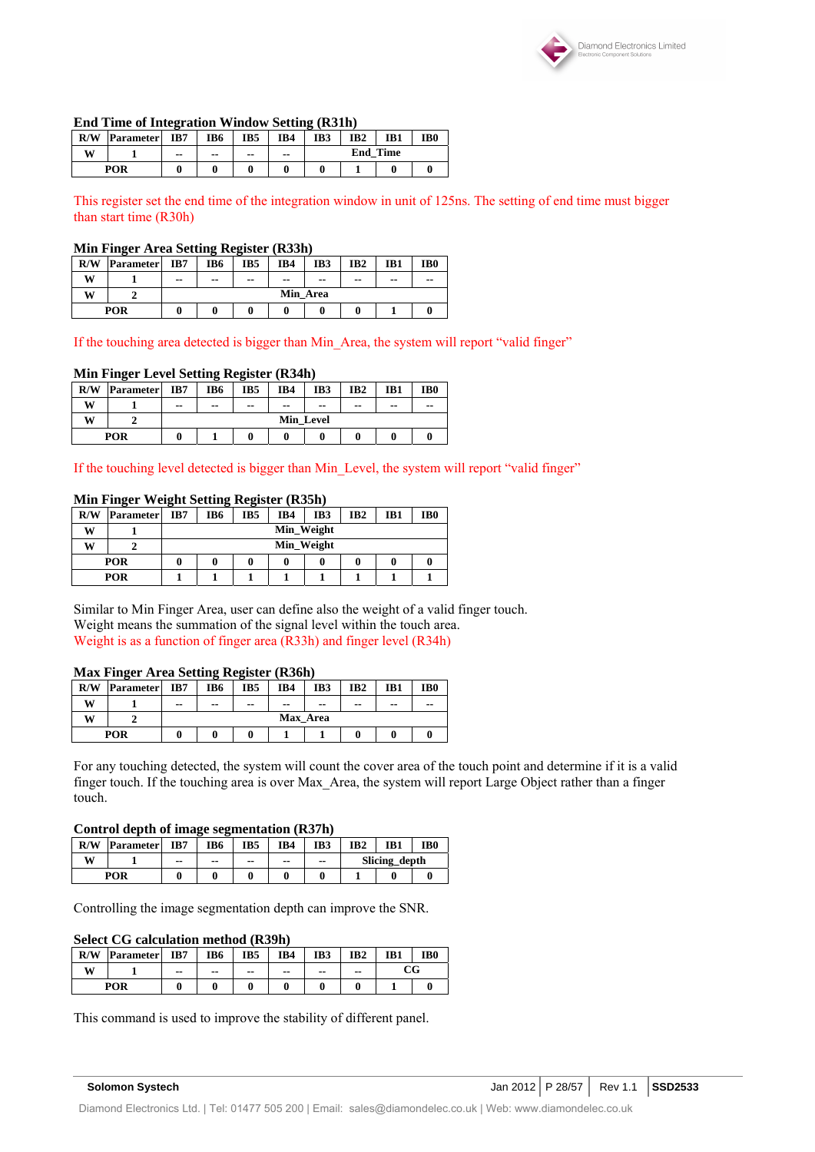

#### **End Time of Integration Window Setting (R31h)**

| R/W | <b>Parameter</b> | o<br>IB7 | IB6 | IB5   | IB4   | IB3             | IB <sub>2</sub> | IB <sub>1</sub> | IB0 |
|-----|------------------|----------|-----|-------|-------|-----------------|-----------------|-----------------|-----|
| W   |                  | $- -$    | --  | $- -$ | $- -$ | <b>End Time</b> |                 |                 |     |
|     | POR              |          |     |       |       |                 |                 |                 |     |

This register set the end time of the integration window in unit of 125ns. The setting of end time must bigger than start time (R30h)

#### **Min Finger Area Setting Register (R33h)**

| R/W | Parameter | IB7   | IB <sub>6</sub> | IB5 | IB4           | IB3      | IB <sub>2</sub> | IB1           | IB <sub>0</sub> |
|-----|-----------|-------|-----------------|-----|---------------|----------|-----------------|---------------|-----------------|
| W   |           | $- -$ | --              | --  | $\sim$ $\sim$ | $- -$    | $- -$           | $\sim$ $\sim$ | $- -$           |
| W   |           |       |                 |     |               | Min Area |                 |               |                 |
|     | POR       |       |                 |     |               |          |                 |               |                 |

If the touching area detected is bigger than Min Area, the system will report "valid finger"

#### **Min Finger Level Setting Register (R34h)**

| R/W | <b>Parameter</b> | IB7   | IB <sub>6</sub> | IB <sub>5</sub> | IB4           | IB3   | IB <sub>2</sub> | IB1 | IB <sub>0</sub> |  |
|-----|------------------|-------|-----------------|-----------------|---------------|-------|-----------------|-----|-----------------|--|
| w   |                  | $- -$ | $\sim$ $\sim$   | $- -$           | $\sim$ $\sim$ | $- -$ | $- -$           | --  | --              |  |
| w   |                  |       | Min Level       |                 |               |       |                 |     |                 |  |
|     | <b>POR</b>       |       |                 |                 |               |       |                 |     |                 |  |

If the touching level detected is bigger than Min\_Level, the system will report "valid finger"

#### **Min Finger Weight Setting Register (R35h)**

| R/W | <b>Parameter</b> | IB7 | IB6        | IB5 | IB4        | IB <sub>3</sub> | IB <sub>2</sub> | IB1 | IB <sub>0</sub> |  |
|-----|------------------|-----|------------|-----|------------|-----------------|-----------------|-----|-----------------|--|
| w   |                  |     |            |     | Min Weight |                 |                 |     |                 |  |
| W   |                  |     | Min_Weight |     |            |                 |                 |     |                 |  |
|     | <b>POR</b>       | 0   | 0          |     |            |                 |                 |     |                 |  |
|     | <b>POR</b>       |     |            |     |            |                 |                 |     |                 |  |

Similar to Min Finger Area, user can define also the weight of a valid finger touch. Weight means the summation of the signal level within the touch area. Weight is as a function of finger area (R33h) and finger level (R34h)

#### **Max Finger Area Setting Register (R36h)**

| R/W | <b>Parameter</b> | IB7   | IB <sub>6</sub> | IB <sub>5</sub> | IB4           | IB3      | IB <sub>2</sub> | IB1           | IB <sub>0</sub> |
|-----|------------------|-------|-----------------|-----------------|---------------|----------|-----------------|---------------|-----------------|
| W   |                  | $- -$ | $- -$           | $- -$           | $\sim$ $\sim$ | $- -$    | $\sim$ $\sim$   | $\sim$ $\sim$ | $- -$           |
| W   |                  |       |                 |                 |               | Max Area |                 |               |                 |
|     | POR              |       |                 |                 |               |          |                 |               |                 |

For any touching detected, the system will count the cover area of the touch point and determine if it is a valid finger touch. If the touching area is over Max\_Area, the system will report Large Object rather than a finger touch.

#### **Control depth of image segmentation (R37h)**

| R/W | <b>Parameter</b> | IB7   | IB6   | IB5   | IB4 | IB3           | IB2 | IB1           | IB0 |  |
|-----|------------------|-------|-------|-------|-----|---------------|-----|---------------|-----|--|
| W   |                  | $- -$ | $- -$ | $- -$ | --  | $\sim$ $\sim$ |     | Slicing_depth |     |  |
|     | POR              |       |       |       |     |               |     |               |     |  |

Controlling the image segmentation depth can improve the SNR.

#### **Select CG calculation method (R39h)**

| R/W        | <b>Parameter</b> | IB7           | IB <sub>6</sub> | IB5 | IB4 | IB3   | IB <sub>2</sub> | IB1 | IB0 |
|------------|------------------|---------------|-----------------|-----|-----|-------|-----------------|-----|-----|
| <b>XX7</b> |                  | $\sim$ $\sim$ | $- -$           | --  | --  | $- -$ | --              |     | CG  |
|            | POR              |               |                 |     |     |       |                 |     |     |

This command is used to improve the stability of different panel.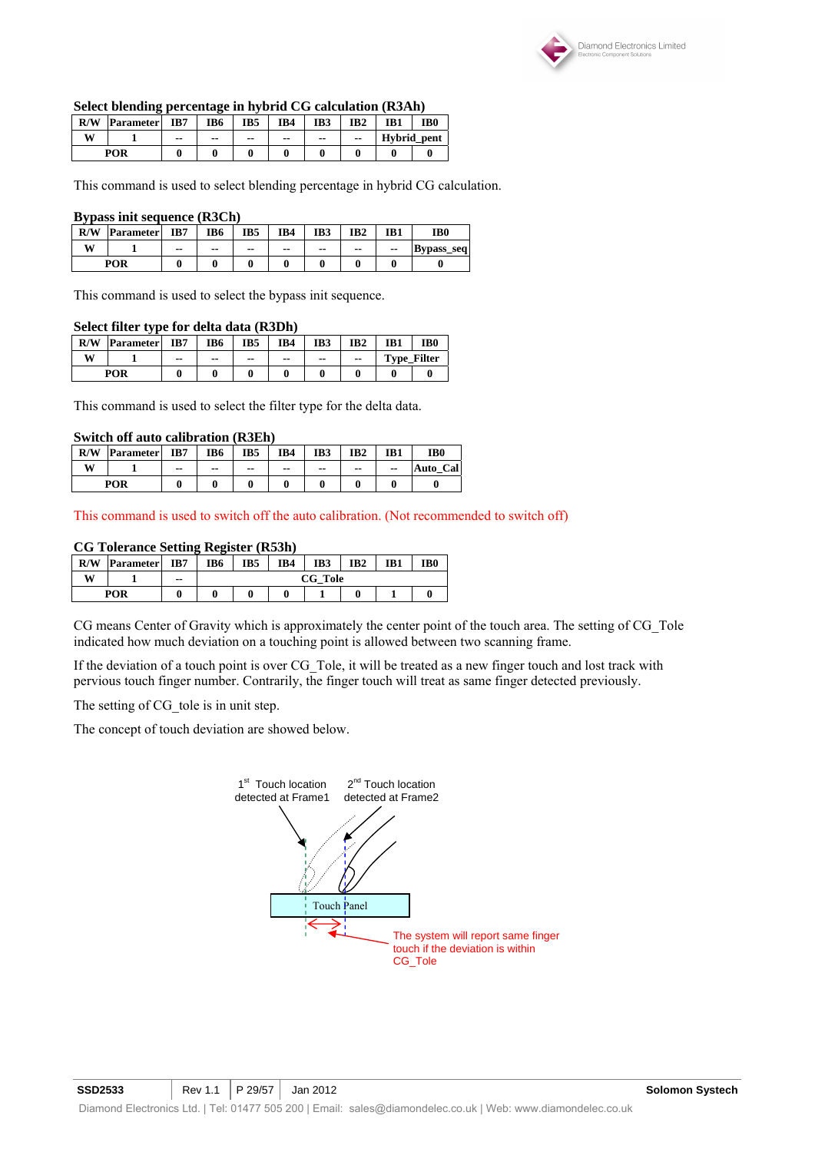

#### **Select blending percentage in hybrid CG calculation (R3Ah)**

| R/W | <b>Parameter</b> | IB7 | IB6 | IB5 | IB4 | IB3 | IB <sub>2</sub> | IB1         | IB <sub>0</sub> |
|-----|------------------|-----|-----|-----|-----|-----|-----------------|-------------|-----------------|
| W   |                  | --  | --  | --  | --  | --  | $- -$           | Hybrid_pent |                 |
|     | POR              |     |     |     |     |     |                 |             |                 |

This command is used to select blending percentage in hybrid CG calculation.

#### **Bypass init sequence (R3Ch)**

| R/W        | <b>Parameter</b> | IB7   | IB6   | IB5   | IB4 | IB <sub>3</sub> | IB <sub>2</sub> | IB1 | IB0               |
|------------|------------------|-------|-------|-------|-----|-----------------|-----------------|-----|-------------------|
| <b>WIT</b> |                  | $- -$ | $- -$ | $- -$ | --  | $- -$           | $\sim$ $\sim$   | --  | <b>Bypass_seq</b> |
| POR        |                  |       |       |       |     |                 |                 |     |                   |

This command is used to select the bypass init sequence.

#### **Select filter type for delta data (R3Dh)**

| R/W | <b>Parameter</b> | IB7   | IB6   | IB5 | IB4   | IB3           | IB <sub>2</sub> | IB1 | IB0                |
|-----|------------------|-------|-------|-----|-------|---------------|-----------------|-----|--------------------|
| W   |                  | $- -$ | $- -$ | --  | $- -$ | $\sim$ $\sim$ | --              |     | <b>Type Filter</b> |
|     | <b>POR</b>       |       |       |     |       |               |                 |     |                    |

This command is used to select the filter type for the delta data.

#### **Switch off auto calibration (R3Eh)**

| R/W | <b>Parameter</b> | IB7   | IB6   | IB <sub>5</sub> | IB4 | IB3   | IB <sub>2</sub> | IB1   | IB0         |
|-----|------------------|-------|-------|-----------------|-----|-------|-----------------|-------|-------------|
| W   |                  | $- -$ | $- -$ | $- -$           | --  | $- -$ | $- -$           | $- -$ | Cal<br>Auto |
|     | POR              |       |       |                 |     |       |                 |       |             |

This command is used to switch off the auto calibration. (Not recommended to switch off)

#### **CG Tolerance Setting Register (R53h)**

| R/W | <b>Parameter</b> | IB7   | IB6 | IB <sub>5</sub> | IB4 | IB3 | IB <sub>2</sub> | IB1 | IB <sub>0</sub> |  |
|-----|------------------|-------|-----|-----------------|-----|-----|-----------------|-----|-----------------|--|
| w   |                  | $- -$ |     | CG Tole         |     |     |                 |     |                 |  |
|     | POR              |       |     |                 |     |     |                 |     |                 |  |

CG means Center of Gravity which is approximately the center point of the touch area. The setting of CG\_Tole indicated how much deviation on a touching point is allowed between two scanning frame.

If the deviation of a touch point is over CG\_Tole, it will be treated as a new finger touch and lost track with pervious touch finger number. Contrarily, the finger touch will treat as same finger detected previously.

The setting of CG tole is in unit step.

The concept of touch deviation are showed below.

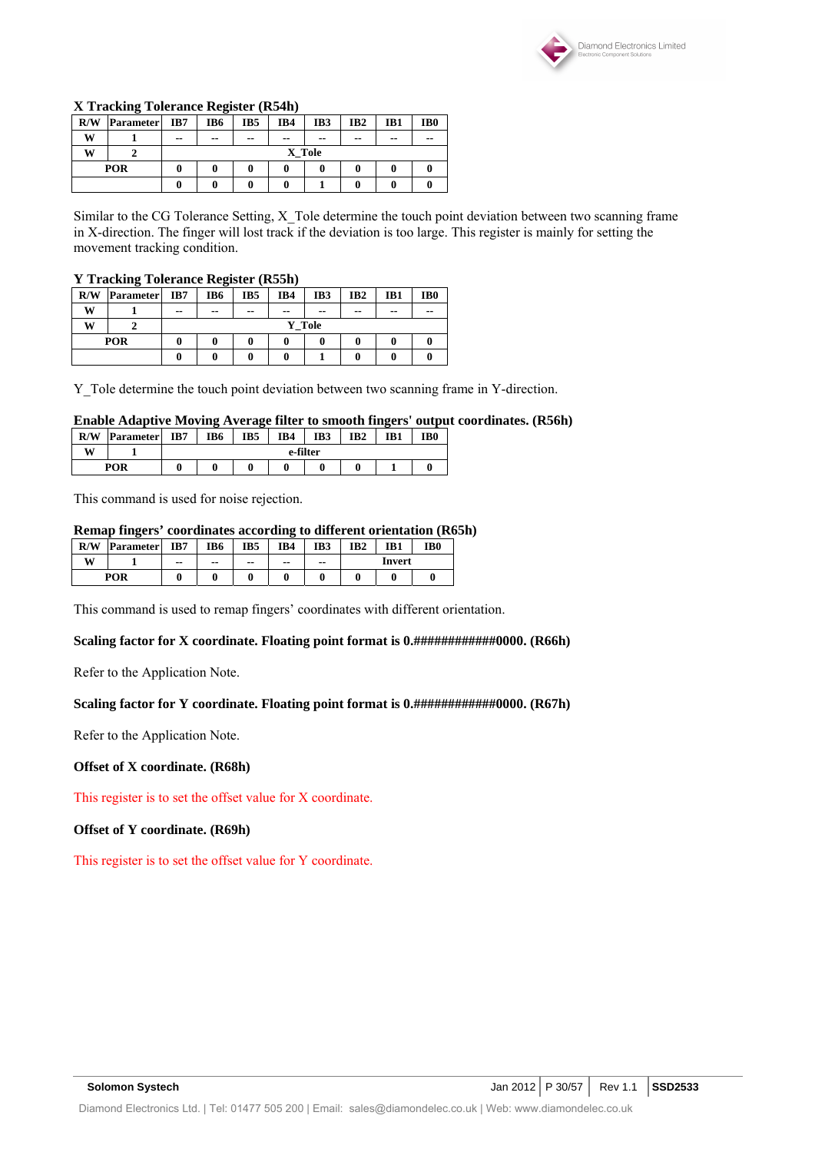

#### **X Tracking Tolerance Register (R54h)**

| R/W | <b>Parameter</b> | IB7 | IB6    | IB <sub>5</sub> | IB4 | IB3   | IB <sub>2</sub> | IB1   | IB <sub>0</sub> |  |  |
|-----|------------------|-----|--------|-----------------|-----|-------|-----------------|-------|-----------------|--|--|
| W   |                  | --  | $- -$  | $\sim$ $\sim$   | --  | $- -$ | $- -$           | $- -$ | $- -$           |  |  |
| w   |                  |     | X_Tole |                 |     |       |                 |       |                 |  |  |
|     | POR              |     |        |                 |     | 0     |                 | 0     |                 |  |  |
|     |                  |     |        |                 |     |       |                 | 0     |                 |  |  |

Similar to the CG Tolerance Setting, X\_Tole determine the touch point deviation between two scanning frame in X-direction. The finger will lost track if the deviation is too large. This register is mainly for setting the movement tracking condition.

#### **Y Tracking Tolerance Register (R55h)**

|     | -                |       | -             |               |               |               |                 |     |                 |
|-----|------------------|-------|---------------|---------------|---------------|---------------|-----------------|-----|-----------------|
| R/W | <b>Parameter</b> | IB7   | IB6           | IB5           | IB4           | IB3           | IB <sub>2</sub> | IB1 | IB <sub>0</sub> |
| W   |                  | $- -$ | $\sim$ $\sim$ | $\sim$ $\sim$ | $\sim$ $\sim$ | $- -$         | $\sim$ $\sim$   | --  | --              |
| W   |                  |       |               |               |               | <b>Y</b> Tole |                 |     |                 |
| POR |                  | 0     |               |               |               | 0             |                 | 0   |                 |
|     |                  |       | 0             |               |               |               |                 |     |                 |

Y\_Tole determine the touch point deviation between two scanning frame in Y-direction.

### **Enable Adaptive Moving Average filter to smooth fingers' output coordinates. (R56h)**

| R/W | <b>Parameter</b> | IB7 | IB <sub>6</sub> | IB5 | IB4      | IB3 | IB <sub>2</sub> | IB1 | IB <sub>0</sub> |
|-----|------------------|-----|-----------------|-----|----------|-----|-----------------|-----|-----------------|
| W   |                  |     |                 |     | e-filter |     |                 |     |                 |
| POR |                  |     | 0               |     |          |     |                 |     |                 |

This command is used for noise rejection.

#### **Remap fingers' coordinates according to different orientation (R65h)**

| R/W | <b>Parameter</b> | IB7   | IB6   | IB <sub>5</sub> | IB4 | IB3 | IB2 | IB1    | IB0 |  |
|-----|------------------|-------|-------|-----------------|-----|-----|-----|--------|-----|--|
| w   |                  | $- -$ | $- -$ | --              | --  | --  |     | Invert |     |  |
| POR |                  |       |       |                 |     |     |     |        |     |  |

This command is used to remap fingers' coordinates with different orientation.

#### Scaling factor for X coordinate. Floating point format is 0.##############0000. (R66h)

Refer to the Application Note.

#### Scaling factor for Y coordinate. Floating point format is  $0.$ ##############0000. (R67h)

Refer to the Application Note.

#### **Offset of X coordinate. (R68h)**

This register is to set the offset value for X coordinate.

#### **Offset of Y coordinate. (R69h)**

This register is to set the offset value for Y coordinate.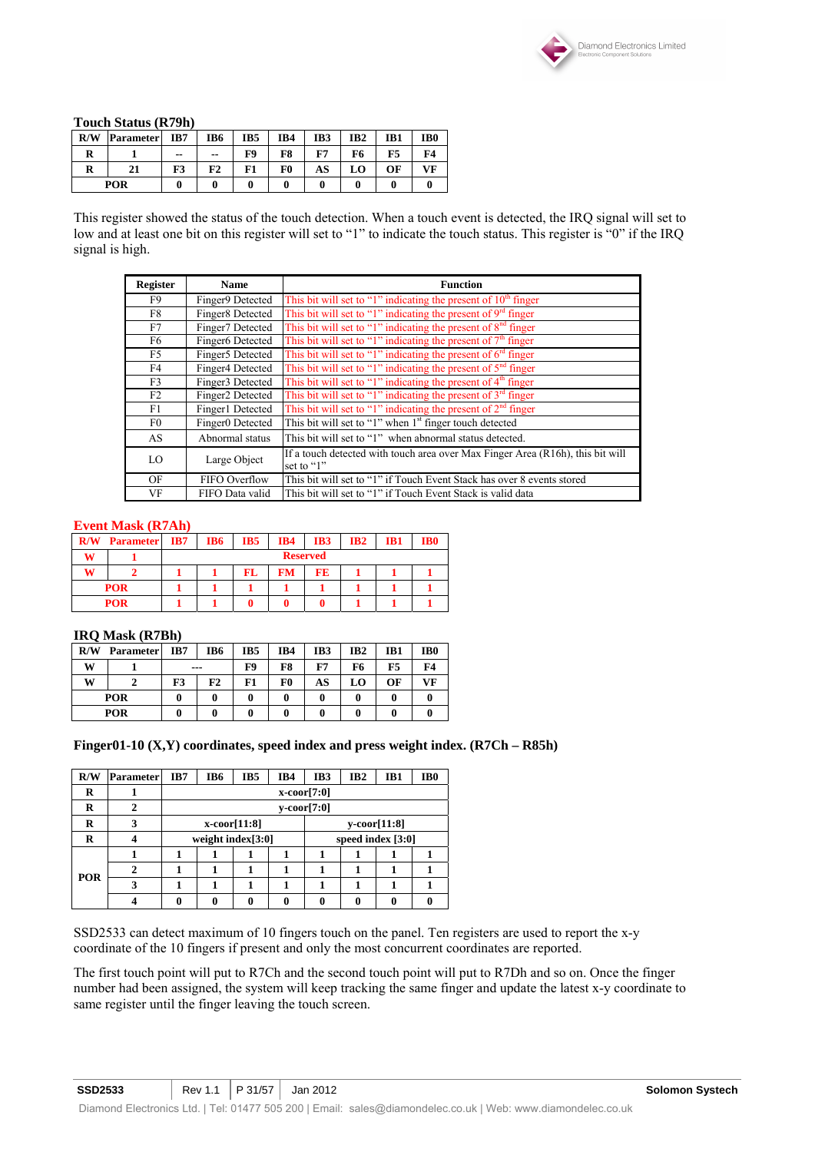

#### **Touch Status (R79h)**

| R/W        | <b>Parameter</b> | IB7   | IB6         | IB <sub>5</sub> | IB4 | IB3 | IB <sub>2</sub> | IB1 | IB0       |
|------------|------------------|-------|-------------|-----------------|-----|-----|-----------------|-----|-----------|
| R          |                  | $- -$ | $- -$       | F9              | F8  | F7  | F6              | F5  | <b>F4</b> |
| R          | 21               | F3    | $_{\rm F2}$ | F1              | F0  | AS  | LO              | ОF  | VF        |
| <b>POR</b> |                  |       |             |                 |     |     |                 |     |           |

This register showed the status of the touch detection. When a touch event is detected, the IRQ signal will set to low and at least one bit on this register will set to "1" to indicate the touch status. This register is "0" if the IRQ signal is high.

| <b>Register</b> | <b>Name</b>      | <b>Function</b>                                                                              |
|-----------------|------------------|----------------------------------------------------------------------------------------------|
| F9              | Finger9 Detected | This bit will set to "1" indicating the present of $10th$ finger                             |
| F8              | Finger8 Detected | This bit will set to "1" indicating the present of $9rd$ finger                              |
| F7              | Finger7 Detected | This bit will set to "1" indicating the present of $8nd$ finger                              |
| F6              | Finger6 Detected | This bit will set to "1" indicating the present of $7th$ finger                              |
| F5              | Finger5 Detected | This bit will set to "1" indicating the present of $6rd$ finger                              |
| F4              | Finger4 Detected | This bit will set to "1" indicating the present of $5nd$ finger                              |
| F3              | Finger3 Detected | This bit will set to "1" indicating the present of $4th$ finger                              |
| F2              | Finger2 Detected | This bit will set to "1" indicating the present of $3rd$ finger                              |
| F1              | Finger1 Detected | This bit will set to "1" indicating the present of $2nd$ finger                              |
| F0              | Finger0 Detected | This bit will set to "1" when 1 <sup>st</sup> finger touch detected                          |
| AS              | Abnormal status  | This bit will set to "1" when abnormal status detected.                                      |
| LO              | Large Object     | If a touch detected with touch area over Max Finger Area (R16h), this bit will<br>set to "1" |
| OF              | FIFO Overflow    | This bit will set to "1" if Touch Event Stack has over 8 events stored                       |
| VF              | FIFO Data valid  | This bit will set to "1" if Touch Event Stack is valid data                                  |

#### **Event Mask (R7Ah)**

| R/W        | <b>Parameter</b> | IB7 | IB6             | IB5 | IB4 | IB3 | IB2 | IB1 | IB0 |
|------------|------------------|-----|-----------------|-----|-----|-----|-----|-----|-----|
| w          |                  |     | <b>Reserved</b> |     |     |     |     |     |     |
| w          |                  |     |                 | FL  | FМ  | FE  |     |     |     |
| <b>POR</b> |                  |     |                 |     |     |     |     |     |     |
| <b>POR</b> |                  |     |                 |     |     |     |     |     |     |

#### **IRQ Mask (R7Bh)**

| R/W        | <b>Parameter</b> | IB7 | IB6 | IB5 | IB4 | IB3 | IB <sub>2</sub> | IB1 | IB <sub>0</sub> |
|------------|------------------|-----|-----|-----|-----|-----|-----------------|-----|-----------------|
| W          |                  |     | --- | F9  | F8  | F7  | F6              | F5  | F4              |
| w          |                  | F3  | F2  | F1  | F0  | AS  | LO              | ОF  | VF              |
| <b>POR</b> |                  |     |     |     | 0   |     |                 |     |                 |
| POR        |                  |     | 0   |     |     |     |                 |     |                 |

#### **Finger01-10 (X,Y) coordinates, speed index and press weight index. (R7Ch – R85h)**

| R/W        | <b>Parameter</b> | IB7 | IB6                  | IB <sub>5</sub>    | IB4 | IB3               | IB <sub>2</sub> | IB1                | IB <sub>0</sub> |  |  |  |
|------------|------------------|-----|----------------------|--------------------|-----|-------------------|-----------------|--------------------|-----------------|--|--|--|
| R          |                  |     | $x\text{-coor}[7:0]$ |                    |     |                   |                 |                    |                 |  |  |  |
| R          | 2                |     | $y\text{-coor}[7:0]$ |                    |     |                   |                 |                    |                 |  |  |  |
| R          | 3                |     |                      | $x$ -coor $[11:8]$ |     |                   |                 | $y$ -coor $[11:8]$ |                 |  |  |  |
| R          | 4                |     | weight index[3:0]    |                    |     | speed index [3:0] |                 |                    |                 |  |  |  |
|            |                  |     |                      |                    | 1   |                   | л               |                    |                 |  |  |  |
| <b>POR</b> | 2                |     |                      |                    |     |                   |                 |                    |                 |  |  |  |
|            | 3                |     |                      |                    |     |                   |                 |                    |                 |  |  |  |
|            |                  |     | 0                    | 0                  | 0   | 0                 | 0               |                    |                 |  |  |  |

SSD2533 can detect maximum of 10 fingers touch on the panel. Ten registers are used to report the x-y coordinate of the 10 fingers if present and only the most concurrent coordinates are reported.

The first touch point will put to R7Ch and the second touch point will put to R7Dh and so on. Once the finger number had been assigned, the system will keep tracking the same finger and update the latest x-y coordinate to same register until the finger leaving the touch screen.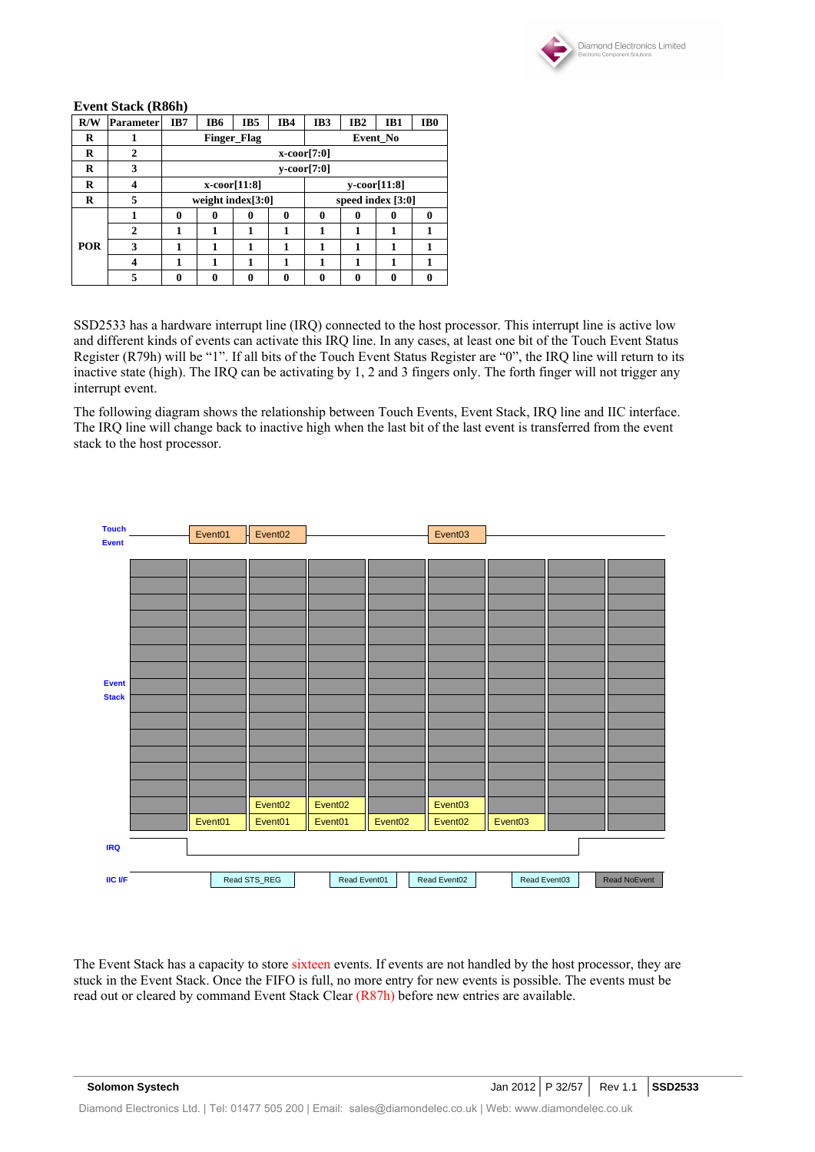

#### **Event Stack (R86h)**

| R/W | <b>Parameter</b> | IB7 | IB <sub>6</sub>      | IB <sub>5</sub>    | IB4          | IB <sub>3</sub>       | IB <sub>2</sub> | IB1      | IB <sub>0</sub> |  |  |  |
|-----|------------------|-----|----------------------|--------------------|--------------|-----------------------|-----------------|----------|-----------------|--|--|--|
| R   |                  |     |                      | <b>Finger Flag</b> |              | Event No              |                 |          |                 |  |  |  |
| R   | $\mathbf{2}$     |     | $x\text{-coor}[7:0]$ |                    |              |                       |                 |          |                 |  |  |  |
| R   | 3                |     | y-coor[7:0]          |                    |              |                       |                 |          |                 |  |  |  |
| R   | 4                |     |                      | $x$ -coor $[11:8]$ |              | $v\text{-coor}[11:8]$ |                 |          |                 |  |  |  |
| R   | 5                |     | weight index[3:0]    |                    |              | speed index $[3:0]$   |                 |          |                 |  |  |  |
|     |                  | 0   | 0                    | 0                  | $\mathbf{0}$ | $\mathbf{0}$          | 0               | $\bf{0}$ | 0               |  |  |  |
|     | $\mathbf{2}$     |     | 1                    | 1                  | 1            | 1                     | 1               | 1        |                 |  |  |  |
| POR | 3                | 1   | 1                    | 1                  | 1            | 1                     |                 | 1        |                 |  |  |  |
|     | 4                | 1   | 1                    | 1                  | 1            | 1                     | 1               | 1        | 1               |  |  |  |
|     | 5                | 0   | 0                    | 0                  | 0            | 0                     | 0               | 0        |                 |  |  |  |

SSD2533 has a hardware interrupt line (IRQ) connected to the host processor. This interrupt line is active low and different kinds of events can activate this IRQ line. In any cases, at least one bit of the Touch Event Status Register (R79h) will be "1". If all bits of the Touch Event Status Register are "0", the IRQ line will return to its inactive state (high). The IRQ can be activating by 1, 2 and 3 fingers only. The forth finger will not trigger any interrupt event.

The following diagram shows the relationship between Touch Events, Event Stack, IRQ line and IIC interface. The IRQ line will change back to inactive high when the last bit of the last event is transferred from the event stack to the host processor.



The Event Stack has a capacity to store sixteen events. If events are not handled by the host processor, they are stuck in the Event Stack. Once the FIFO is full, no more entry for new events is possible. The events must be read out or cleared by command Event Stack Clear (R87h) before new entries are available.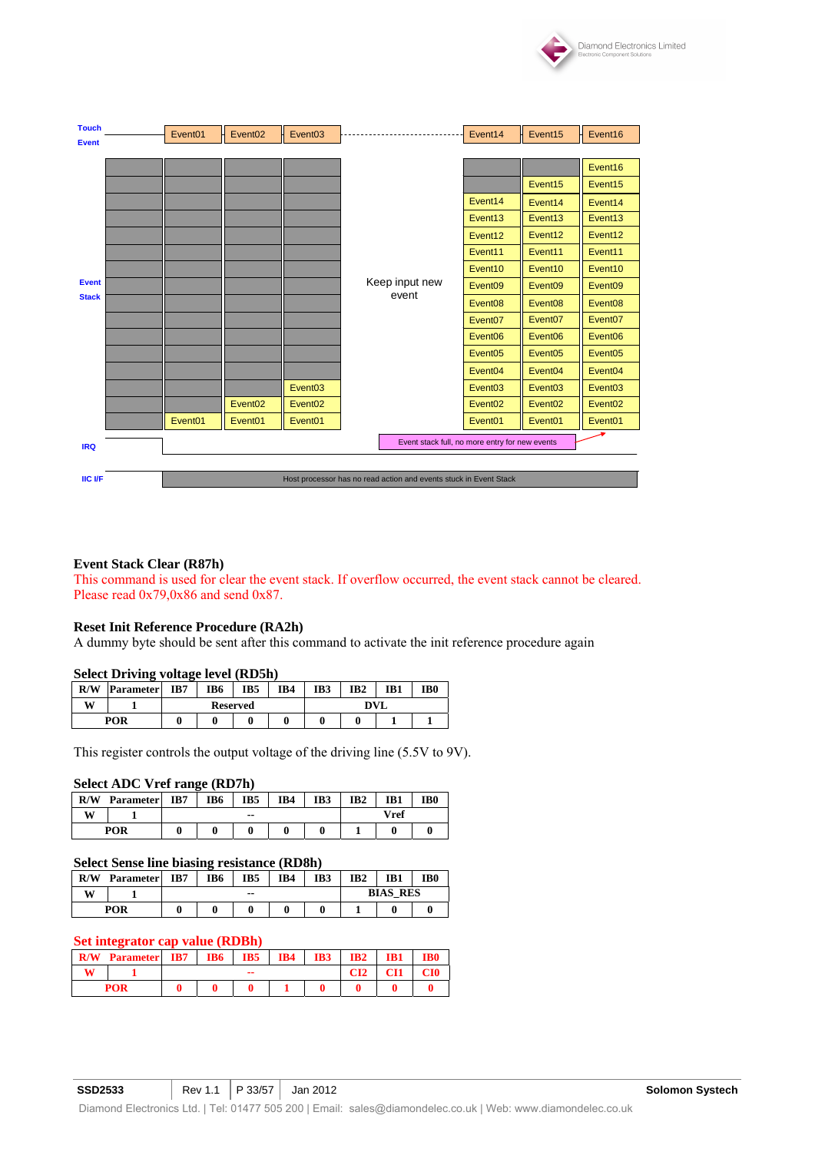

| <b>Touch</b>   | Event <sub>01</sub> | Event <sub>02</sub> | Event <sub>03</sub> |                                                                   | Event14             | Event15             | Event16             |
|----------------|---------------------|---------------------|---------------------|-------------------------------------------------------------------|---------------------|---------------------|---------------------|
| <b>Event</b>   |                     |                     |                     |                                                                   |                     |                     |                     |
|                |                     |                     |                     |                                                                   |                     |                     | Event16             |
|                |                     |                     |                     |                                                                   |                     | Event <sub>15</sub> | Event <sub>15</sub> |
|                |                     |                     |                     |                                                                   |                     |                     |                     |
|                |                     |                     |                     |                                                                   | Event14             | Event14             | Event14             |
|                |                     |                     |                     |                                                                   | Event <sub>13</sub> | Event <sub>13</sub> | Event <sub>13</sub> |
|                |                     |                     |                     |                                                                   | Event12             | Event12             | Event12             |
|                |                     |                     |                     |                                                                   | Event11             | Event11             | Event11             |
|                |                     |                     |                     |                                                                   | Event10             | Event10             | Event10             |
| <b>Event</b>   |                     |                     |                     | Keep input new                                                    | Event <sub>09</sub> | Event <sub>09</sub> | Event <sub>09</sub> |
| <b>Stack</b>   |                     |                     |                     | event                                                             | Event <sub>08</sub> | Event <sub>08</sub> | Event <sub>08</sub> |
|                |                     |                     |                     |                                                                   | Event <sub>07</sub> | Event <sub>07</sub> | Event <sub>07</sub> |
|                |                     |                     |                     |                                                                   | Event <sub>06</sub> | Event <sub>06</sub> | Event <sub>06</sub> |
|                |                     |                     |                     |                                                                   | Event <sub>05</sub> | Event <sub>05</sub> | Event <sub>05</sub> |
|                |                     |                     |                     |                                                                   | Event <sub>04</sub> | Event <sub>04</sub> | Event <sub>04</sub> |
|                |                     |                     | Event <sub>03</sub> |                                                                   | Event <sub>03</sub> | Event <sub>03</sub> | Event <sub>03</sub> |
|                |                     | Event <sub>02</sub> | Event <sub>02</sub> |                                                                   | Event <sub>02</sub> | Event <sub>02</sub> | Event <sub>02</sub> |
|                | Event <sub>01</sub> | Event <sub>01</sub> | Event <sub>01</sub> |                                                                   | Event <sub>01</sub> | Event <sub>01</sub> | Event <sub>01</sub> |
| <b>IRQ</b>     |                     |                     |                     | Event stack full, no more entry for new events                    |                     |                     |                     |
|                |                     |                     |                     |                                                                   |                     |                     |                     |
| <b>IIC I/F</b> |                     |                     |                     | Host processor has no read action and events stuck in Event Stack |                     |                     |                     |

#### **Event Stack Clear (R87h)**

This command is used for clear the event stack. If overflow occurred, the event stack cannot be cleared. Please read  $0x79,0x86$  and send  $0x87$ .

#### **Reset Init Reference Procedure (RA2h)**

A dummy byte should be sent after this command to activate the init reference procedure again

#### **Select Driving voltage level (RD5h)**

| R/W | <b>Parameter</b> | IB7 | IB6 | IB5             | IB4 | IB3        | IB <sub>2</sub> | IB1 | IB <sub>0</sub> |  |
|-----|------------------|-----|-----|-----------------|-----|------------|-----------------|-----|-----------------|--|
| W   |                  |     |     | <b>Reserved</b> |     | <b>DVL</b> |                 |     |                 |  |
|     | POR              |     |     |                 |     |            |                 |     |                 |  |

This register controls the output voltage of the driving line (5.5V to 9V).

#### **Select ADC Vref range (RD7h)**

| R/W        | <b>Parameter</b> | IB7 | IB <sub>6</sub> | IB5           | IB4 | IB3 | IB <sub>2</sub> | IB1 | IB <sub>0</sub> |
|------------|------------------|-----|-----------------|---------------|-----|-----|-----------------|-----|-----------------|
| W          |                  |     |                 | $\sim$ $\sim$ |     |     | Vref            |     |                 |
| <b>POR</b> |                  |     |                 |               |     |     |                 |     |                 |

#### **Select Sense line biasing resistance (RD8h)**

| R/W | <b>Parameter</b> | IB7 | IB6 | IB5   | IB4 | IB3 | IB <sub>2</sub> | IB1             | IB <sub>0</sub> |
|-----|------------------|-----|-----|-------|-----|-----|-----------------|-----------------|-----------------|
| w   |                  |     |     | $- -$ |     |     |                 | <b>BIAS RES</b> |                 |
|     | POR              |     |     |       |     |     |                 |                 |                 |

#### **Set integrator cap value (RDBh)**

| R/W | <b>Parameter</b> | IB7 | IB6 | IB5 | IB4 | IB3 | IB2 | IB1 |  |
|-----|------------------|-----|-----|-----|-----|-----|-----|-----|--|
|     |                  |     |     | --  |     |     | CI2 | CH1 |  |
|     | <b>POR</b>       |     |     |     |     |     |     |     |  |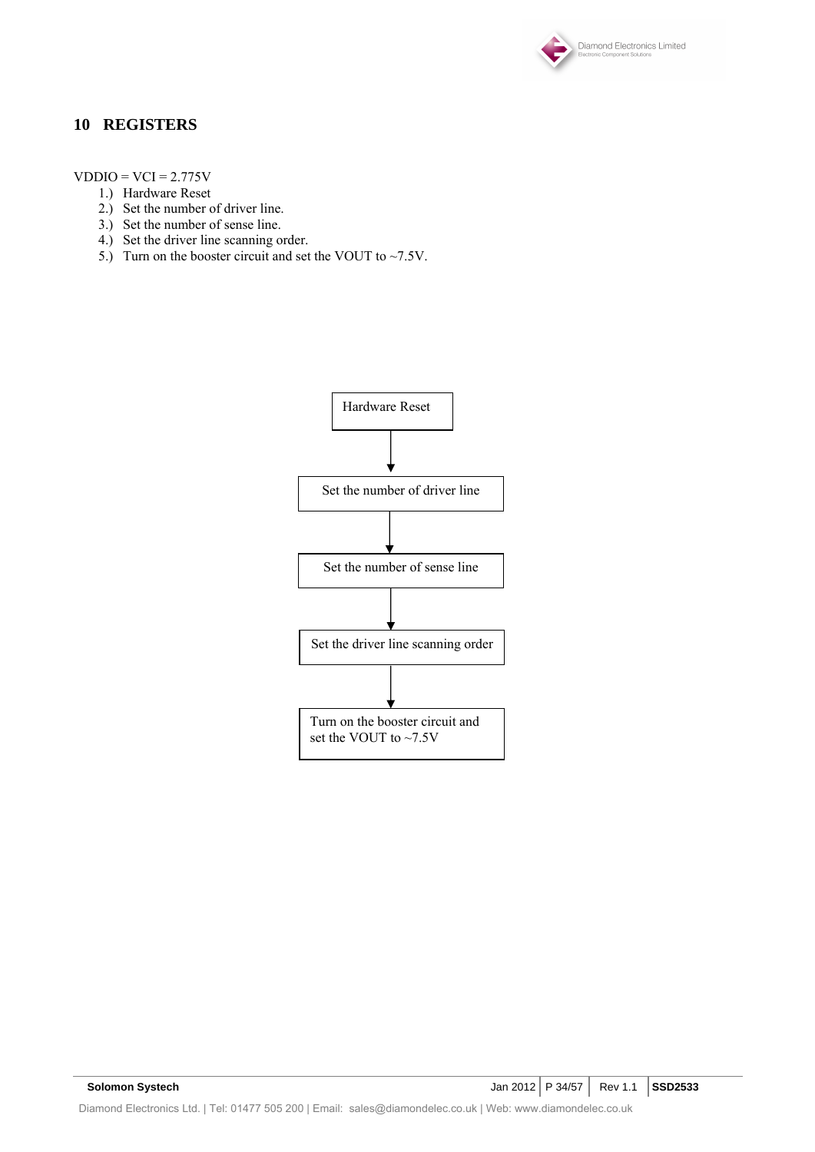

### **10 REGISTERS**

 $VDDIO = VCI = 2.775V$ 

- 1.) Hardware Reset
- 2.) Set the number of driver line.
- 3.) Set the number of sense line.
- 4.) Set the driver line scanning order.
- 5.) Turn on the booster circuit and set the VOUT to  $\sim$  7.5V.

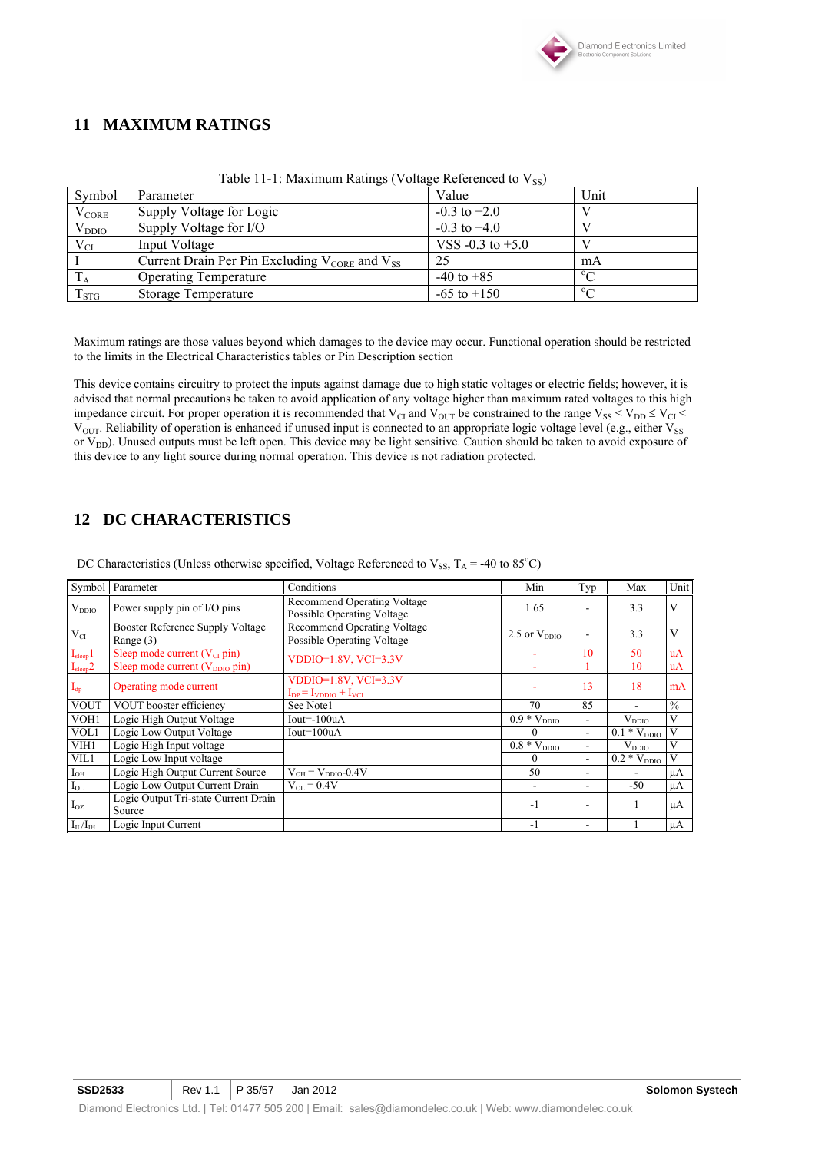

# **11 MAXIMUM RATINGS**

| Symbol             | Parameter                                               | Value                | Unit           |
|--------------------|---------------------------------------------------------|----------------------|----------------|
| $\rm V_{CORE}$     | Supply Voltage for Logic                                | $-0.3$ to $+2.0$     |                |
| $\rm V_{DDIO}$     | Supply Voltage for I/O                                  | $-0.3$ to $+4.0$     |                |
| $V_{CI}$           | Input Voltage                                           | VSS $-0.3$ to $+5.0$ |                |
|                    | Current Drain Per Pin Excluding $V_{CORE}$ and $V_{SS}$ | 25                   | mA             |
|                    | <b>Operating Temperature</b>                            | $-40$ to $+85$       | $^{\circ}$     |
| $\mathrm{T_{STG}}$ | Storage Temperature                                     | $-65$ to $+150$      | 0 <sub>0</sub> |

Table 11-1: Maximum Ratings (Voltage Referenced to  $V_{ss}$ )

Maximum ratings are those values beyond which damages to the device may occur. Functional operation should be restricted to the limits in the Electrical Characteristics tables or Pin Description section

This device contains circuitry to protect the inputs against damage due to high static voltages or electric fields; however, it is advised that normal precautions be taken to avoid application of any voltage higher than maximum rated voltages to this high impedance circuit. For proper operation it is recommended that V<sub>CI</sub> and V<sub>OUT</sub> be constrained to the range V<sub>SS</sub> < V<sub>DD</sub>  $\leq$  V<sub>CI</sub> <  $V_{\text{OUT}}$ . Reliability of operation is enhanced if unused input is connected to an appropriate logic voltage level (e.g., either  $V_{SS}$ or  $V_{DD}$ ). Unused outputs must be left open. This device may be light sensitive. Caution should be taken to avoid exposure of this device to any light source during normal operation. This device is not radiation protected.

### **12 DC CHARACTERISTICS**

DC Characteristics (Unless otherwise specified, Voltage Referenced to  $V_{SS}$ , T<sub>A</sub> = -40 to 85<sup>o</sup>C)

|                          | Symbol Parameter                                | Conditions                                                       | Min                           | Typ                      | Max                         | Unit          |
|--------------------------|-------------------------------------------------|------------------------------------------------------------------|-------------------------------|--------------------------|-----------------------------|---------------|
| $V_{DDIO}$               | Power supply pin of I/O pins                    | <b>Recommend Operating Voltage</b><br>Possible Operating Voltage | 1.65                          |                          | 3.3                         | V             |
| $V_{CI}$                 | Booster Reference Supply Voltage<br>Range $(3)$ | Recommend Operating Voltage<br>Possible Operating Voltage        | 2.5 or $V_{DDIO}$             |                          | 3.3                         | V             |
| I <sub>sleep</sub> 1     | Sleep mode current $(V_{CI}$ pin)               | $VDDIO=1.8V$ , $VCI=3.3V$                                        | ٠                             | 10                       | 50                          | uA            |
| $I_{sleep}2$             | Sleep mode current (V <sub>DDIO</sub> pin)      |                                                                  |                               |                          | 10                          | uA            |
| $\mathbf{I}_{\text{dp}}$ | Operating mode current                          | VDDIO= $1.8V$ , VCI= $3.3V$<br>$I_{DP} = I_{VDDO} + I_{VCI}$     |                               | 13                       | 18                          | mA            |
| <b>VOUT</b>              | VOUT booster efficiency                         | See Note1                                                        | 70                            | 85                       | $\overline{\phantom{a}}$    | $\frac{0}{0}$ |
| VOH1                     | Logic High Output Voltage                       | $Iout=100uA$                                                     | $0.9 * V_{DDIO}$              | $\blacksquare$           | $V_{DDIO}$                  | V             |
| VOL1                     | Logic Low Output Voltage                        | $Iout=100uA$                                                     | $\theta$                      | $\overline{\phantom{a}}$ | $0.1 * V_{DDIO}$            | V             |
| VIH1                     | Logic High Input voltage                        |                                                                  | $\overline{0.8}$ * $V_{DDIO}$ | $\overline{\phantom{a}}$ | $V_{DDIO}$                  | V             |
| VIL1                     | Logic Low Input voltage                         |                                                                  | $\theta$                      | $\blacksquare$           | $\overline{0.2} * V_{DDIO}$ | V             |
| $I_{OH}$                 | Logic High Output Current Source                | $V_{OH} = V_{DDIO} - 0.4V$                                       | 50                            | ٠                        |                             | μA            |
| $I_{OL}$                 | Logic Low Output Current Drain                  | $V_{OL} = 0.4V$                                                  |                               | ٠                        | $-50$                       | μA            |
| $I_{OZ}$                 | Logic Output Tri-state Current Drain<br>Source  |                                                                  | $-1$                          |                          |                             | $\mu A$       |
| $I_{II}/I_{IH}$          | Logic Input Current                             |                                                                  | $-1$                          |                          |                             | μA            |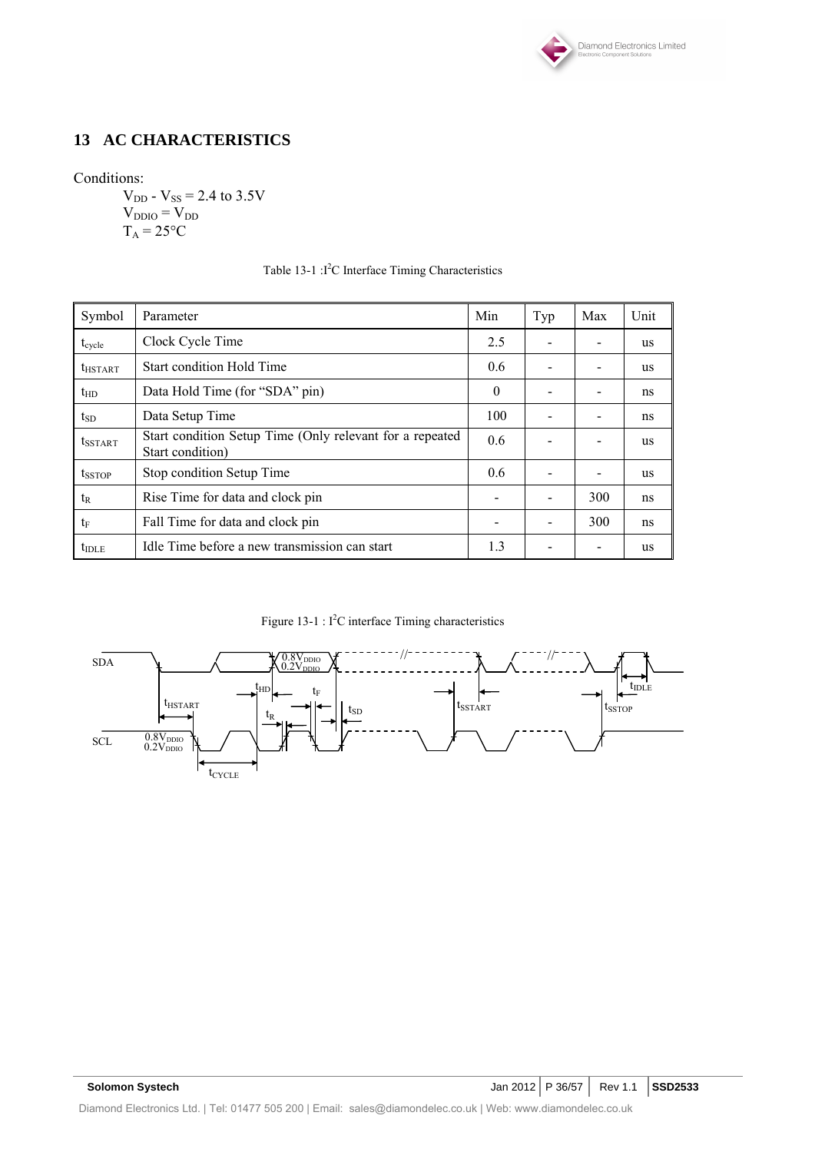

# **13 AC CHARACTERISTICS**

### Conditions:

 $V_{DD}$  -  $V_{SS}$  = 2.4 to 3.5V  $V_{DDIO} = V_{DD}$  $T_A = 25$ °C

| Symbol                     | Parameter                                                                    | Min      | Typ | Max | Unit      |
|----------------------------|------------------------------------------------------------------------------|----------|-----|-----|-----------|
| $t_{cycle}$                | Clock Cycle Time                                                             | 2.5      |     |     | <b>us</b> |
| $t_{HSTART}$               | <b>Start condition Hold Time</b>                                             | 0.6      |     |     | <b>us</b> |
| $t_{HD}$                   | Data Hold Time (for "SDA" pin)                                               | $\Omega$ |     |     | ns        |
| $t_{SD}$                   | Data Setup Time                                                              | 100      |     |     | ns        |
| <i>t</i> <sub>SSTART</sub> | Start condition Setup Time (Only relevant for a repeated<br>Start condition) | 0.6      |     |     | <b>us</b> |
| <b>t</b> sstop             | Stop condition Setup Time                                                    | 0.6      |     |     | us        |
| $t_{R}$                    | Rise Time for data and clock pin                                             |          |     | 300 | ns        |
| $t_{\rm F}$                | Fall Time for data and clock pin                                             |          |     | 300 | ns        |
| $t_{\rm IDLE}$             | Idle Time before a new transmission can start                                | 1.3      |     |     | us        |

#### Table 13-1 : $I^2C$  Interface Timing Characteristics

Figure 13-1 :  $I^2C$  interface Timing characteristics

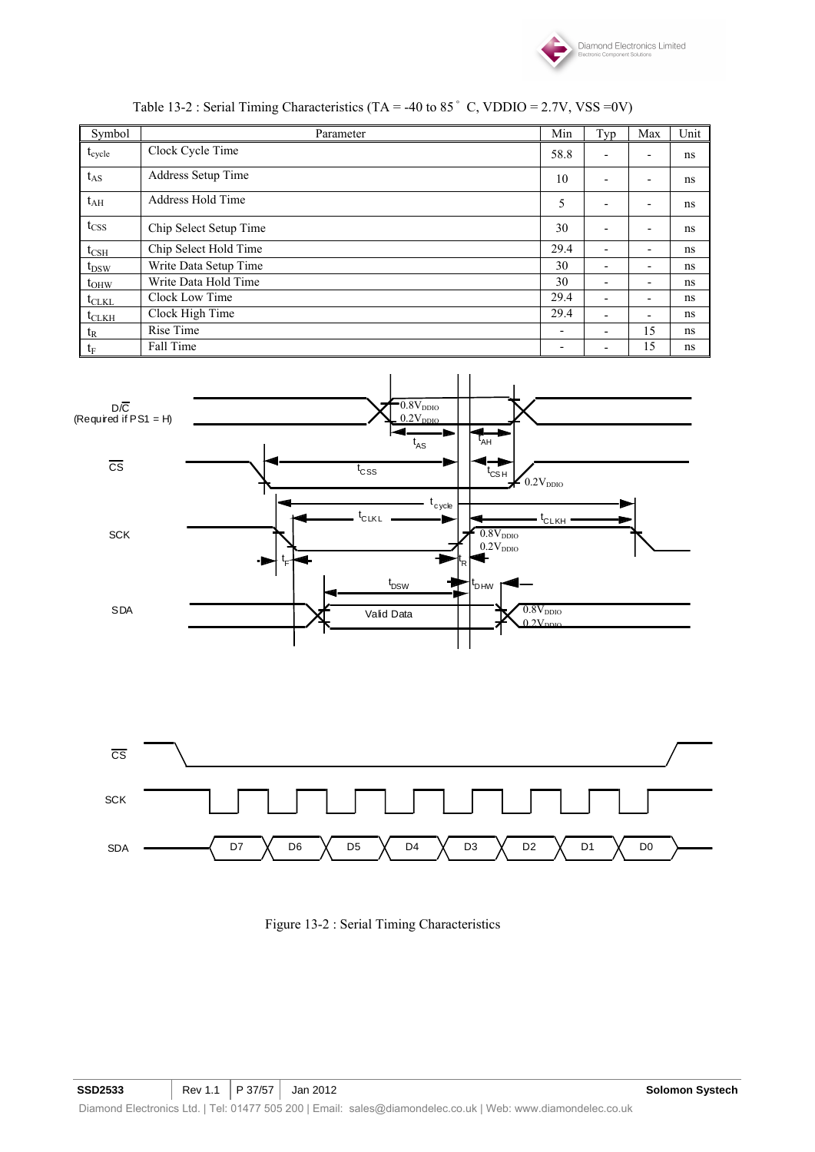

| Symbol                      | Parameter              | Min  | Typ                      | Max | Unit |
|-----------------------------|------------------------|------|--------------------------|-----|------|
| $t_{cycle}$                 | Clock Cycle Time       | 58.8 | ٠                        | -   | ns   |
| $t_{AS}$                    | Address Setup Time     | 10   | $\overline{\phantom{0}}$ | -   | ns   |
| $t_{\rm AH}$                | Address Hold Time      | 5    |                          | -   | ns   |
| $t_{\rm CSS}$               | Chip Select Setup Time | 30   | $\overline{\phantom{a}}$ | -   | ns   |
| $t_{\rm CSH}$               | Chip Select Hold Time  | 29.4 | $\overline{\phantom{a}}$ | -   | ns   |
| $t_{DSW}$                   | Write Data Setup Time  | 30   |                          | ٠   | ns   |
| $t_{OHW}$                   | Write Data Hold Time   | 30   | $\overline{\phantom{0}}$ | -   | ns   |
| $t_{CLKL}$                  | Clock Low Time         | 29.4 | $\overline{\phantom{a}}$ | -   | ns   |
| $t_{CLKH}$                  | Clock High Time        | 29.4 | $\overline{\phantom{a}}$ | -   | ns.  |
| $\mathfrak{t}_{\mathsf{R}}$ | Rise Time              | -    | $\overline{\phantom{0}}$ | 15  | ns   |
| $\mathfrak{t}_{\mathrm{F}}$ | Fall Time              |      |                          | 15  | ns.  |







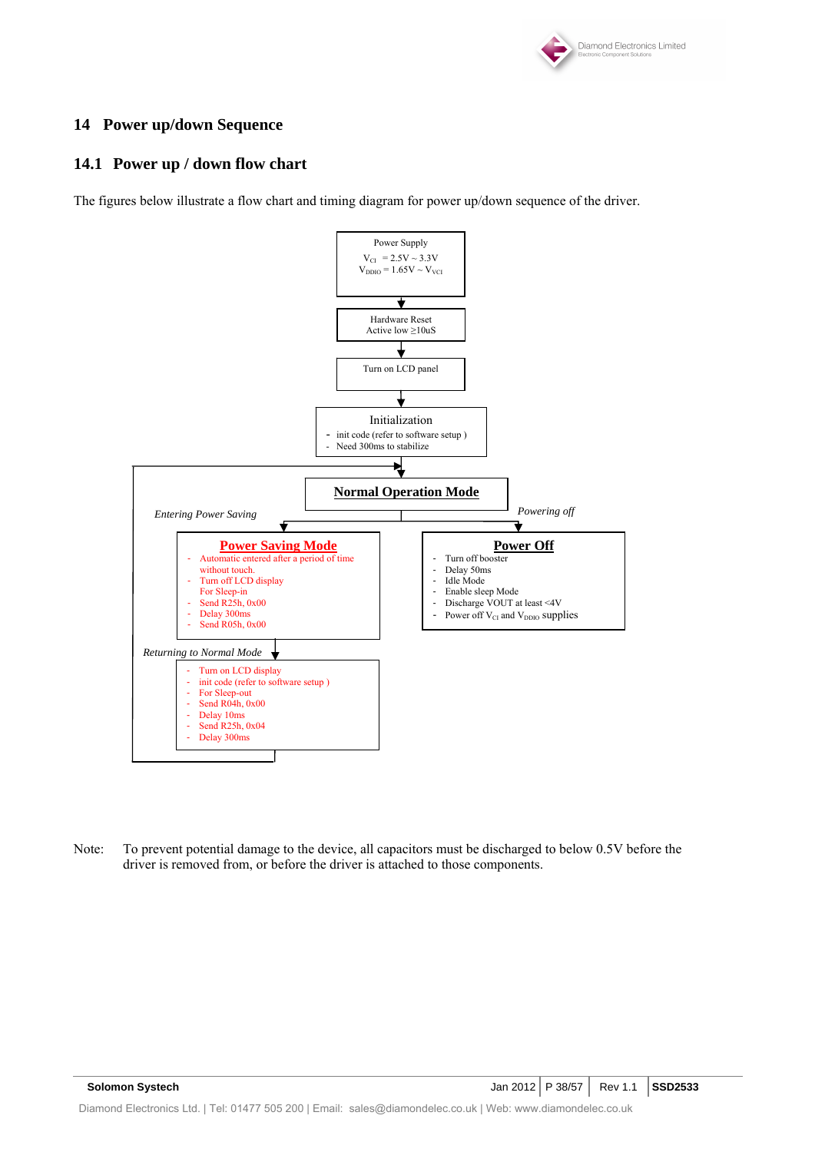

### **14 Power up/down Sequence**

### **14.1 Power up / down flow chart**

The figures below illustrate a flow chart and timing diagram for power up/down sequence of the driver.



Note: To prevent potential damage to the device, all capacitors must be discharged to below 0.5V before the driver is removed from, or before the driver is attached to those components.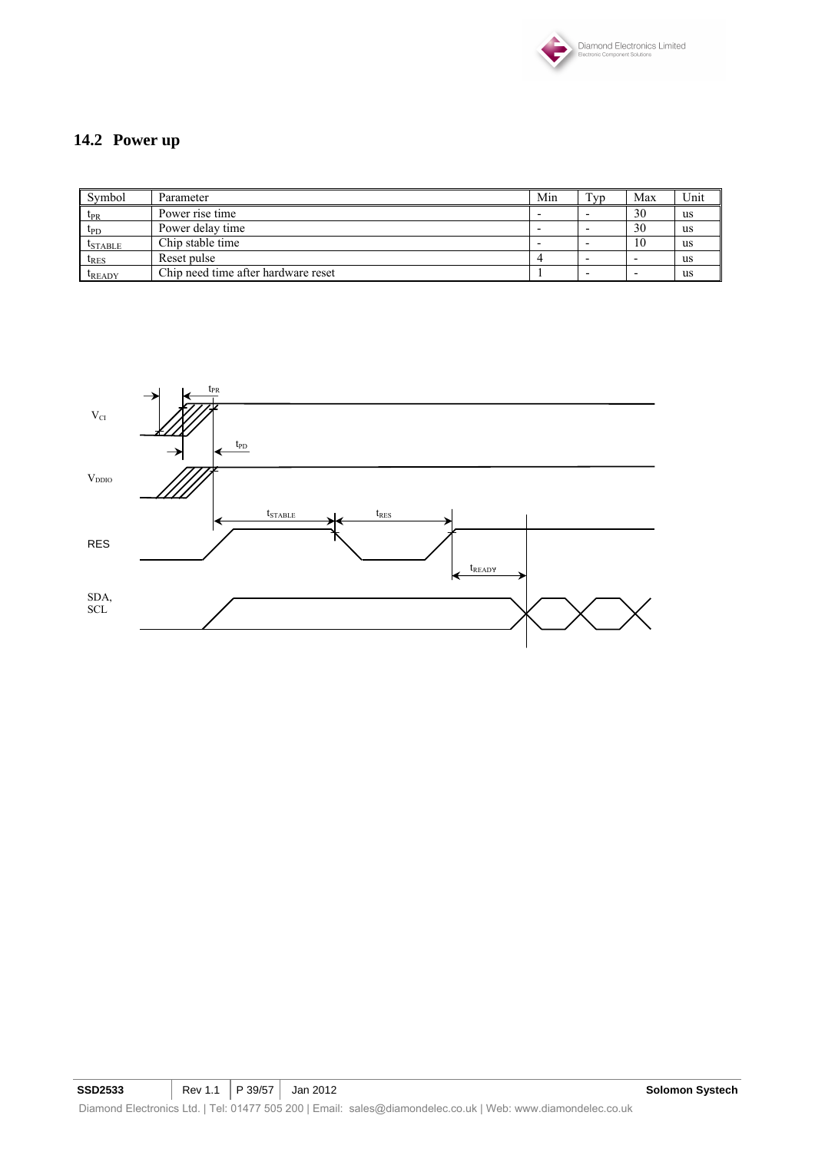

# **14.2 Power up**

| Symbol        | Parameter                           | Min | T <sub>VD</sub> | Max | Unit      |
|---------------|-------------------------------------|-----|-----------------|-----|-----------|
| $t_{PR}$      | Power rise time                     |     |                 | 30  | us        |
| $t_{\rm PD}$  | Power delay time                    |     |                 | 30  | us        |
| $t_{STABLE}$  | Chip stable time                    |     |                 | 10  | us        |
| $t_{RES}$     | Reset pulse                         |     |                 |     | <b>us</b> |
| <b>LREADY</b> | Chip need time after hardware reset |     |                 |     | us        |

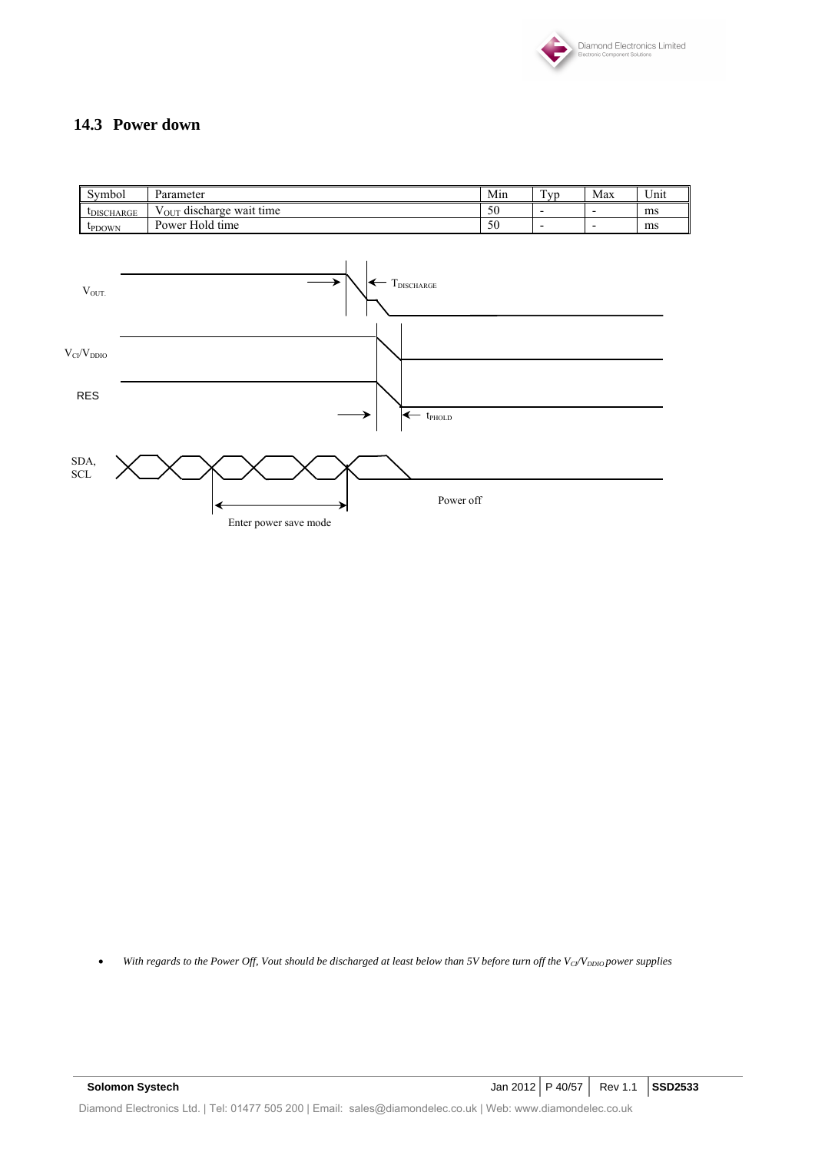

### **14.3 Power down**

| Min<br>Symbol<br>Parameter                                      | <b>vr</b>                | Max<br>Unit |
|-----------------------------------------------------------------|--------------------------|-------------|
| V <sub>OUT</sub> discharge wait time<br>50<br><b>LDISCHARGE</b> | -                        | ms          |
| Power Hold time<br>50<br><b>LPDOWN</b>                          | $\overline{\phantom{0}}$ | ms          |
|                                                                 |                          |             |



• With regards to the Power Off, Vout should be discharged at least below than 5V before turn off the V<sub>CI</sub>/V<sub>DDIO</sub> power supplies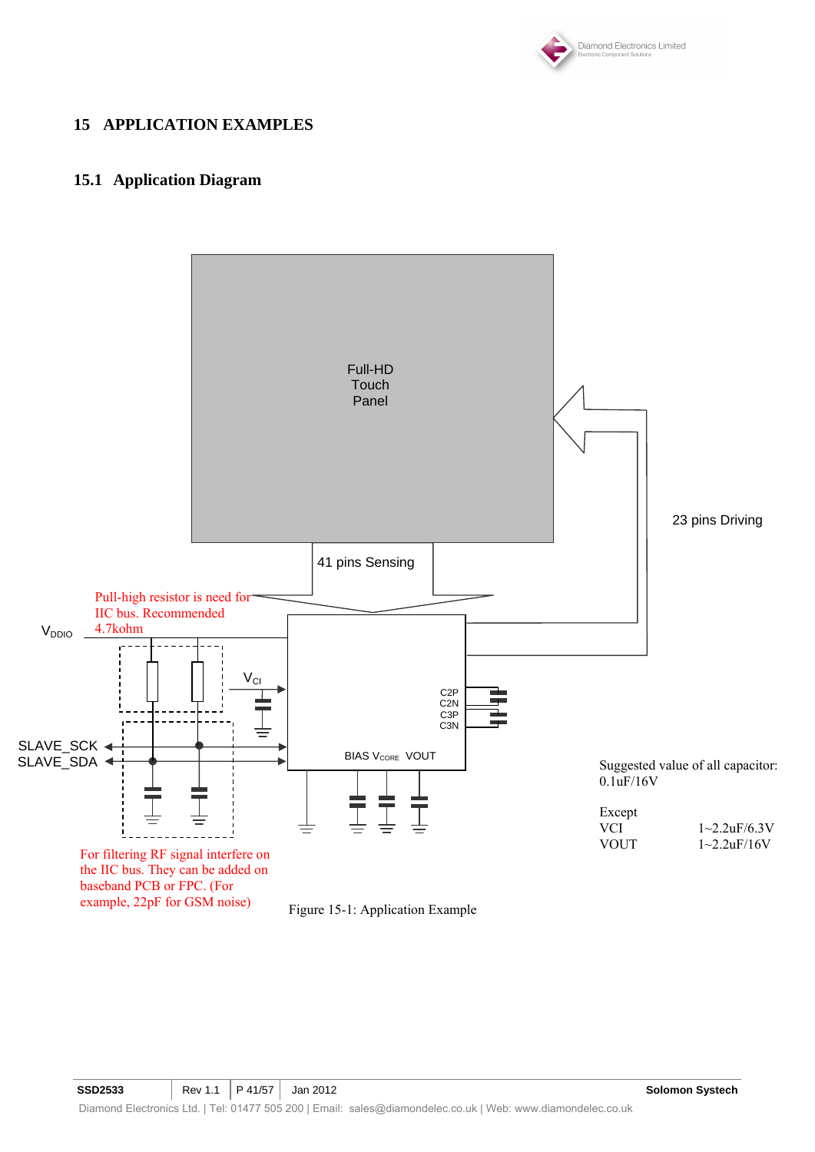

### **15 APPLICATION EXAMPLES**

### **15.1 Application Diagram**

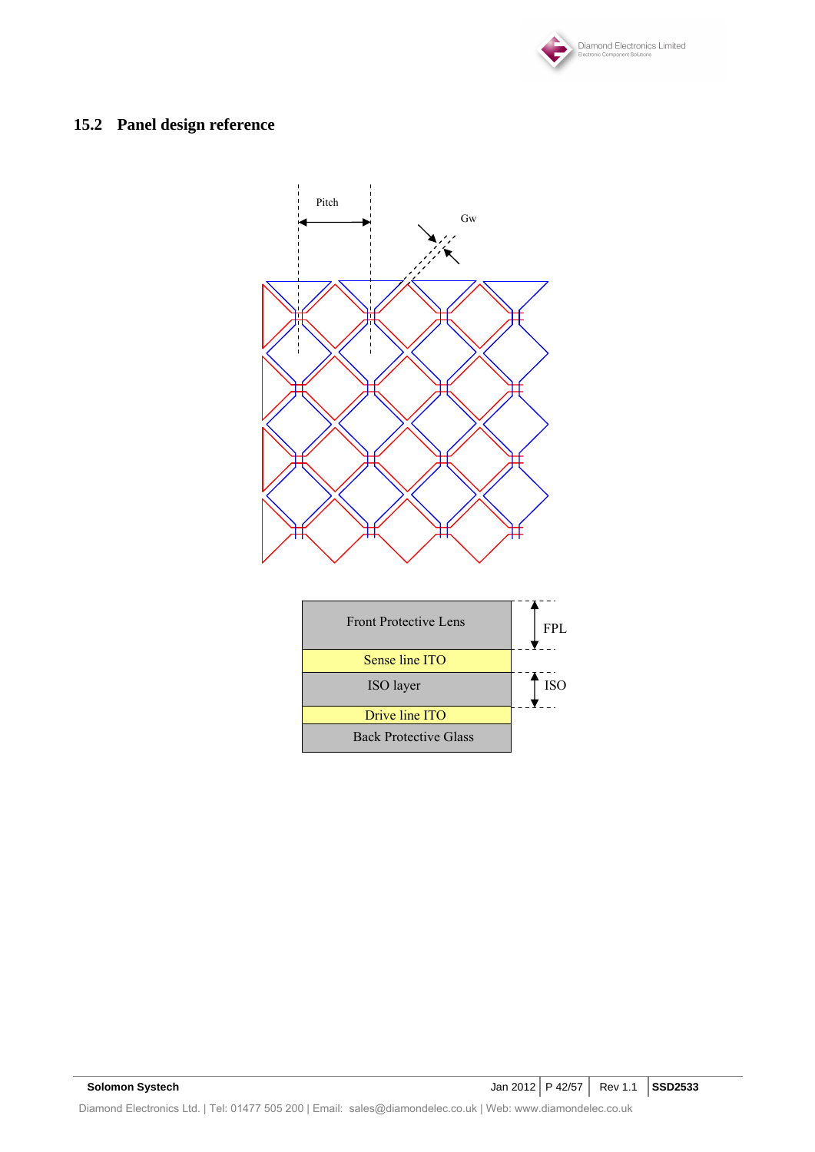

# **15.2 Panel design reference**

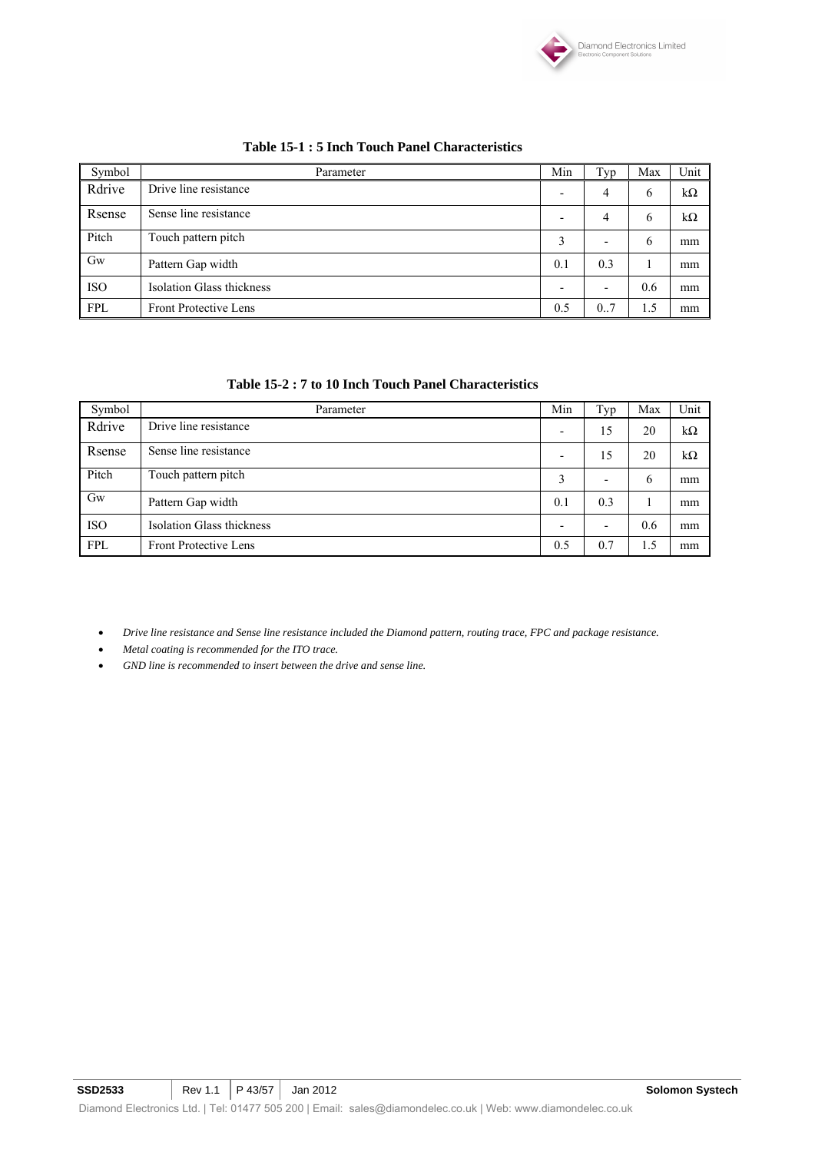

| Symbol     | Parameter                        | Min                      | Typ | Max | Unit |
|------------|----------------------------------|--------------------------|-----|-----|------|
| Rdrive     | Drive line resistance            | $\overline{\phantom{0}}$ | 4   | 6   | kΩ   |
| Rsense     | Sense line resistance            | -                        | 4   | 6   | kΩ   |
| Pitch      | Touch pattern pitch              | 3                        |     | 6   | mm   |
| Gw         | Pattern Gap width                | 0.1                      | 0.3 |     | mm   |
| <b>ISO</b> | <b>Isolation Glass thickness</b> | -                        |     | 0.6 | mm   |
| <b>FPL</b> | <b>Front Protective Lens</b>     | 0.5                      | 0.7 | 1.5 | mm   |

#### **Table 15-1 : 5 Inch Touch Panel Characteristics**

#### **Table 15-2 : 7 to 10 Inch Touch Panel Characteristics**

| Symbol     | Parameter                        | Min | Typ | Max | Unit      |
|------------|----------------------------------|-----|-----|-----|-----------|
| Rdrive     | Drive line resistance            |     | 15  | 20  | $k\Omega$ |
| Rsense     | Sense line resistance            |     | 15  | 20  | $k\Omega$ |
| Pitch      | Touch pattern pitch              |     |     | 6   | mm        |
| $G_{W}$    | Pattern Gap width                | 0.1 | 0.3 |     | mm        |
| <b>ISO</b> | <b>Isolation Glass thickness</b> |     |     | 0.6 | mm        |
| FPL        | <b>Front Protective Lens</b>     | 0.5 | 0.7 | 1.5 | mm        |

• *Drive line resistance and Sense line resistance included the Diamond pattern, routing trace, FPC and package resistance.* 

- *Metal coating is recommended for the ITO trace.*
- *GND line is recommended to insert between the drive and sense line.*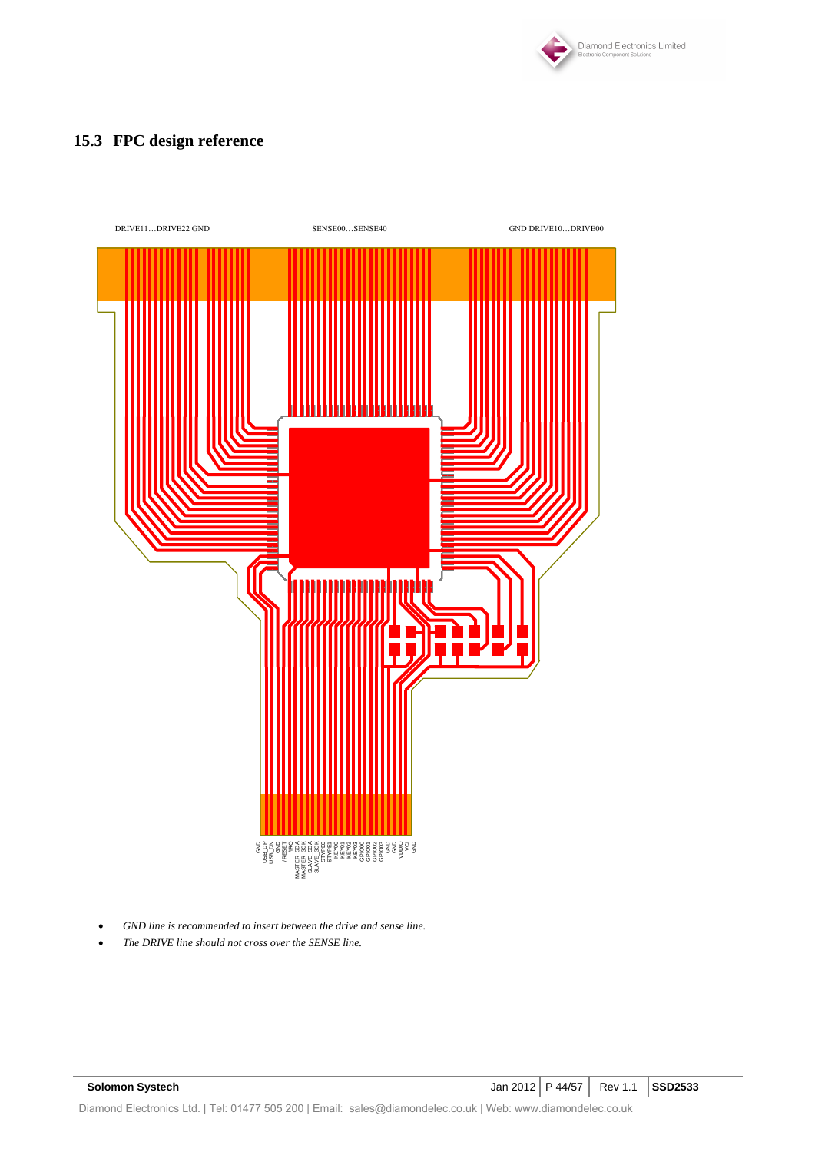

# **15.3 FPC design reference**



- *GND line is recommended to insert between the drive and sense line.*
-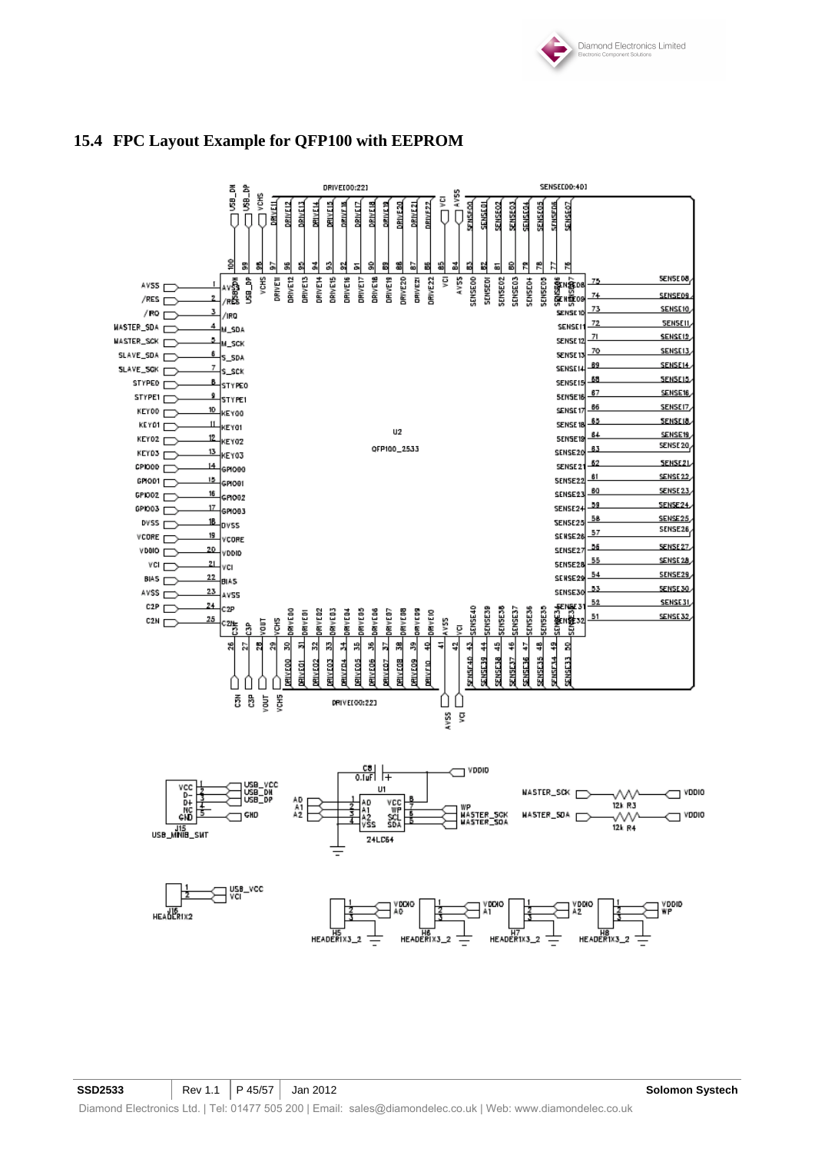



### **15.4 FPC Layout Example for QFP100 with EEPROM**

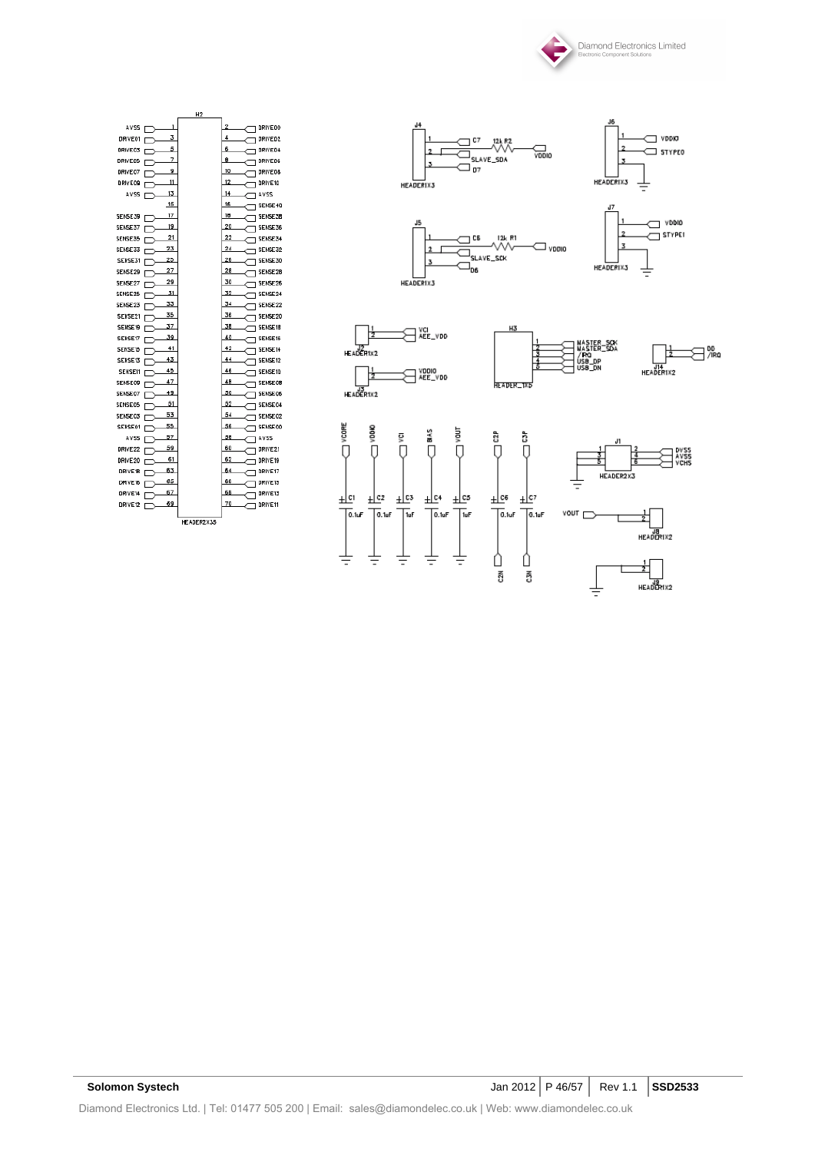



|                                 | H <sub>2</sub> |                                           |
|---------------------------------|----------------|-------------------------------------------|
| AVSS<br>3<br>DRIVE01            |                | $\overline{2}$<br>DRIVEOO<br>4<br>DRIVE02 |
| 5<br><b>ORIVEOS</b>             |                | 6<br><b>DRIVEG4</b>                       |
| г<br>7<br><b>DRIVEO5</b><br>г   |                | 8<br>DRIVEOS                              |
| 9<br>DRIVE 07                   |                | 10<br><b>DRIVEOS</b>                      |
| $\overline{11}$<br>DRIVEOS<br>г |                | 12<br>DRIVE10                             |
| 13<br>AVSS<br>г                 |                | 14<br><b>ZZVA</b>                         |
| 15                              |                | 16<br><b>SENSE40</b>                      |
| 17<br>SENSE39 F                 |                | 18<br><b>T SENSESB</b>                    |
| 19<br>SENSE37<br>г              |                | 20<br>SENSE36                             |
| 21<br>SENSE35                   |                | 22<br>SENSE34                             |
| 23<br><b>SENSE33</b><br>г       |                | 24<br>1 SENSE32                           |
| 25<br><b>SENSE31</b><br>г       |                | 26<br><b>SENSE30</b>                      |
| 27<br><b>SENSE29</b><br>г       |                | 28<br><b>SENSE28</b>                      |
| 29<br>SENSE27<br>г              |                | 30<br><b>SENSE26</b>                      |
| 31<br><b>SENSE25</b><br>г       |                | 32<br>SENSE24                             |
| 33<br>SENSE23<br>г              |                | 34<br>SENSE22                             |
| 35<br>SENSE21<br>г              |                | 36<br>SENSE20                             |
| 37<br>SENSE19<br>г              |                | 38<br><b>SENSE18</b>                      |
| 39<br>SENSE17<br>г              |                | 40<br><b>SENSE16</b>                      |
| 41<br>SENSE15<br>r              |                | 42<br><b>SENSE14</b>                      |
| 43<br><b>SENSE13</b><br>г       |                | $^{44}$<br>SENSE12                        |
| 45<br><b>SENSE11</b><br>г       |                | 46<br>SENSE10                             |
| 47<br><b>SENSE09</b>            |                | 48<br>SENSE08                             |
| 49<br><b>SENSE07</b><br>г       |                | 50<br><b>T SENSEOS</b>                    |
| 51<br><b>SENSE05</b><br>r       |                | 52<br>SENSE04                             |
| 53<br><b>SENSE03</b><br>г       |                | 54<br>SENSE02                             |
| 55<br><b>SENSE01</b><br>I       |                | 56<br><b>SENSE00</b>                      |
| 57<br>AVSS                      |                | 58<br>AVSS                                |
| 59<br>DRIVE <sub>22</sub>       |                | 60<br>DRIVE21                             |
| 61<br>DRIVE20                   |                | 62<br>DRIVE19                             |
| 63<br>DRIVE1B                   |                | 64<br>DRIVE17                             |
| 65<br>DRIVE16                   |                | 66<br>DRIVE15                             |
| 67<br>DRIVE14                   |                | 68<br>ORIVETS                             |
| 69<br>DRIVE12<br>ſ              |                | 70<br><b>DRIVE11</b>                      |
|                                 |                |                                           |

HEADER2X35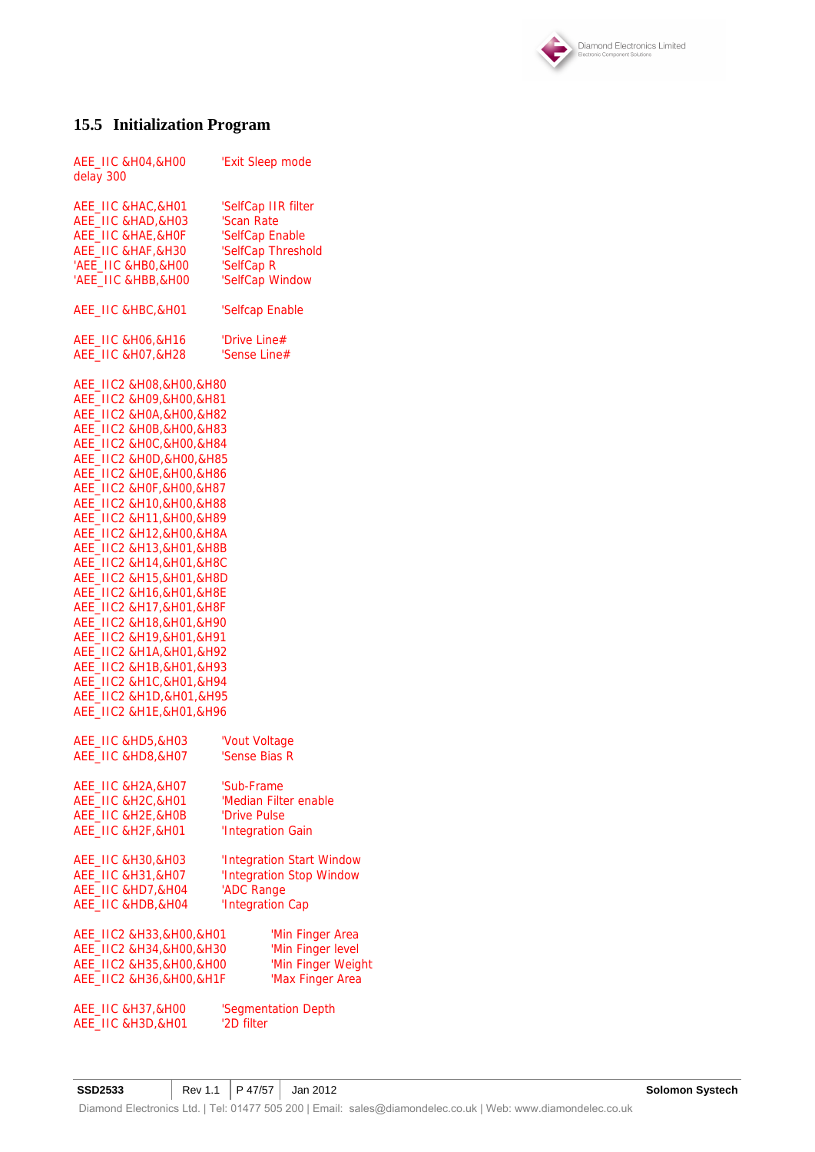

# **15.5 Initialization Program**

| AEE_IIC & HO4, & HOO<br>delay 300                                                                                                                                                                                                                                                                                                                                                                                                                                                                                                                                                                                                                                         | 'Exit Sleep mode          |
|---------------------------------------------------------------------------------------------------------------------------------------------------------------------------------------------------------------------------------------------------------------------------------------------------------------------------------------------------------------------------------------------------------------------------------------------------------------------------------------------------------------------------------------------------------------------------------------------------------------------------------------------------------------------------|---------------------------|
| AEE_IIC & HAC, & H01                                                                                                                                                                                                                                                                                                                                                                                                                                                                                                                                                                                                                                                      | 'SelfCap IIR filter       |
| AEE_IIC &HAD, & H03                                                                                                                                                                                                                                                                                                                                                                                                                                                                                                                                                                                                                                                       | 'Scan Rate                |
| AEE_IIC &HAE, &HOF                                                                                                                                                                                                                                                                                                                                                                                                                                                                                                                                                                                                                                                        | 'SelfCap Enable           |
| AEE_IIC &HAF, &H30                                                                                                                                                                                                                                                                                                                                                                                                                                                                                                                                                                                                                                                        | 'SelfCap Threshold        |
| 'AEE_IIC &HB0,&H00                                                                                                                                                                                                                                                                                                                                                                                                                                                                                                                                                                                                                                                        | 'SelfCap R                |
| 'AEE_IIC &HBB, & HOO                                                                                                                                                                                                                                                                                                                                                                                                                                                                                                                                                                                                                                                      | 'SelfCap Window           |
| AEE_IIC &HBC, &H01                                                                                                                                                                                                                                                                                                                                                                                                                                                                                                                                                                                                                                                        | 'Selfcap Enable           |
| AEE_IIC & HO6, & H16                                                                                                                                                                                                                                                                                                                                                                                                                                                                                                                                                                                                                                                      | 'Drive Line#              |
| AEE_IIC &H07,&H28                                                                                                                                                                                                                                                                                                                                                                                                                                                                                                                                                                                                                                                         | 'Sense Line#              |
| AEE_IIC2 &H08,&H00,&H80<br>AEE_IIC2 &H09,&H00,&H81<br>AEE_IIC2 &H0A, & H00, & H82<br>AEE_IIC2 &H0B, &H00, &H83<br>AEE_IIC2 &H0C, &H00, &H84<br>AEE_IIC2 &H0D, &H00, &H85<br>AEE_IIC2 &H0E, &H00, &H86<br>AEE_IIC2 &H0F, &H00, &H87<br>AEE_IIC2 &H10,&H00,&H88<br>AEE_IIC2 &H11,&H00,&H89<br>AEE_IIC2 &H12,&H00,&H8A<br>AEE_IIC2 &H13, &H01, &H8B<br>AEE_IIC2 &H14,&H01,&H8C<br>AEE_IIC2 &H15, & H01, & H8D<br>AEE_IIC2 &H16,&H01,&H8E<br>AEE_IIC2 &H17,&H01,&H8F<br>AEE_IIC2 &H18,&H01,&H90<br>AEE_IIC2 &H19,&H01,&H91<br>AEE_IIC2 &H1A, & H01, & H92<br>AEE_IIC2 &H1B, &H01, &H93<br>AEE_IIC2 &H1C, &H01, &H94<br>AEE_IIC2 &H1D, &H01, &H95<br>AEE_IIC2 &H1E, &H01, &H96 |                           |
| AEE_IIC &HD5,&H03                                                                                                                                                                                                                                                                                                                                                                                                                                                                                                                                                                                                                                                         | 'Vout Voltage             |
| AEE_IIC &HD8,&H07                                                                                                                                                                                                                                                                                                                                                                                                                                                                                                                                                                                                                                                         | 'Sense Bias R             |
| AEE_IIC &H2A, &H07                                                                                                                                                                                                                                                                                                                                                                                                                                                                                                                                                                                                                                                        | 'Sub-Frame                |
| AEE_IIC &H2C, &H01                                                                                                                                                                                                                                                                                                                                                                                                                                                                                                                                                                                                                                                        | 'Median Filter enable     |
| AEE_IIC &H2E, &H0B                                                                                                                                                                                                                                                                                                                                                                                                                                                                                                                                                                                                                                                        | 'Drive Pulse              |
| AEE_IIC &H2F, &H01                                                                                                                                                                                                                                                                                                                                                                                                                                                                                                                                                                                                                                                        | 'Integration Gain         |
| <b>AEE_IIC &amp;H30,&amp;H03</b>                                                                                                                                                                                                                                                                                                                                                                                                                                                                                                                                                                                                                                          | 'Integration Start Window |
| <b>AEE_IIC &amp;H31, &amp;H07</b>                                                                                                                                                                                                                                                                                                                                                                                                                                                                                                                                                                                                                                         | 'Integration Stop Window  |
| AEE_IIC &HD7,&H04                                                                                                                                                                                                                                                                                                                                                                                                                                                                                                                                                                                                                                                         | 'ADC Range                |
| AEE_IIC &HDB, &H04                                                                                                                                                                                                                                                                                                                                                                                                                                                                                                                                                                                                                                                        | 'Integration Cap          |
| AEE_IIC2 &H33,&H00,&H01                                                                                                                                                                                                                                                                                                                                                                                                                                                                                                                                                                                                                                                   | 'Min Finger Area          |
| AEE_IIC2 &H34, &H00, &H30                                                                                                                                                                                                                                                                                                                                                                                                                                                                                                                                                                                                                                                 | 'Min Finger level         |
| AEE_IIC2 &H35, &H00, &H00                                                                                                                                                                                                                                                                                                                                                                                                                                                                                                                                                                                                                                                 | 'Min Finger Weight        |
| AEE_IIC2 &H36, & H00, & H1F                                                                                                                                                                                                                                                                                                                                                                                                                                                                                                                                                                                                                                               | 'Max Finger Area          |
| AEE_IIC &H37,&H00                                                                                                                                                                                                                                                                                                                                                                                                                                                                                                                                                                                                                                                         | 'Segmentation Depth       |
| AEE_IIC &H3D, &H01                                                                                                                                                                                                                                                                                                                                                                                                                                                                                                                                                                                                                                                        | '2D filter                |

**SSD2533** Rev 1.1 P 47/57 Jan 2012 Rev 1.1 P 47/57 Jan 2012 Diamond Electronics Ltd. | Tel: 01477 505 200 | Email: sales@diamondelec.co.uk | Web: www.diamondelec.co.uk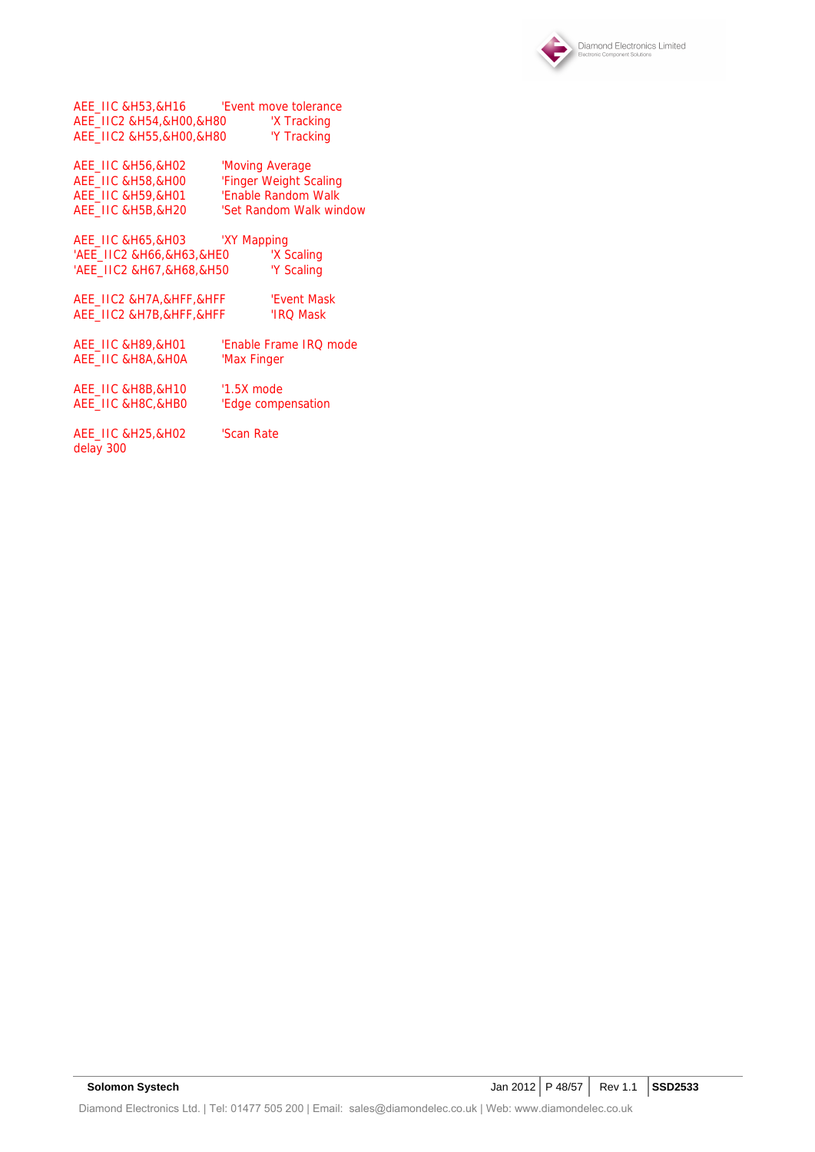

AEE\_IIC &H53,&H16 'Event move tolerance AEE\_IIC2 &H54,&H00,&H80 'X Tracking AEE\_IIC2 &H55,&H00,&H80 'Y Tracking

| AEE IIC & H56.& H02              | 'Moving Average         |
|----------------------------------|-------------------------|
| AEE IIC & H58,& HOO              | 'Finger Weight Scaling  |
| <b>AEE IIC &amp;H59.&amp;H01</b> | 'Enable Random Walk     |
| AEE IIC & H5B.& H20              | 'Set Random Walk window |

AEE\_IIC &H65,&H03 'XY Mapping 'AEE\_IIC2 &H66,&H63,&HE0 ' Y Scaling<br>'AEE\_IIC2 &H67,&H68,&H50 'Y Scaling 'AEE\_IIC2 &H67,&H68,&H50

| AEE IIC2 &H7A.&HFF.&HFF | 'Event Mask |
|-------------------------|-------------|
| AEE IIC2 &H7B.&HFF.&HFF | 'IRO Mask   |
|                         |             |

| AEE IIC & H89,& H01  | 'Enable Frame IRO mode |
|----------------------|------------------------|
| AEE IIC & H8A.& HOA  | 'Max Finger            |
| AEE IIC & H8B, & H10 | $'1.5X$ mode           |

AEE\_IIC &H8C,&HB0 'Edge compensation

AEE\_IIC &H25,&H02 'Scan Rate delay 300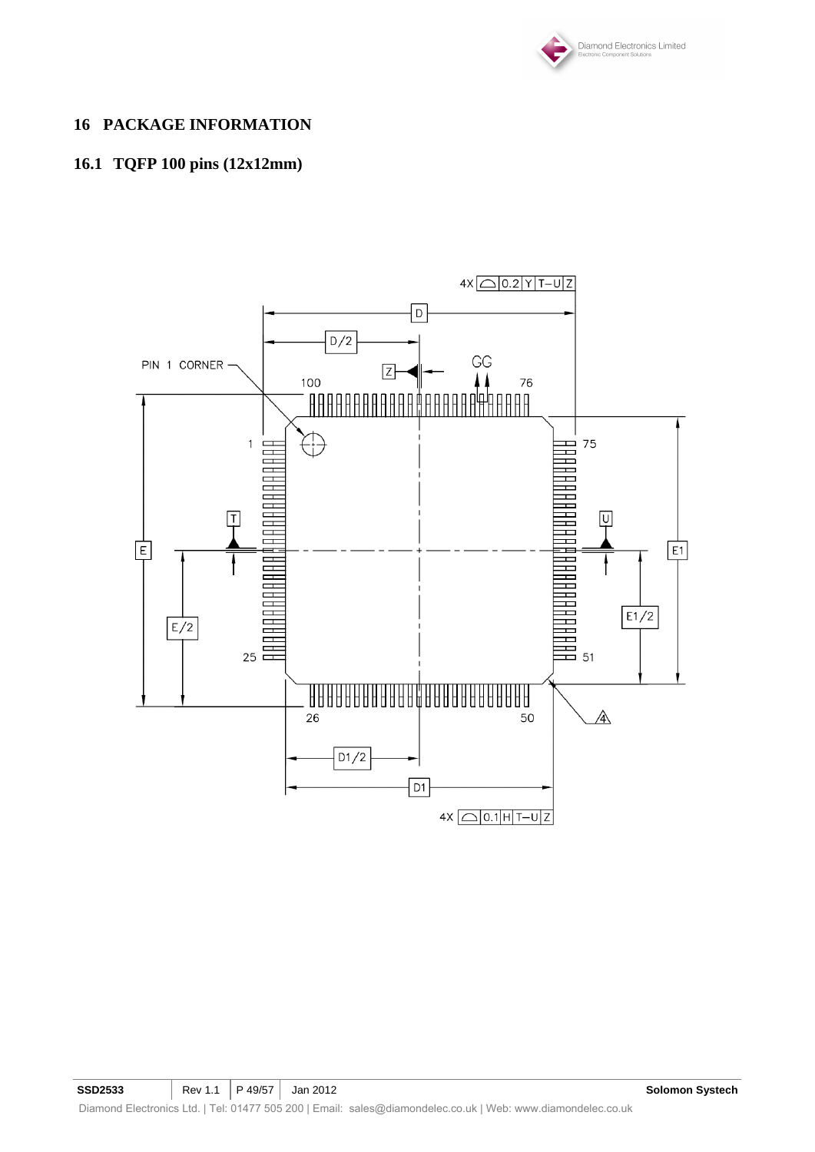

## **16 PACKAGE INFORMATION**

# **16.1 TQFP 100 pins (12x12mm)**

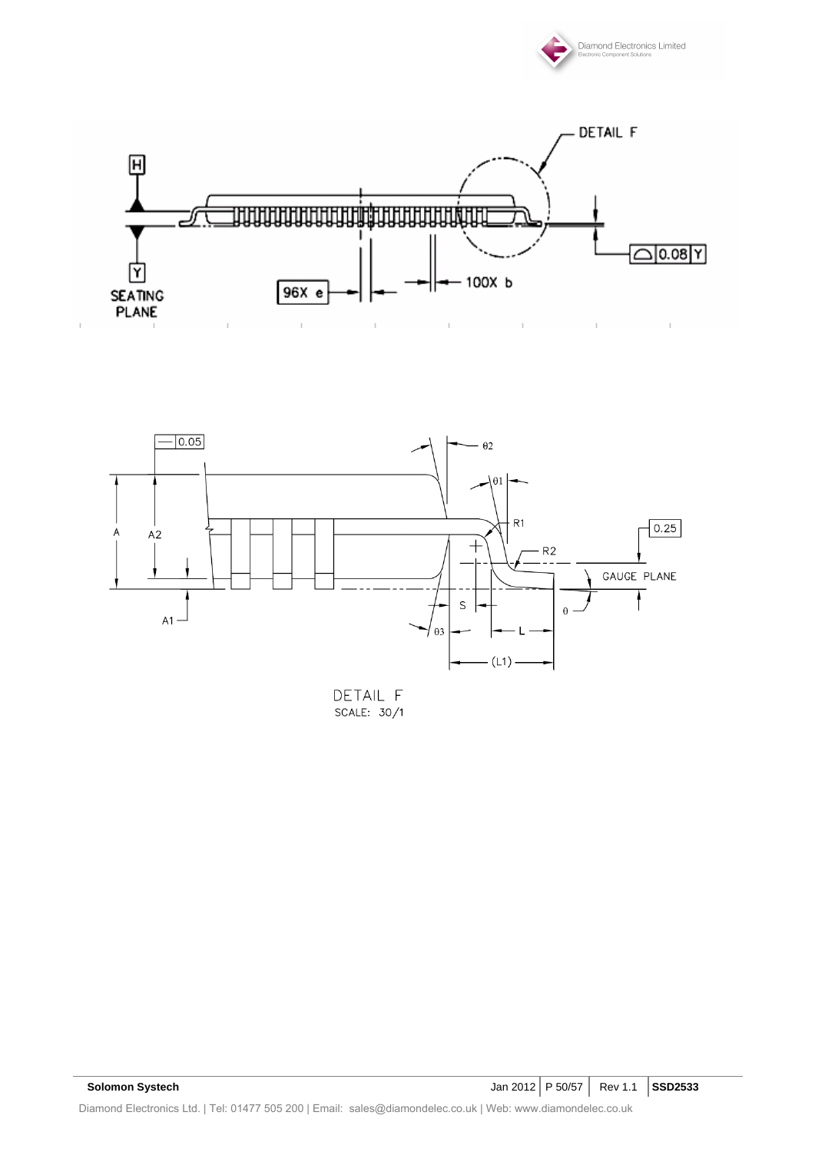





DETAIL F SCALE: 30/1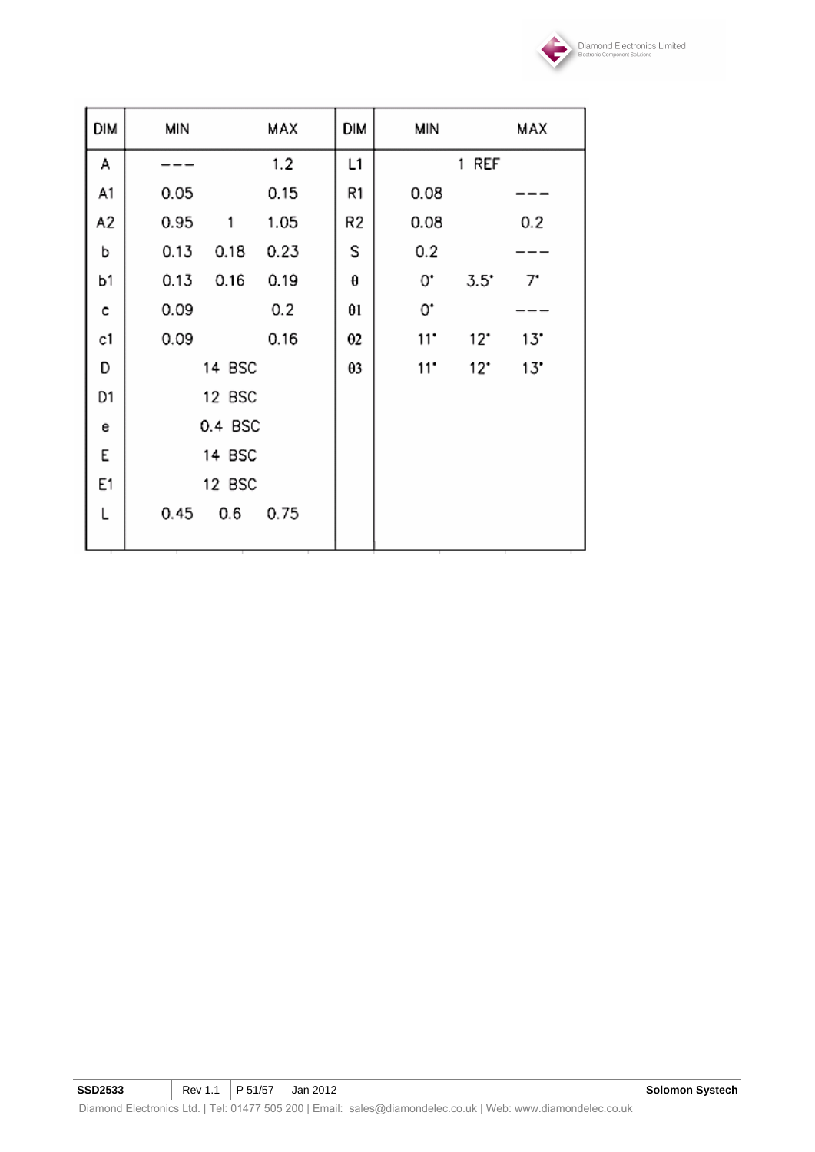

| <b>DIM</b> | MIN          | MAX  | dim            | MIN               |               | MAX |
|------------|--------------|------|----------------|-------------------|---------------|-----|
| A          |              | 1.2  | L1             |                   | 1 REF         |     |
| A1         | 0.05         | 0.15 | R1             | 0.08              |               |     |
| A2         | 0.95<br>1    | 1.05 | R <sub>2</sub> | 0.08              |               | 0.2 |
| b          | 0.13<br>0.18 | 0.23 | S              | 0.2               |               |     |
| b1         | 0.13<br>0.16 | 0.19 | θ              | 0.                | $3.5^{\circ}$ | 7.  |
| c          | 0.09         | 0.2  | $\theta$ l     | 0.                |               |     |
| c1         | 0.09         | 0.16 | θ2             | $11$ <sup>*</sup> | $12^{\circ}$  | 13" |
| D          | 14 BSC       |      | θ3             | $11^{\circ}$      | $12^{\circ}$  | 13" |
| D1         | 12 BSC       |      |                |                   |               |     |
| e          | 0.4 BSC      |      |                |                   |               |     |
| Ε          | 14 BSC       |      |                |                   |               |     |
| E1         | 12 BSC       |      |                |                   |               |     |
| L          | 0.45<br>0.6  | 0.75 |                |                   |               |     |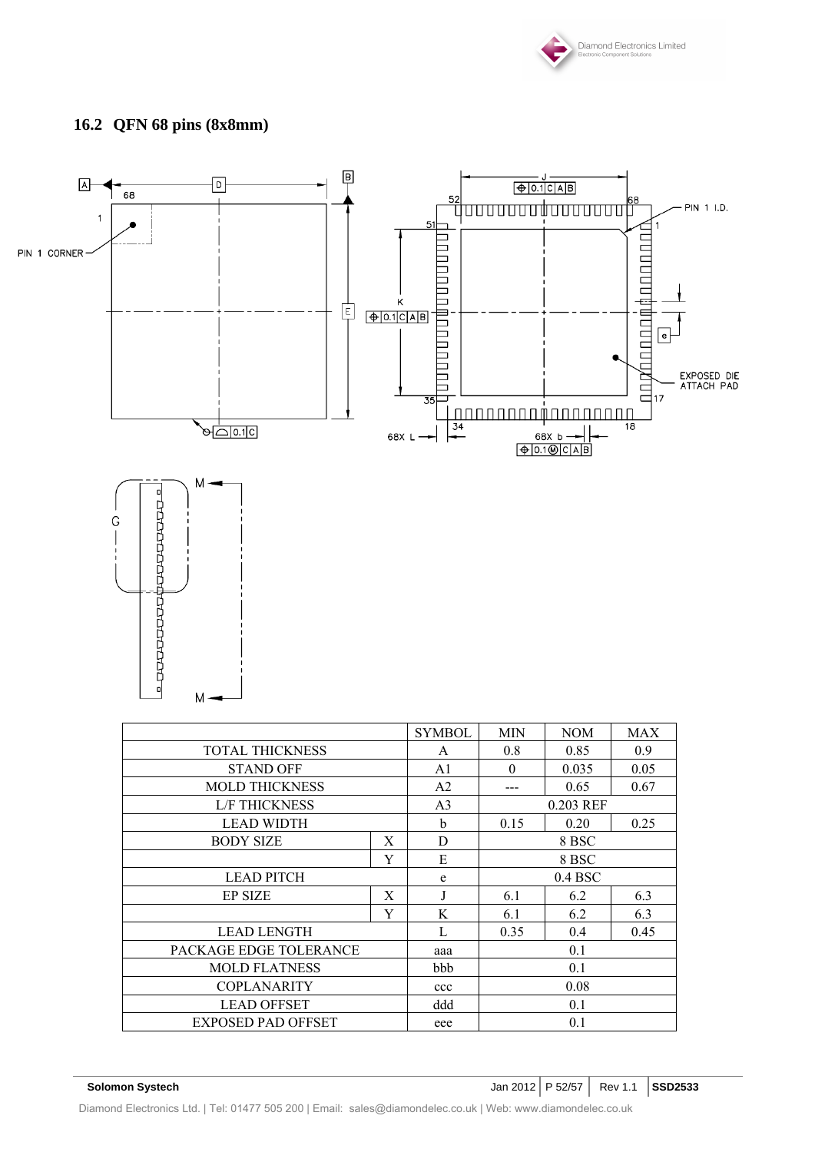

# **16.2 QFN 68 pins (8x8mm)**



|                        |     | <b>SYMBOL</b>     | <b>MIN</b> | <b>NOM</b> | <b>MAX</b> |  |
|------------------------|-----|-------------------|------------|------------|------------|--|
| <b>TOTAL THICKNESS</b> |     | A                 | 0.8        | 0.85       | 0.9        |  |
| <b>STAND OFF</b>       |     |                   |            | 0.035      | 0.05       |  |
| <b>MOLD THICKNESS</b>  |     | A2                | ---        | 0.65       | 0.67       |  |
| <b>L/F THICKNESS</b>   |     | A <sub>3</sub>    | 0.203 REF  |            |            |  |
| <b>LEAD WIDTH</b>      |     | b                 | 0.15       | 0.20       | 0.25       |  |
| <b>BODY SIZE</b>       | X   | D                 | 8 BSC      |            |            |  |
|                        | Y   | E                 | 8 BSC      |            |            |  |
| <b>LEAD PITCH</b>      |     | e                 | $0.4$ BSC  |            |            |  |
| <b>EP SIZE</b>         | X   |                   | 6.1        | 6.2        | 6.3        |  |
|                        | Y   | K                 | 6.1        | 6.2        | 6.3        |  |
| <b>LEAD LENGTH</b>     |     | $\mathbf{L}$      | 0.35       | 0.4        | 0.45       |  |
| PACKAGE EDGE TOLERANCE |     | aaa               | 0.1        |            |            |  |
| <b>MOLD FLATNESS</b>   |     | 0.1<br><b>bbb</b> |            |            |            |  |
| <b>COPLANARITY</b>     |     | ccc               | 0.08       |            |            |  |
| <b>LEAD OFFSET</b>     |     | ddd<br>0.1        |            |            |            |  |
| EXPOSED PAD OFFSET     | eee |                   | 0.1        |            |            |  |

**Solomon Systech Jan 2012** P 52/57 Rev 1.1 SSD2533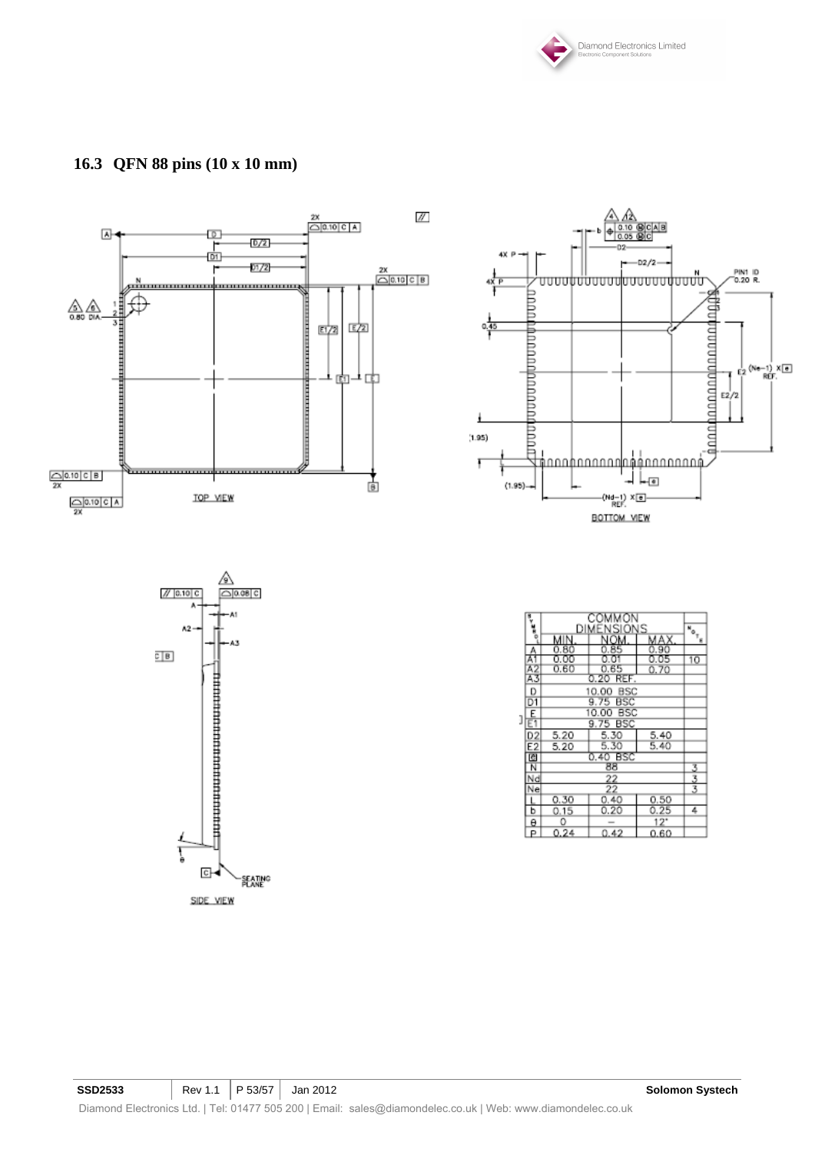

# **16.3 QFN 88 pins (10 x 10 mm)**

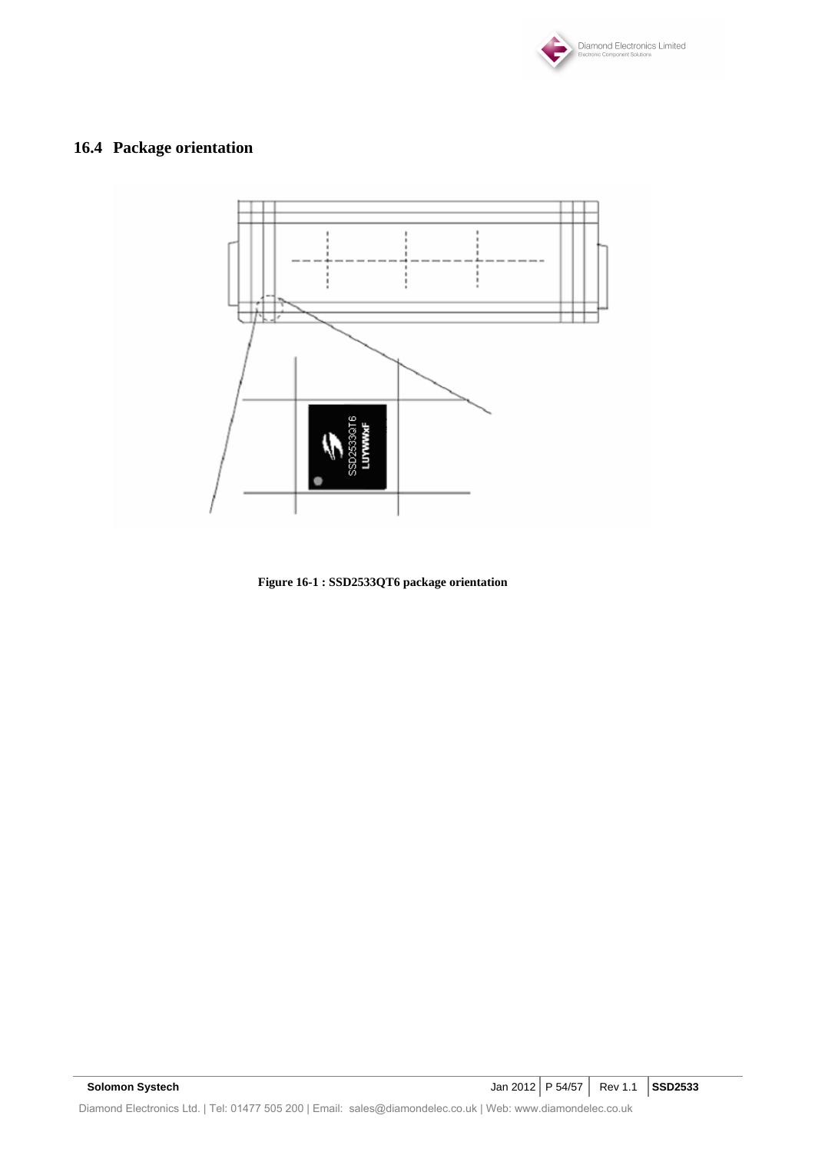

# **16.4 Package orientation**



**Figure 16-1 : SSD2533QT6 package orientation**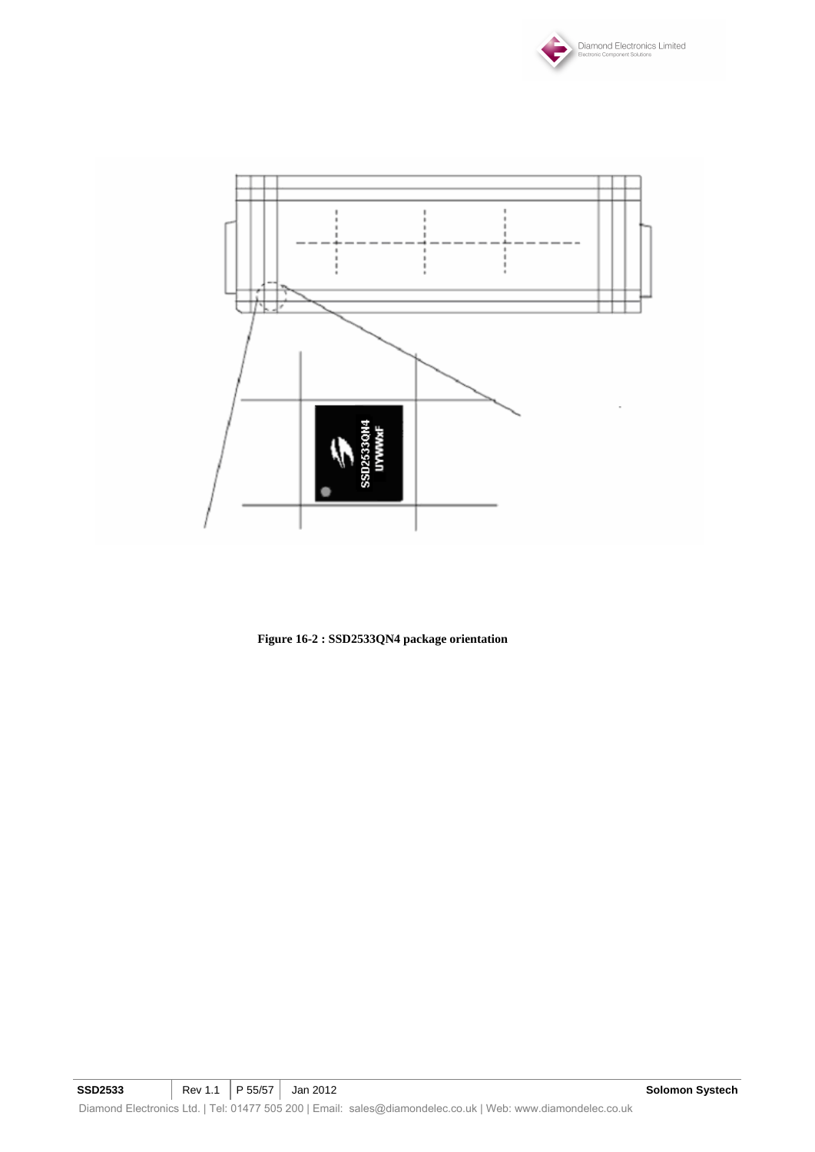



**Figure 16-2 : SSD2533QN4 package orientation**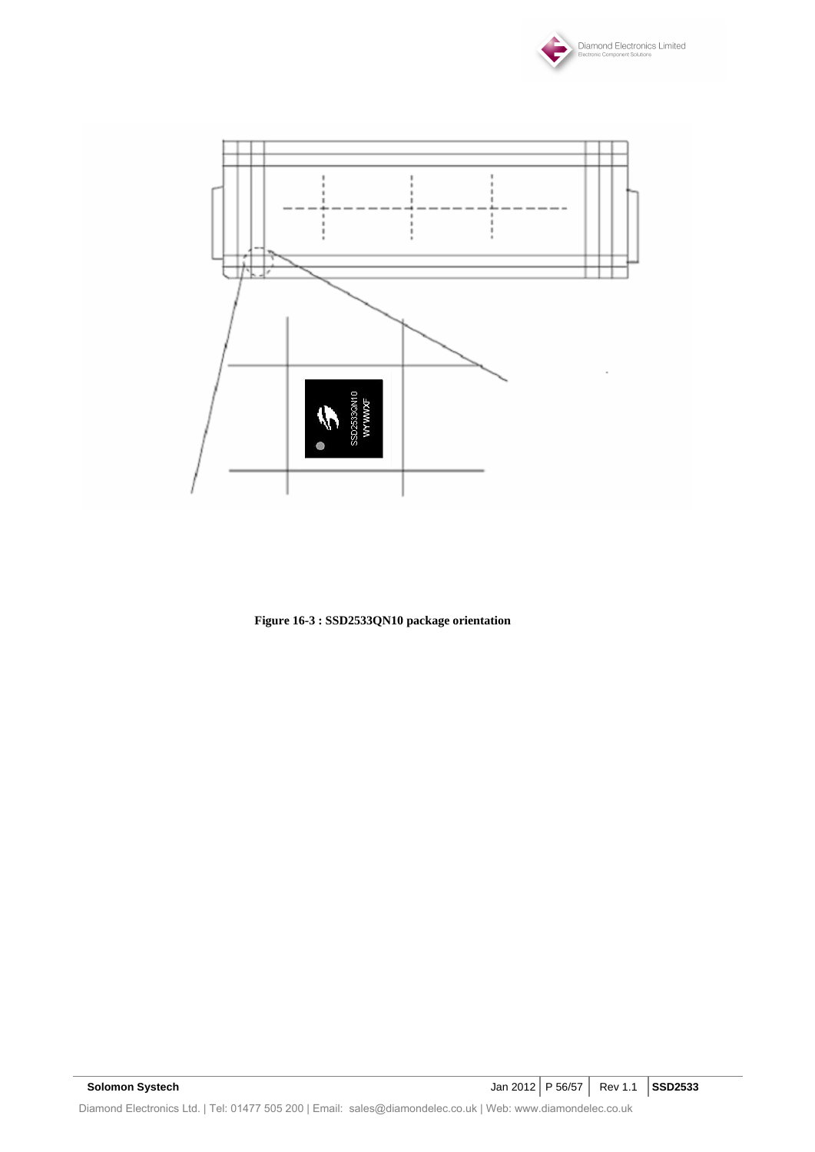



**Figure 16-3 : SSD2533QN10 package orientation**